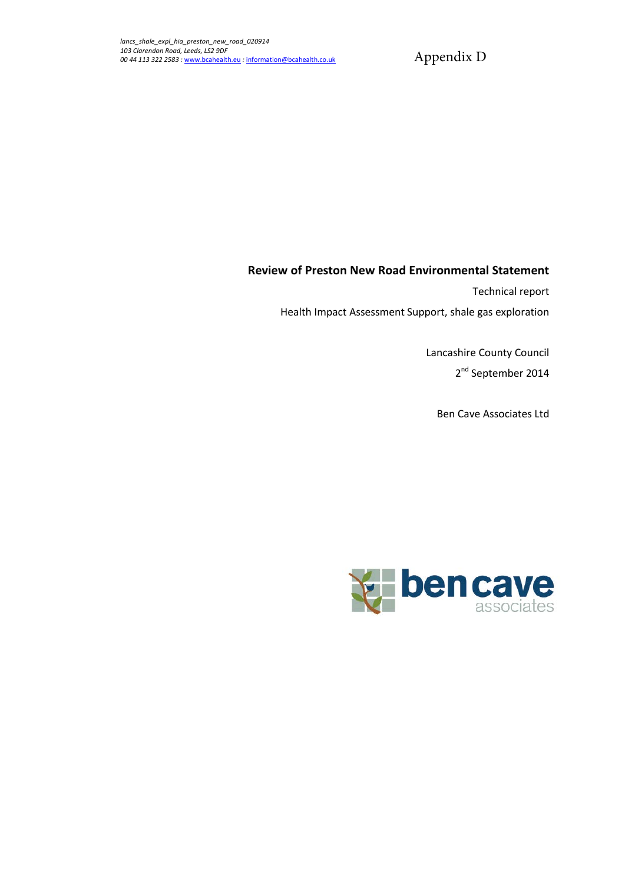Appendix D

### **Review of Preston New Road Environmental Statement**

Technical report

Health Impact Assessment Support, shale gas exploration

Lancashire County Council 2<sup>nd</sup> September 2014

Ben Cave Associates Ltd

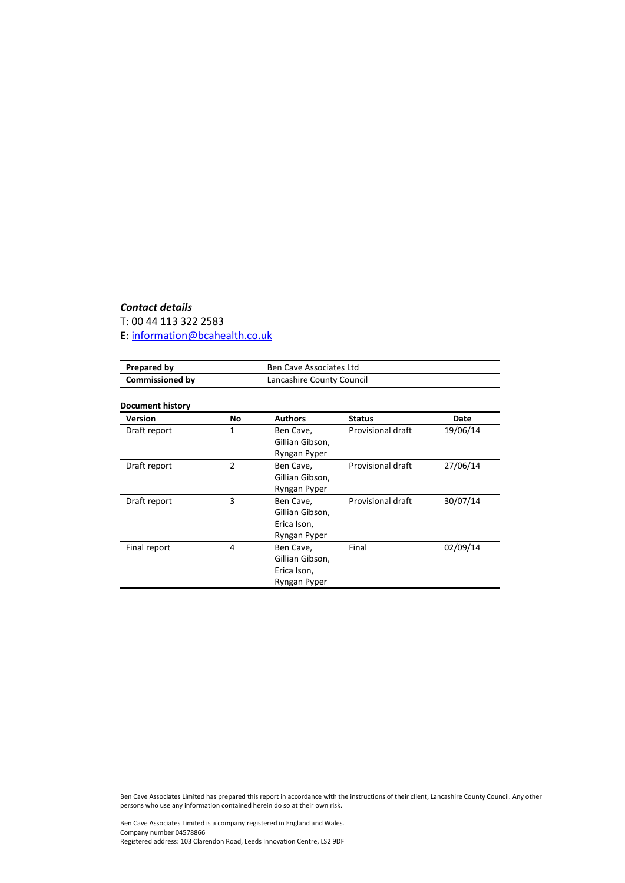### *Contact details*

T: 00 44 113 322 2583

E: [information@bcahealth.co.uk](mailto:information@bcahealth.co.uk)

| Prepared by            | Ben Cave Associates Ltd   |
|------------------------|---------------------------|
| <b>Commissioned by</b> | Lancashire County Council |

#### **Document history**

| <b>Version</b> | No             | <b>Authors</b>  | <b>Status</b>     | Date     |
|----------------|----------------|-----------------|-------------------|----------|
| Draft report   | 1              | Ben Cave,       | Provisional draft | 19/06/14 |
|                |                | Gillian Gibson, |                   |          |
|                |                | Ryngan Pyper    |                   |          |
| Draft report   | $\overline{2}$ | Ben Cave,       | Provisional draft | 27/06/14 |
|                |                | Gillian Gibson, |                   |          |
|                |                | Ryngan Pyper    |                   |          |
| Draft report   | 3              | Ben Cave,       | Provisional draft | 30/07/14 |
|                |                | Gillian Gibson, |                   |          |
|                |                | Erica Ison,     |                   |          |
|                |                | Ryngan Pyper    |                   |          |
| Final report   | 4              | Ben Cave,       | Final             | 02/09/14 |
|                |                | Gillian Gibson, |                   |          |
|                |                | Erica Ison,     |                   |          |
|                |                | Ryngan Pyper    |                   |          |

Ben Cave Associates Limited has prepared this report in accordance with the instructions of their client, Lancashire County Council. Any other persons who use any information contained herein do so at their own risk.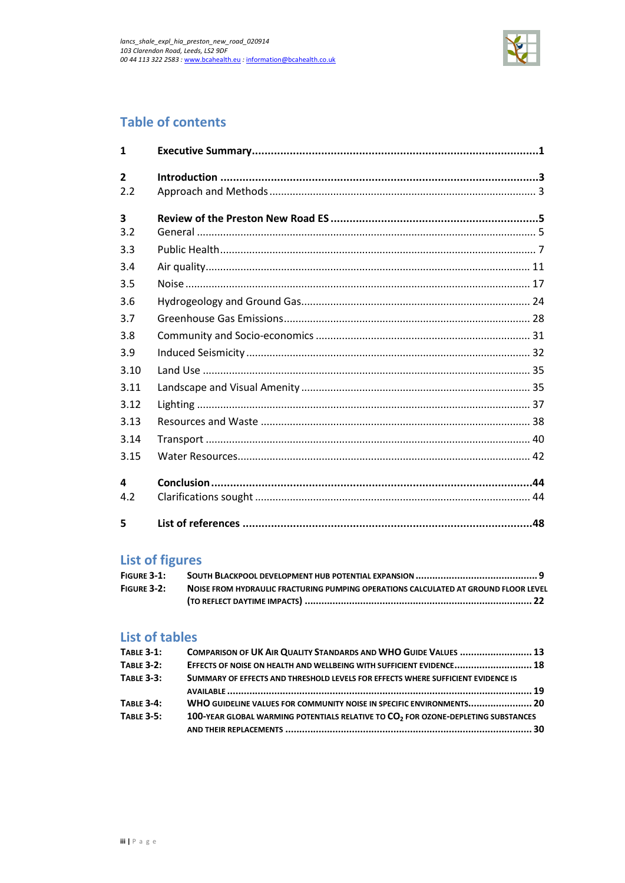

# **Table of contents**

| $\mathbf{1}$            |  |
|-------------------------|--|
| $\overline{2}$          |  |
| 2.2                     |  |
| $\overline{\mathbf{3}}$ |  |
| 3.2                     |  |
| 3.3                     |  |
| 3.4                     |  |
| 3.5                     |  |
| 3.6                     |  |
| 3.7                     |  |
| 3.8                     |  |
| 3.9                     |  |
| 3.10                    |  |
| 3.11                    |  |
| 3.12                    |  |
| 3.13                    |  |
| 3.14                    |  |
| 3.15                    |  |
| 4                       |  |
| 4.2                     |  |
| 5                       |  |

# **List of figures**

| FIGURE $3-1$ : |                                                                                     |
|----------------|-------------------------------------------------------------------------------------|
| FIGURE 3-2:    | NOISE FROM HYDRAULIC FRACTURING PUMPING OPERATIONS CALCULATED AT GROUND FLOOR LEVEL |
|                |                                                                                     |

# **List of tables**

| <b>TABLE 3-1:</b> | COMPARISON OF UK AIR QUALITY STANDARDS AND WHO GUIDE VALUES  13                               |  |
|-------------------|-----------------------------------------------------------------------------------------------|--|
| <b>TABLE 3-2:</b> | EFFECTS OF NOISE ON HEALTH AND WELLBEING WITH SUFFICIENT EVIDENCE 18                          |  |
| <b>TABLE 3-3:</b> | SUMMARY OF EFFECTS AND THRESHOLD LEVELS FOR EFFECTS WHERE SUFFICIENT EVIDENCE IS              |  |
|                   |                                                                                               |  |
| <b>TABLE 3-4:</b> | WHO GUIDELINE VALUES FOR COMMUNITY NOISE IN SPECIFIC ENVIRONMENTS 20                          |  |
| <b>TABLE 3-5:</b> | 100-YEAR GLOBAL WARMING POTENTIALS RELATIVE TO CO <sub>2</sub> FOR OZONE-DEPLETING SUBSTANCES |  |
|                   |                                                                                               |  |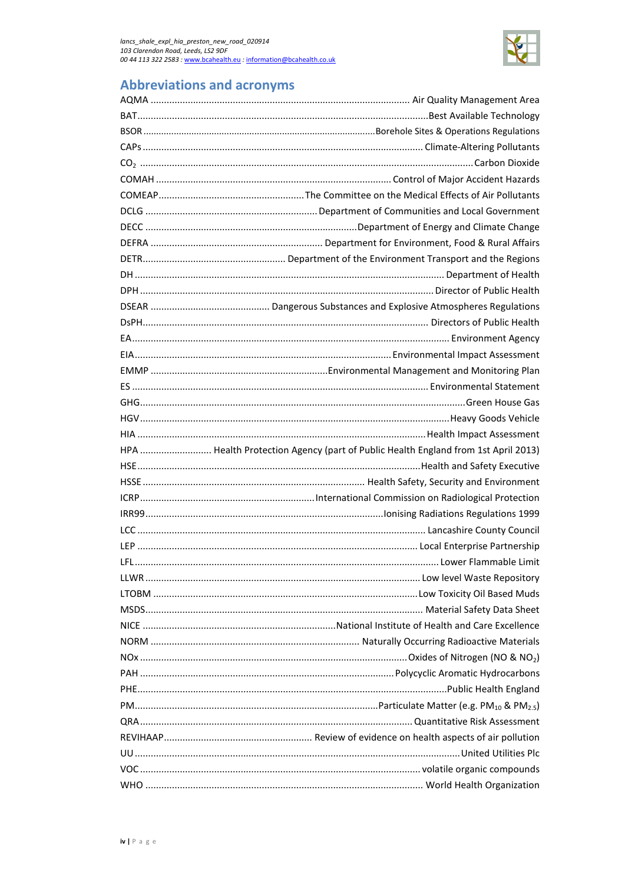

# **Abbreviations and acronyms**

| HPA  Health Protection Agency (part of Public Health England from 1st April 2013) |
|-----------------------------------------------------------------------------------|
|                                                                                   |
|                                                                                   |
|                                                                                   |
|                                                                                   |
|                                                                                   |
|                                                                                   |
|                                                                                   |
|                                                                                   |
|                                                                                   |
|                                                                                   |
|                                                                                   |
|                                                                                   |
|                                                                                   |
|                                                                                   |
|                                                                                   |
|                                                                                   |
|                                                                                   |
|                                                                                   |
|                                                                                   |
|                                                                                   |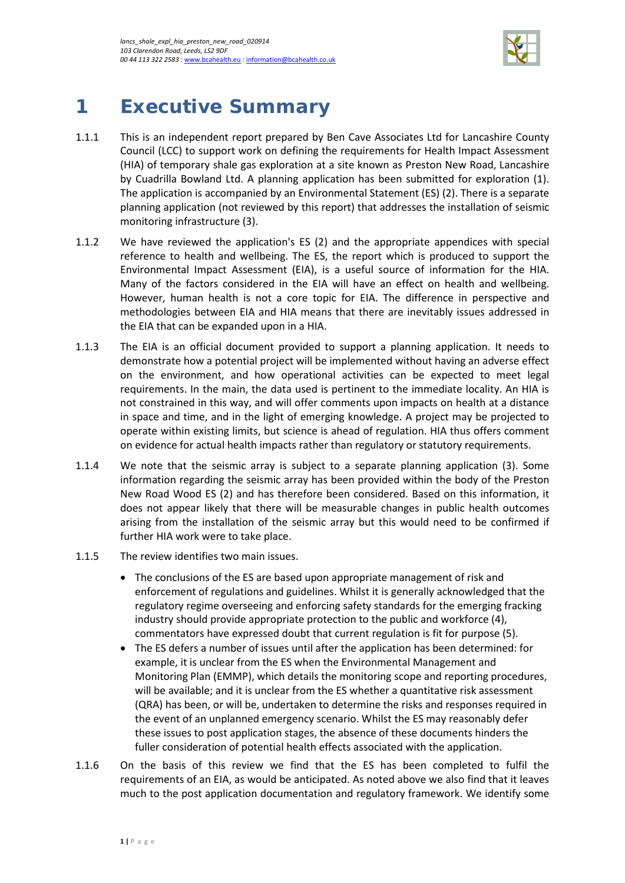

# <span id="page-4-0"></span>**1 Executive Summary**

- 1.1.1 This is an independent report prepared by Ben Cave Associates Ltd for Lancashire County Council (LCC) to support work on defining the requirements for Health Impact Assessment (HIA) of temporary shale gas exploration at a site known as Preston New Road, Lancashire by Cuadrilla Bowland Ltd. A planning application has been submitted for exploration (1). The application is accompanied by an Environmental Statement (ES) (2). There is a separate planning application (not reviewed by this report) that addresses the installation of seismic monitoring infrastructure (3).
- 1.1.2 We have reviewed the application's ES (2) and the appropriate appendices with special reference to health and wellbeing. The ES, the report which is produced to support the Environmental Impact Assessment (EIA), is a useful source of information for the HIA. Many of the factors considered in the EIA will have an effect on health and wellbeing. However, human health is not a core topic for EIA. The difference in perspective and methodologies between EIA and HIA means that there are inevitably issues addressed in the EIA that can be expanded upon in a HIA.
- 1.1.3 The EIA is an official document provided to support a planning application. It needs to demonstrate how a potential project will be implemented without having an adverse effect on the environment, and how operational activities can be expected to meet legal requirements. In the main, the data used is pertinent to the immediate locality. An HIA is not constrained in this way, and will offer comments upon impacts on health at a distance in space and time, and in the light of emerging knowledge. A project may be projected to operate within existing limits, but science is ahead of regulation. HIA thus offers comment on evidence for actual health impacts rather than regulatory or statutory requirements.
- 1.1.4 We note that the seismic array is subject to a separate planning application (3). Some information regarding the seismic array has been provided within the body of the Preston New Road Wood ES (2) and has therefore been considered. Based on this information, it does not appear likely that there will be measurable changes in public health outcomes arising from the installation of the seismic array but this would need to be confirmed if further HIA work were to take place.
- 1.1.5 The review identifies two main issues.
	- The conclusions of the ES are based upon appropriate management of risk and enforcement of regulations and guidelines. Whilst it is generally acknowledged that the regulatory regime overseeing and enforcing safety standards for the emerging fracking industry should provide appropriate protection to the public and workforce (4), commentators have expressed doubt that current regulation is fit for purpose (5).
	- The ES defers a number of issues until after the application has been determined: for example, it is unclear from the ES when the Environmental Management and Monitoring Plan (EMMP), which details the monitoring scope and reporting procedures, will be available; and it is unclear from the ES whether a quantitative risk assessment (QRA) has been, or will be, undertaken to determine the risks and responses required in the event of an unplanned emergency scenario. Whilst the ES may reasonably defer these issues to post application stages, the absence of these documents hinders the fuller consideration of potential health effects associated with the application.
- 1.1.6 On the basis of this review we find that the ES has been completed to fulfil the requirements of an EIA, as would be anticipated. As noted above we also find that it leaves much to the post application documentation and regulatory framework. We identify some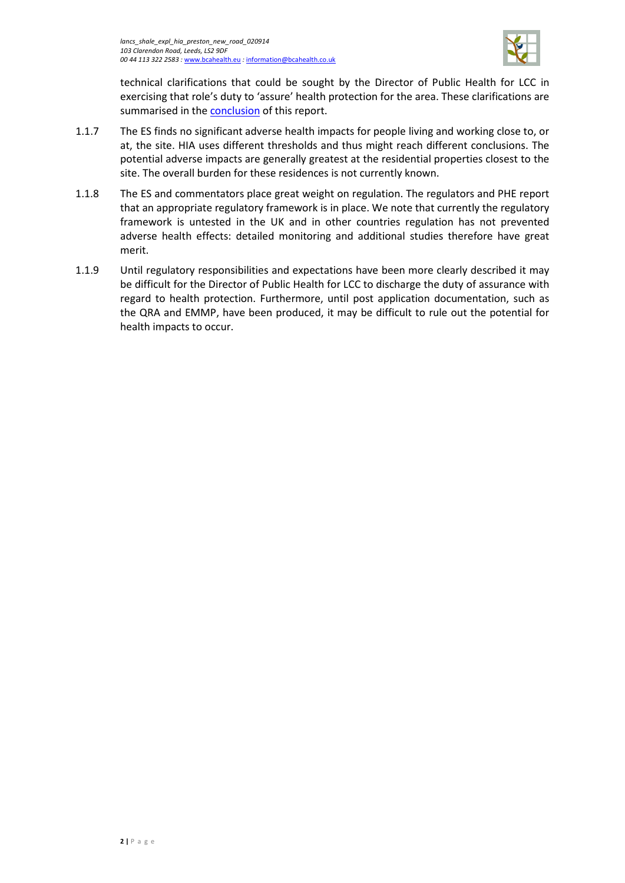

technical clarifications that could be sought by the Director of Public Health for LCC in exercising that role's duty to 'assure' health protection for the area. These clarifications are summarised in the [conclusion](#page-47-0) of this report.

- 1.1.7 The ES finds no significant adverse health impacts for people living and working close to, or at, the site. HIA uses different thresholds and thus might reach different conclusions. The potential adverse impacts are generally greatest at the residential properties closest to the site. The overall burden for these residences is not currently known.
- 1.1.8 The ES and commentators place great weight on regulation. The regulators and PHE report that an appropriate regulatory framework is in place. We note that currently the regulatory framework is untested in the UK and in other countries regulation has not prevented adverse health effects: detailed monitoring and additional studies therefore have great merit.
- 1.1.9 Until regulatory responsibilities and expectations have been more clearly described it may be difficult for the Director of Public Health for LCC to discharge the duty of assurance with regard to health protection. Furthermore, until post application documentation, such as the QRA and EMMP, have been produced, it may be difficult to rule out the potential for health impacts to occur.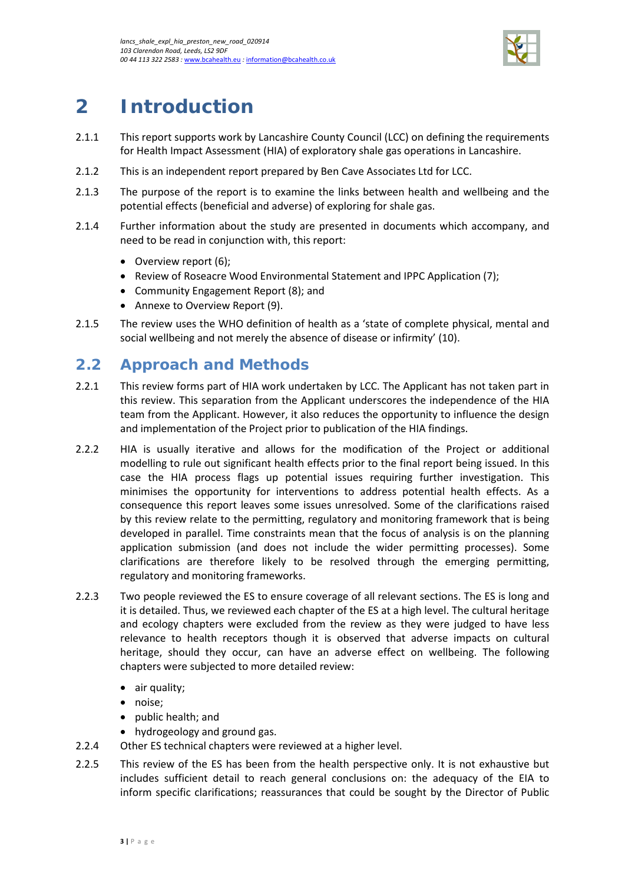

# <span id="page-6-0"></span>**2 Introduction**

- 2.1.1 This report supports work by Lancashire County Council (LCC) on defining the requirements for Health Impact Assessment (HIA) of exploratory shale gas operations in Lancashire.
- 2.1.2 This is an independent report prepared by Ben Cave Associates Ltd for LCC.
- 2.1.3 The purpose of the report is to examine the links between health and wellbeing and the potential effects (beneficial and adverse) of exploring for shale gas.
- 2.1.4 Further information about the study are presented in documents which accompany, and need to be read in conjunction with, this report:
	- Overview report (6);
	- Review of Roseacre Wood Environmental Statement and IPPC Application (7);
	- Community Engagement Report (8); and
	- Annexe to Overview Report (9).
- 2.1.5 The review uses the WHO definition of health as a 'state of complete physical, mental and social wellbeing and not merely the absence of disease or infirmity' (10).

## <span id="page-6-1"></span>**2.2 Approach and Methods**

- 2.2.1 This review forms part of HIA work undertaken by LCC. The Applicant has not taken part in this review. This separation from the Applicant underscores the independence of the HIA team from the Applicant. However, it also reduces the opportunity to influence the design and implementation of the Project prior to publication of the HIA findings.
- 2.2.2 HIA is usually iterative and allows for the modification of the Project or additional modelling to rule out significant health effects prior to the final report being issued. In this case the HIA process flags up potential issues requiring further investigation. This minimises the opportunity for interventions to address potential health effects. As a consequence this report leaves some issues unresolved. Some of the clarifications raised by this review relate to the permitting, regulatory and monitoring framework that is being developed in parallel. Time constraints mean that the focus of analysis is on the planning application submission (and does not include the wider permitting processes). Some clarifications are therefore likely to be resolved through the emerging permitting, regulatory and monitoring frameworks.
- 2.2.3 Two people reviewed the ES to ensure coverage of all relevant sections. The ES is long and it is detailed. Thus, we reviewed each chapter of the ES at a high level. The cultural heritage and ecology chapters were excluded from the review as they were judged to have less relevance to health receptors though it is observed that adverse impacts on cultural heritage, should they occur, can have an adverse effect on wellbeing. The following chapters were subjected to more detailed review:
	- air quality;
	- noise;
	- public health; and
	- hydrogeology and ground gas.
- 2.2.4 Other ES technical chapters were reviewed at a higher level.
- 2.2.5 This review of the ES has been from the health perspective only. It is not exhaustive but includes sufficient detail to reach general conclusions on: the adequacy of the EIA to inform specific clarifications; reassurances that could be sought by the Director of Public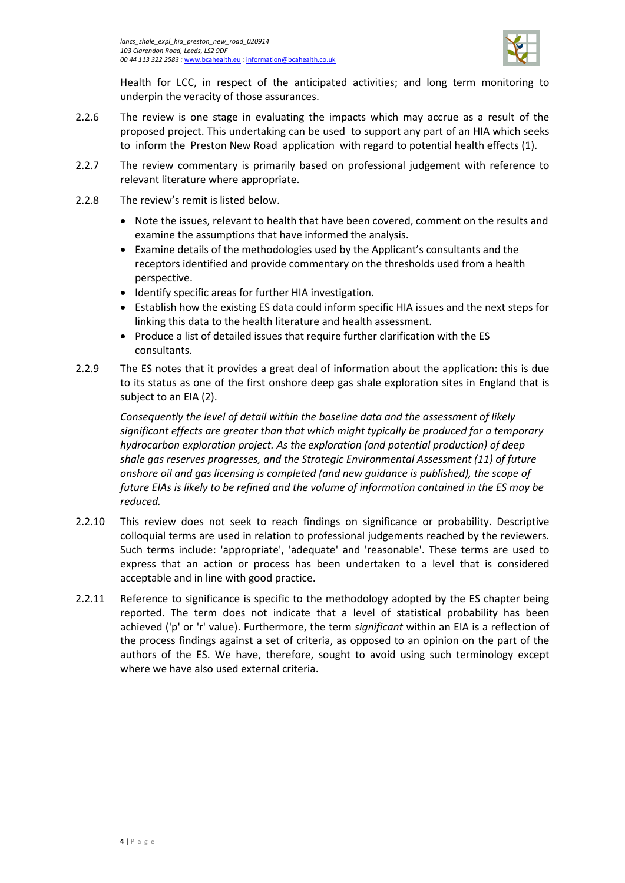

Health for LCC, in respect of the anticipated activities; and long term monitoring to underpin the veracity of those assurances.

- 2.2.6 The review is one stage in evaluating the impacts which may accrue as a result of the proposed project. This undertaking can be used to support any part of an HIA which seeks to inform the Preston New Road application with regard to potential health effects (1).
- 2.2.7 The review commentary is primarily based on professional judgement with reference to relevant literature where appropriate.
- 2.2.8 The review's remit is listed below.
	- Note the issues, relevant to health that have been covered, comment on the results and examine the assumptions that have informed the analysis.
	- Examine details of the methodologies used by the Applicant's consultants and the receptors identified and provide commentary on the thresholds used from a health perspective.
	- Identify specific areas for further HIA investigation.
	- Establish how the existing ES data could inform specific HIA issues and the next steps for linking this data to the health literature and health assessment.
	- Produce a list of detailed issues that require further clarification with the ES consultants.
- 2.2.9 The ES notes that it provides a great deal of information about the application: this is due to its status as one of the first onshore deep gas shale exploration sites in England that is subject to an EIA (2).

*Consequently the level of detail within the baseline data and the assessment of likely significant effects are greater than that which might typically be produced for a temporary hydrocarbon exploration project. As the exploration (and potential production) of deep shale gas reserves progresses, and the Strategic Environmental Assessment (11) of future onshore oil and gas licensing is completed (and new guidance is published), the scope of future EIAs is likely to be refined and the volume of information contained in the ES may be reduced.*

- 2.2.10 This review does not seek to reach findings on significance or probability. Descriptive colloquial terms are used in relation to professional judgements reached by the reviewers. Such terms include: 'appropriate', 'adequate' and 'reasonable'. These terms are used to express that an action or process has been undertaken to a level that is considered acceptable and in line with good practice.
- 2.2.11 Reference to significance is specific to the methodology adopted by the ES chapter being reported. The term does not indicate that a level of statistical probability has been achieved ('p' or 'r' value). Furthermore, the term *significant* within an EIA is a reflection of the process findings against a set of criteria, as opposed to an opinion on the part of the authors of the ES. We have, therefore, sought to avoid using such terminology except where we have also used external criteria.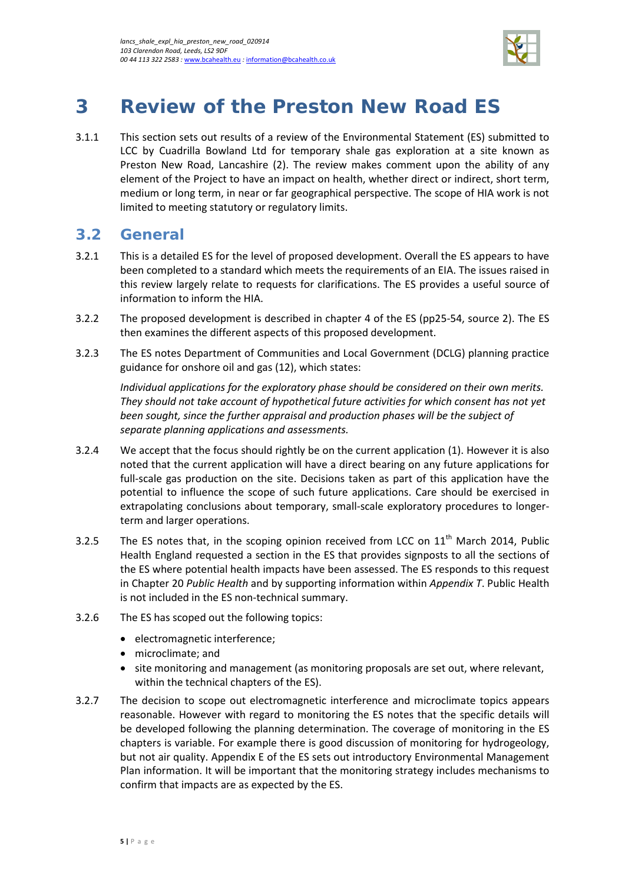

# <span id="page-8-0"></span>**3 Review of the Preston New Road ES**

3.1.1 This section sets out results of a review of the Environmental Statement (ES) submitted to LCC by Cuadrilla Bowland Ltd for temporary shale gas exploration at a site known as Preston New Road, Lancashire (2). The review makes comment upon the ability of any element of the Project to have an impact on health, whether direct or indirect, short term, medium or long term, in near or far geographical perspective. The scope of HIA work is not limited to meeting statutory or regulatory limits.

## <span id="page-8-1"></span>**3.2 General**

- 3.2.1 This is a detailed ES for the level of proposed development. Overall the ES appears to have been completed to a standard which meets the requirements of an EIA. The issues raised in this review largely relate to requests for clarifications. The ES provides a useful source of information to inform the HIA.
- 3.2.2 The proposed development is described in chapter 4 of the ES (pp25-54, source 2). The ES then examines the different aspects of this proposed development.
- 3.2.3 The ES notes Department of Communities and Local Government (DCLG) planning practice guidance for onshore oil and gas (12), which states:

*Individual applications for the exploratory phase should be considered on their own merits. They should not take account of hypothetical future activities for which consent has not yet been sought, since the further appraisal and production phases will be the subject of separate planning applications and assessments.* 

- 3.2.4 We accept that the focus should rightly be on the current application (1). However it is also noted that the current application will have a direct bearing on any future applications for full-scale gas production on the site. Decisions taken as part of this application have the potential to influence the scope of such future applications. Care should be exercised in extrapolating conclusions about temporary, small-scale exploratory procedures to longerterm and larger operations.
- 3.2.5 The ES notes that, in the scoping opinion received from LCC on  $11<sup>th</sup>$  March 2014, Public Health England requested a section in the ES that provides signposts to all the sections of the ES where potential health impacts have been assessed. The ES responds to this request in Chapter 20 *Public Health* and by supporting information within *Appendix T*. Public Health is not included in the ES non-technical summary.
- 3.2.6 The ES has scoped out the following topics:
	- electromagnetic interference;
	- microclimate; and
	- site monitoring and management (as monitoring proposals are set out, where relevant, within the technical chapters of the ES).
- 3.2.7 The decision to scope out electromagnetic interference and microclimate topics appears reasonable. However with regard to monitoring the ES notes that the specific details will be developed following the planning determination. The coverage of monitoring in the ES chapters is variable. For example there is good discussion of monitoring for hydrogeology, but not air quality. Appendix E of the ES sets out introductory Environmental Management Plan information. It will be important that the monitoring strategy includes mechanisms to confirm that impacts are as expected by the ES.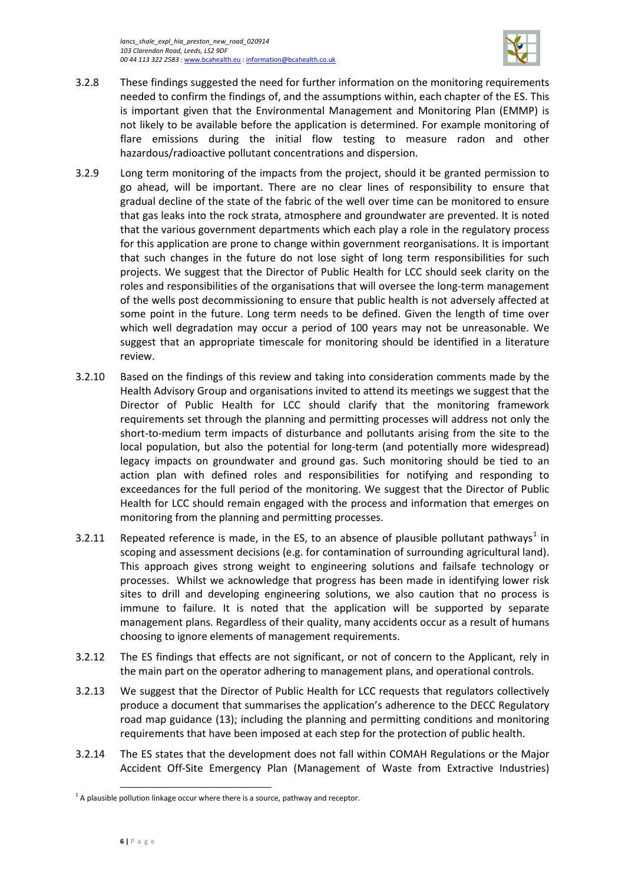

- 3.2.8 These findings suggested the need for further information on the monitoring requirements needed to confirm the findings of, and the assumptions within, each chapter of the ES. This is important given that the Environmental Management and Monitoring Plan (EMMP) is not likely to be available before the application is determined. For example monitoring of flare emissions during the initial flow testing to measure radon and other hazardous/radioactive pollutant concentrations and dispersion.
- 3.2.9 Long term monitoring of the impacts from the project, should it be granted permission to go ahead, will be important. There are no clear lines of responsibility to ensure that gradual decline of the state of the fabric of the well over time can be monitored to ensure that gas leaks into the rock strata, atmosphere and groundwater are prevented. It is noted that the various government departments which each play a role in the regulatory process for this application are prone to change within government reorganisations. It is important that such changes in the future do not lose sight of long term responsibilities for such projects. We suggest that the Director of Public Health for LCC should seek clarity on the roles and responsibilities of the organisations that will oversee the long-term management of the wells post decommissioning to ensure that public health is not adversely affected at some point in the future. Long term needs to be defined. Given the length of time over which well degradation may occur a period of 100 years may not be unreasonable. We suggest that an appropriate timescale for monitoring should be identified in a literature review.
- 3.2.10 Based on the findings of this review and taking into consideration comments made by the Health Advisory Group and organisations invited to attend its meetings we suggest that the Director of Public Health for LCC should clarify that the monitoring framework requirements set through the planning and permitting processes will address not only the short-to-medium term impacts of disturbance and pollutants arising from the site to the local population, but also the potential for long-term (and potentially more widespread) legacy impacts on groundwater and ground gas. Such monitoring should be tied to an action plan with defined roles and responsibilities for notifying and responding to exceedances for the full period of the monitoring. We suggest that the Director of Public Health for LCC should remain engaged with the process and information that emerges on monitoring from the planning and permitting processes.
- 3.2.[1](#page-9-0)1 Repeated reference is made, in the ES, to an absence of plausible pollutant pathways<sup>1</sup> in scoping and assessment decisions (e.g. for contamination of surrounding agricultural land). This approach gives strong weight to engineering solutions and failsafe technology or processes. Whilst we acknowledge that progress has been made in identifying lower risk sites to drill and developing engineering solutions, we also caution that no process is immune to failure. It is noted that the application will be supported by separate management plans. Regardless of their quality, many accidents occur as a result of humans choosing to ignore elements of management requirements.
- 3.2.12 The ES findings that effects are not significant, or not of concern to the Applicant, rely in the main part on the operator adhering to management plans, and operational controls.
- 3.2.13 We suggest that the Director of Public Health for LCC requests that regulators collectively produce a document that summarises the application's adherence to the DECC Regulatory road map guidance (13); including the planning and permitting conditions and monitoring requirements that have been imposed at each step for the protection of public health.
- 3.2.14 The ES states that the development does not fall within COMAH Regulations or the Major Accident Off-Site Emergency Plan (Management of Waste from Extractive Industries)

 $\overline{\phantom{a}}$ 

<span id="page-9-0"></span> $1$  A plausible pollution linkage occur where there is a source, pathway and receptor.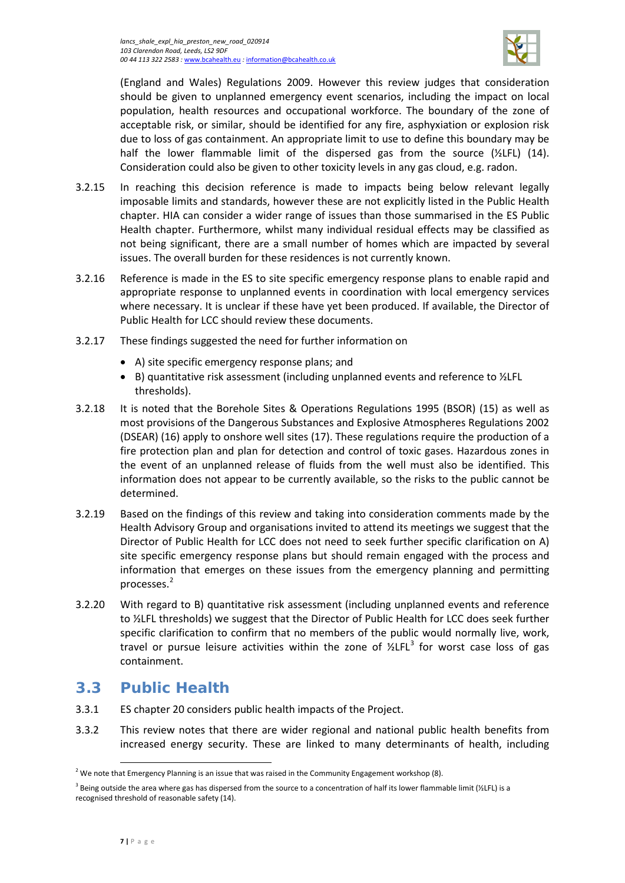

(England and Wales) Regulations 2009. However this review judges that consideration should be given to unplanned emergency event scenarios, including the impact on local population, health resources and occupational workforce. The boundary of the zone of acceptable risk, or similar, should be identified for any fire, asphyxiation or explosion risk due to loss of gas containment. An appropriate limit to use to define this boundary may be half the lower flammable limit of the dispersed gas from the source  $(Y_2$ LFL) (14). Consideration could also be given to other toxicity levels in any gas cloud, e.g. radon.

- 3.2.15 In reaching this decision reference is made to impacts being below relevant legally imposable limits and standards, however these are not explicitly listed in the Public Health chapter. HIA can consider a wider range of issues than those summarised in the ES Public Health chapter. Furthermore, whilst many individual residual effects may be classified as not being significant, there are a small number of homes which are impacted by several issues. The overall burden for these residences is not currently known.
- 3.2.16 Reference is made in the ES to site specific emergency response plans to enable rapid and appropriate response to unplanned events in coordination with local emergency services where necessary. It is unclear if these have yet been produced. If available, the Director of Public Health for LCC should review these documents.
- 3.2.17 These findings suggested the need for further information on
	- A) site specific emergency response plans; and
	- B) quantitative risk assessment (including unplanned events and reference to ½LFL thresholds).
- 3.2.18 It is noted that the Borehole Sites & Operations Regulations 1995 (BSOR) (15) as well as most provisions of the Dangerous Substances and Explosive Atmospheres Regulations 2002 (DSEAR) (16) apply to onshore well sites (17). These regulations require the production of a fire protection plan and plan for detection and control of toxic gases. Hazardous zones in the event of an unplanned release of fluids from the well must also be identified. This information does not appear to be currently available, so the risks to the public cannot be determined.
- 3.2.19 Based on the findings of this review and taking into consideration comments made by the Health Advisory Group and organisations invited to attend its meetings we suggest that the Director of Public Health for LCC does not need to seek further specific clarification on A) site specific emergency response plans but should remain engaged with the process and information that emerges on these issues from the emergency planning and permitting processes.[2](#page-10-1)
- 3.2.20 With regard to B) quantitative risk assessment (including unplanned events and reference to ½LFL thresholds) we suggest that the Director of Public Health for LCC does seek further specific clarification to confirm that no members of the public would normally live, work, travel or pursue leisure activities within the zone of  $\frac{1}{2}$  for worst case loss of gas containment.

# <span id="page-10-0"></span>**3.3 Public Health**

- 3.3.1 ES chapter 20 considers public health impacts of the Project.
- 3.3.2 This review notes that there are wider regional and national public health benefits from increased energy security. These are linked to many determinants of health, including

l

<span id="page-10-1"></span><sup>&</sup>lt;sup>2</sup> We note that Emergency Planning is an issue that was raised in the Community Engagement workshop (8).

<span id="page-10-2"></span><sup>&</sup>lt;sup>3</sup> Being outside the area where gas has dispersed from the source to a concentration of half its lower flammable limit (½LFL) is a recognised threshold of reasonable safety (14).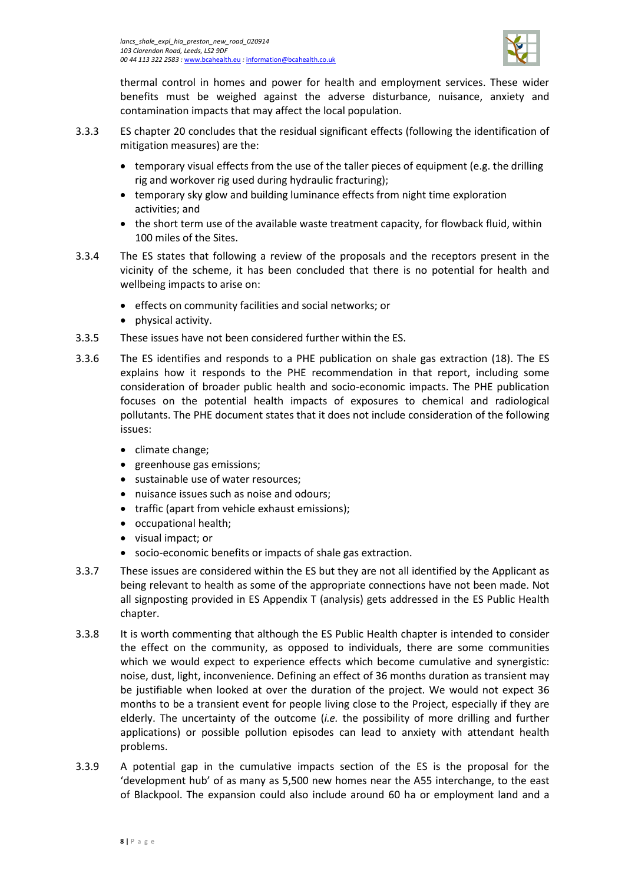

thermal control in homes and power for health and employment services. These wider benefits must be weighed against the adverse disturbance, nuisance, anxiety and contamination impacts that may affect the local population.

- 3.3.3 ES chapter 20 concludes that the residual significant effects (following the identification of mitigation measures) are the:
	- temporary visual effects from the use of the taller pieces of equipment (e.g. the drilling rig and workover rig used during hydraulic fracturing);
	- temporary sky glow and building luminance effects from night time exploration activities; and
	- the short term use of the available waste treatment capacity, for flowback fluid, within 100 miles of the Sites.
- 3.3.4 The ES states that following a review of the proposals and the receptors present in the vicinity of the scheme, it has been concluded that there is no potential for health and wellbeing impacts to arise on:
	- effects on community facilities and social networks; or
	- physical activity.
- 3.3.5 These issues have not been considered further within the ES.
- 3.3.6 The ES identifies and responds to a PHE publication on shale gas extraction (18). The ES explains how it responds to the PHE recommendation in that report, including some consideration of broader public health and socio-economic impacts. The PHE publication focuses on the potential health impacts of exposures to chemical and radiological pollutants. The PHE document states that it does not include consideration of the following issues:
	- climate change;
	- greenhouse gas emissions;
	- sustainable use of water resources:
	- nuisance issues such as noise and odours;
	- traffic (apart from vehicle exhaust emissions);
	- occupational health;
	- visual impact; or
	- socio-economic benefits or impacts of shale gas extraction.
- 3.3.7 These issues are considered within the ES but they are not all identified by the Applicant as being relevant to health as some of the appropriate connections have not been made. Not all signposting provided in ES Appendix T (analysis) gets addressed in the ES Public Health chapter.
- 3.3.8 It is worth commenting that although the ES Public Health chapter is intended to consider the effect on the community, as opposed to individuals, there are some communities which we would expect to experience effects which become cumulative and synergistic: noise, dust, light, inconvenience. Defining an effect of 36 months duration as transient may be justifiable when looked at over the duration of the project. We would not expect 36 months to be a transient event for people living close to the Project, especially if they are elderly. The uncertainty of the outcome (*i.e.* the possibility of more drilling and further applications) or possible pollution episodes can lead to anxiety with attendant health problems.
- 3.3.9 A potential gap in the cumulative impacts section of the ES is the proposal for the 'development hub' of as many as 5,500 new homes near the A55 interchange, to the east of Blackpool. The expansion could also include around 60 ha or employment land and a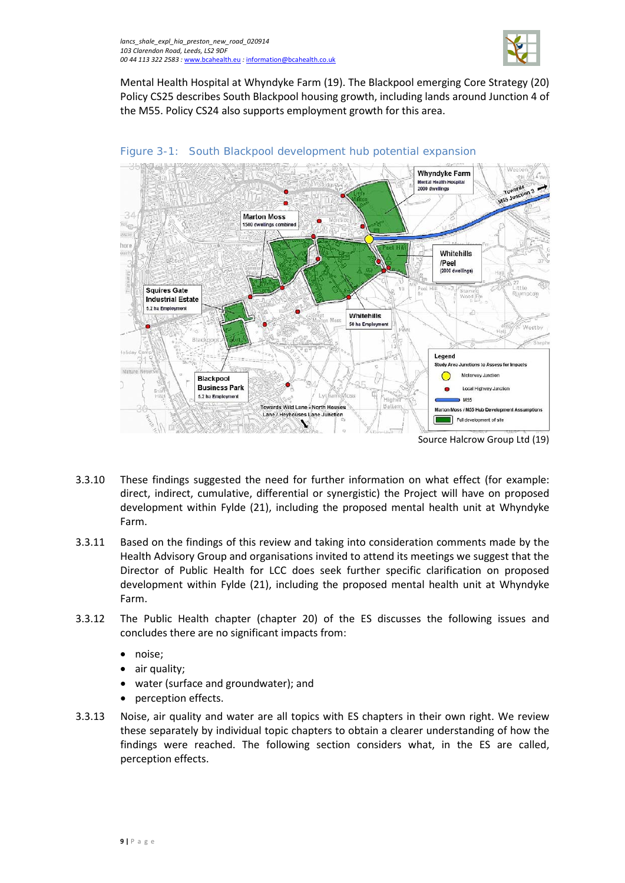

Mental Health Hospital at Whyndyke Farm (19). The Blackpool emerging Core Strategy (20) Policy CS25 describes South Blackpool housing growth, including lands around Junction 4 of the M55. Policy CS24 also supports employment growth for this area.



### Figure 3-1: South Blackpool development hub potential expansion

- 3.3.10 These findings suggested the need for further information on what effect (for example: direct, indirect, cumulative, differential or synergistic) the Project will have on proposed development within Fylde (21), including the proposed mental health unit at Whyndyke Farm.
- 3.3.11 Based on the findings of this review and taking into consideration comments made by the Health Advisory Group and organisations invited to attend its meetings we suggest that the Director of Public Health for LCC does seek further specific clarification on proposed development within Fylde (21), including the proposed mental health unit at Whyndyke Farm.
- 3.3.12 The Public Health chapter (chapter 20) of the ES discusses the following issues and concludes there are no significant impacts from:
	- noise;
	- air quality;
	- water (surface and groundwater); and
	- perception effects.
- 3.3.13 Noise, air quality and water are all topics with ES chapters in their own right. We review these separately by individual topic chapters to obtain a clearer understanding of how the findings were reached. The following section considers what, in the ES are called, perception effects.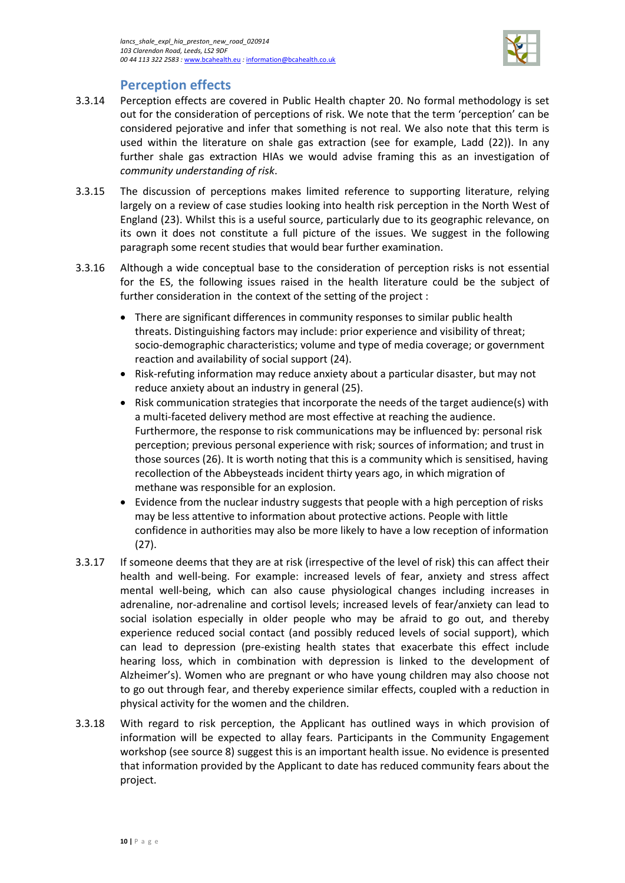

### **Perception effects**

- 3.3.14 Perception effects are covered in Public Health chapter 20. No formal methodology is set out for the consideration of perceptions of risk. We note that the term 'perception' can be considered pejorative and infer that something is not real. We also note that this term is used within the literature on shale gas extraction (see for example, Ladd (22)). In any further shale gas extraction HIAs we would advise framing this as an investigation of *community understanding of risk*.
- 3.3.15 The discussion of perceptions makes limited reference to supporting literature, relying largely on a review of case studies looking into health risk perception in the North West of England (23). Whilst this is a useful source, particularly due to its geographic relevance, on its own it does not constitute a full picture of the issues. We suggest in the following paragraph some recent studies that would bear further examination.
- 3.3.16 Although a wide conceptual base to the consideration of perception risks is not essential for the ES, the following issues raised in the health literature could be the subject of further consideration in the context of the setting of the project :
	- There are significant differences in community responses to similar public health threats. Distinguishing factors may include: prior experience and visibility of threat; socio-demographic characteristics; volume and type of media coverage; or government reaction and availability of social support (24).
	- Risk-refuting information may reduce anxiety about a particular disaster, but may not reduce anxiety about an industry in general (25).
	- Risk communication strategies that incorporate the needs of the target audience(s) with a multi-faceted delivery method are most effective at reaching the audience. Furthermore, the response to risk communications may be influenced by: personal risk perception; previous personal experience with risk; sources of information; and trust in those sources (26). It is worth noting that this is a community which is sensitised, having recollection of the Abbeysteads incident thirty years ago, in which migration of methane was responsible for an explosion.
	- Evidence from the nuclear industry suggests that people with a high perception of risks may be less attentive to information about protective actions. People with little confidence in authorities may also be more likely to have a low reception of information (27).
- 3.3.17 If someone deems that they are at risk (irrespective of the level of risk) this can affect their health and well-being. For example: increased levels of fear, anxiety and stress affect mental well-being, which can also cause physiological changes including increases in adrenaline, nor-adrenaline and cortisol levels; increased levels of fear/anxiety can lead to social isolation especially in older people who may be afraid to go out, and thereby experience reduced social contact (and possibly reduced levels of social support), which can lead to depression (pre-existing health states that exacerbate this effect include hearing loss, which in combination with depression is linked to the development of Alzheimer's). Women who are pregnant or who have young children may also choose not to go out through fear, and thereby experience similar effects, coupled with a reduction in physical activity for the women and the children.
- 3.3.18 With regard to risk perception, the Applicant has outlined ways in which provision of information will be expected to allay fears. Participants in the Community Engagement workshop (see source 8) suggest this is an important health issue. No evidence is presented that information provided by the Applicant to date has reduced community fears about the project.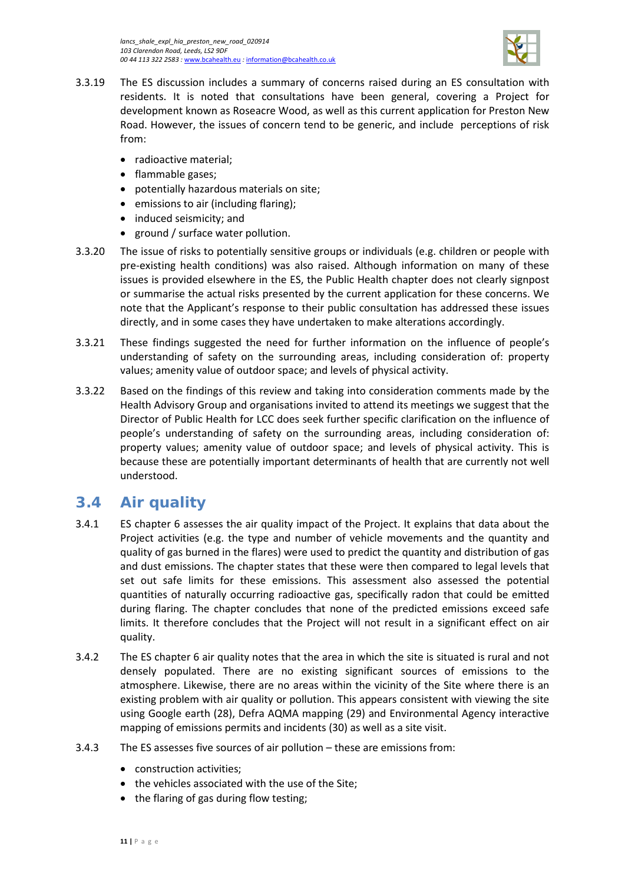

- 3.3.19 The ES discussion includes a summary of concerns raised during an ES consultation with residents. It is noted that consultations have been general, covering a Project for development known as Roseacre Wood, as well as this current application for Preston New Road. However, the issues of concern tend to be generic, and include perceptions of risk from:
	- radioactive material;
	- flammable gases;
	- potentially hazardous materials on site;
	- emissions to air (including flaring);
	- induced seismicity; and
	- ground / surface water pollution.
- 3.3.20 The issue of risks to potentially sensitive groups or individuals (e.g. children or people with pre-existing health conditions) was also raised. Although information on many of these issues is provided elsewhere in the ES, the Public Health chapter does not clearly signpost or summarise the actual risks presented by the current application for these concerns. We note that the Applicant's response to their public consultation has addressed these issues directly, and in some cases they have undertaken to make alterations accordingly.
- 3.3.21 These findings suggested the need for further information on the influence of people's understanding of safety on the surrounding areas, including consideration of: property values; amenity value of outdoor space; and levels of physical activity.
- 3.3.22 Based on the findings of this review and taking into consideration comments made by the Health Advisory Group and organisations invited to attend its meetings we suggest that the Director of Public Health for LCC does seek further specific clarification on the influence of people's understanding of safety on the surrounding areas, including consideration of: property values; amenity value of outdoor space; and levels of physical activity. This is because these are potentially important determinants of health that are currently not well understood.

# <span id="page-14-0"></span>**3.4 Air quality**

- 3.4.1 ES chapter 6 assesses the air quality impact of the Project. It explains that data about the Project activities (e.g. the type and number of vehicle movements and the quantity and quality of gas burned in the flares) were used to predict the quantity and distribution of gas and dust emissions. The chapter states that these were then compared to legal levels that set out safe limits for these emissions. This assessment also assessed the potential quantities of naturally occurring radioactive gas, specifically radon that could be emitted during flaring. The chapter concludes that none of the predicted emissions exceed safe limits. It therefore concludes that the Project will not result in a significant effect on air quality.
- 3.4.2 The ES chapter 6 air quality notes that the area in which the site is situated is rural and not densely populated. There are no existing significant sources of emissions to the atmosphere. Likewise, there are no areas within the vicinity of the Site where there is an existing problem with air quality or pollution. This appears consistent with viewing the site using Google earth (28), Defra AQMA mapping (29) and Environmental Agency interactive mapping of emissions permits and incidents (30) as well as a site visit.
- 3.4.3 The ES assesses five sources of air pollution these are emissions from:
	- construction activities:
	- the vehicles associated with the use of the Site;
	- the flaring of gas during flow testing;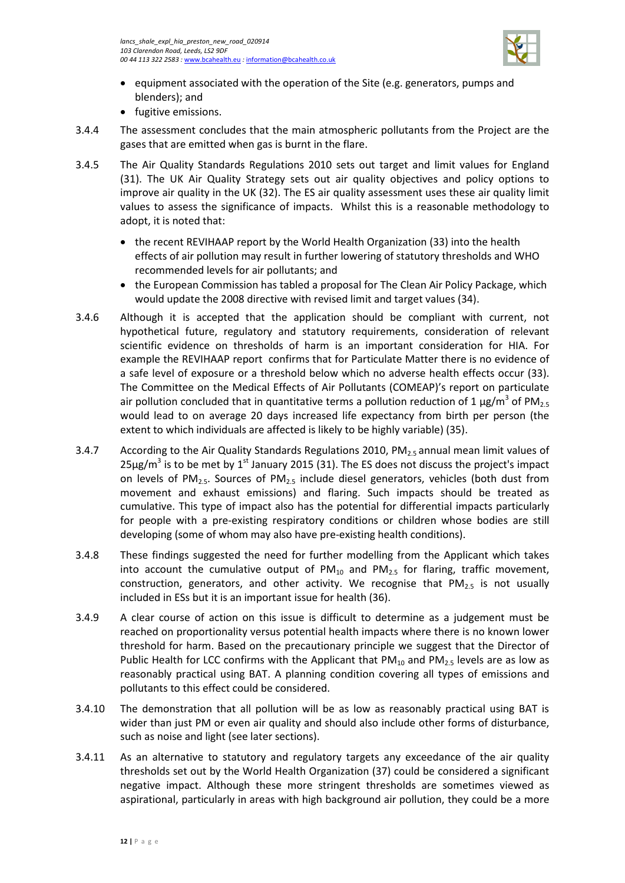

- equipment associated with the operation of the Site (e.g. generators, pumps and blenders); and
- fugitive emissions.
- 3.4.4 The assessment concludes that the main atmospheric pollutants from the Project are the gases that are emitted when gas is burnt in the flare.
- 3.4.5 The Air Quality Standards Regulations 2010 sets out target and limit values for England (31). The UK Air Quality Strategy sets out air quality objectives and policy options to improve air quality in the UK (32). The ES air quality assessment uses these air quality limit values to assess the significance of impacts. Whilst this is a reasonable methodology to adopt, it is noted that:
	- the recent REVIHAAP report by the World Health Organization (33) into the health effects of air pollution may result in further lowering of statutory thresholds and WHO recommended levels for air pollutants; and
	- the European Commission has tabled a proposal for The Clean Air Policy Package, which would update the 2008 directive with revised limit and target values (34).
- 3.4.6 Although it is accepted that the application should be compliant with current, not hypothetical future, regulatory and statutory requirements, consideration of relevant scientific evidence on thresholds of harm is an important consideration for HIA. For example the REVIHAAP report confirms that for Particulate Matter there is no evidence of a safe level of exposure or a threshold below which no adverse health effects occur (33). The Committee on the Medical Effects of Air Pollutants (COMEAP)'s report on particulate air pollution concluded that in quantitative terms a pollution reduction of 1  $\mu$ g/m<sup>3</sup> of PM<sub>2.5</sub> would lead to on average 20 days increased life expectancy from birth per person (the extent to which individuals are affected is likely to be highly variable) (35).
- 3.4.7 According to the Air Quality Standards Regulations 2010, PM<sub>2.5</sub> annual mean limit values of  $25\mu$ g/m<sup>3</sup> is to be met by 1<sup>st</sup> January 2015 (31). The ES does not discuss the project's impact on levels of PM<sub>2.5</sub>. Sources of PM<sub>2.5</sub> include diesel generators, vehicles (both dust from movement and exhaust emissions) and flaring. Such impacts should be treated as cumulative. This type of impact also has the potential for differential impacts particularly for people with a pre-existing respiratory conditions or children whose bodies are still developing (some of whom may also have pre-existing health conditions).
- 3.4.8 These findings suggested the need for further modelling from the Applicant which takes into account the cumulative output of  $PM_{10}$  and  $PM_{2.5}$  for flaring, traffic movement, construction, generators, and other activity. We recognise that  $PM_{2.5}$  is not usually included in ESs but it is an important issue for health (36).
- 3.4.9 A clear course of action on this issue is difficult to determine as a judgement must be reached on proportionality versus potential health impacts where there is no known lower threshold for harm. Based on the precautionary principle we suggest that the Director of Public Health for LCC confirms with the Applicant that  $PM_{10}$  and  $PM_{25}$  levels are as low as reasonably practical using BAT. A planning condition covering all types of emissions and pollutants to this effect could be considered.
- 3.4.10 The demonstration that all pollution will be as low as reasonably practical using BAT is wider than just PM or even air quality and should also include other forms of disturbance, such as noise and light (see later sections).
- 3.4.11 As an alternative to statutory and regulatory targets any exceedance of the air quality thresholds set out by the World Health Organization (37) could be considered a significant negative impact. Although these more stringent thresholds are sometimes viewed as aspirational, particularly in areas with high background air pollution, they could be a more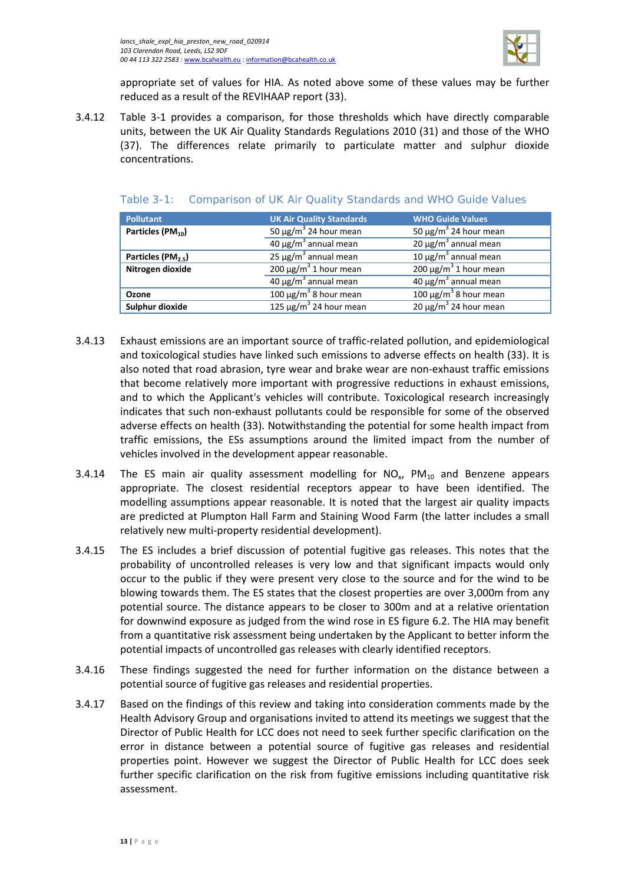

appropriate set of values for HIA. As noted above some of these values may be further reduced as a result of the REVIHAAP report (33).

3.4.12 [Table 3-1](#page-16-0) provides a comparison, for those thresholds which have directly comparable units, between the UK Air Quality Standards Regulations 2010 (31) and those of the WHO (37). The differences relate primarily to particulate matter and sulphur dioxide concentrations.

| <b>Pollutant</b>               | <b>UK Air Quality Standards</b>         | <b>WHO Guide Values</b>                |
|--------------------------------|-----------------------------------------|----------------------------------------|
| Particles (PM <sub>10</sub> )  | 50 $\mu$ g/m <sup>3</sup> 24 hour mean  | 50 $\mu$ g/m <sup>3</sup> 24 hour mean |
|                                | $40 \mu g/m3$ annual mean               | $20 \mu g/m^3$ annual mean             |
| Particles (PM <sub>2.5</sub> ) | $25 \mu g/m^3$ annual mean              | 10 μg/m <sup>3</sup> annual mean       |
| Nitrogen dioxide               | 200 $\mu$ g/m <sup>3</sup> 1 hour mean  | 200 $\mu$ g/m <sup>3</sup> 1 hour mean |
|                                | $40 \mu g/m3$ annual mean               | $40 \mu g/m3$ annual mean              |
| Ozone                          | 100 $\mu$ g/m <sup>3</sup> 8 hour mean  | $100 \mu g/m^3$ 8 hour mean            |
| Sulphur dioxide                | 125 $\mu$ g/m <sup>3</sup> 24 hour mean | $20 \mu g/m^3$ 24 hour mean            |

#### <span id="page-16-0"></span>Table 3-1: Comparison of UK Air Quality Standards and WHO Guide Values

- 3.4.13 Exhaust emissions are an important source of traffic-related pollution, and epidemiological and toxicological studies have linked such emissions to adverse effects on health (33). It is also noted that road abrasion, tyre wear and brake wear are non-exhaust traffic emissions that become relatively more important with progressive reductions in exhaust emissions, and to which the Applicant's vehicles will contribute. Toxicological research increasingly indicates that such non-exhaust pollutants could be responsible for some of the observed adverse effects on health (33). Notwithstanding the potential for some health impact from traffic emissions, the ESs assumptions around the limited impact from the number of vehicles involved in the development appear reasonable.
- 3.4.14 The ES main air quality assessment modelling for  $NO<sub>x</sub>$ ,  $PM<sub>10</sub>$  and Benzene appears appropriate. The closest residential receptors appear to have been identified. The modelling assumptions appear reasonable. It is noted that the largest air quality impacts are predicted at Plumpton Hall Farm and Staining Wood Farm (the latter includes a small relatively new multi-property residential development).
- 3.4.15 The ES includes a brief discussion of potential fugitive gas releases. This notes that the probability of uncontrolled releases is very low and that significant impacts would only occur to the public if they were present very close to the source and for the wind to be blowing towards them. The ES states that the closest properties are over 3,000m from any potential source. The distance appears to be closer to 300m and at a relative orientation for downwind exposure as judged from the wind rose in ES figure 6.2. The HIA may benefit from a quantitative risk assessment being undertaken by the Applicant to better inform the potential impacts of uncontrolled gas releases with clearly identified receptors.
- 3.4.16 These findings suggested the need for further information on the distance between a potential source of fugitive gas releases and residential properties.
- 3.4.17 Based on the findings of this review and taking into consideration comments made by the Health Advisory Group and organisations invited to attend its meetings we suggest that the Director of Public Health for LCC does not need to seek further specific clarification on the error in distance between a potential source of fugitive gas releases and residential properties point. However we suggest the Director of Public Health for LCC does seek further specific clarification on the risk from fugitive emissions including quantitative risk assessment.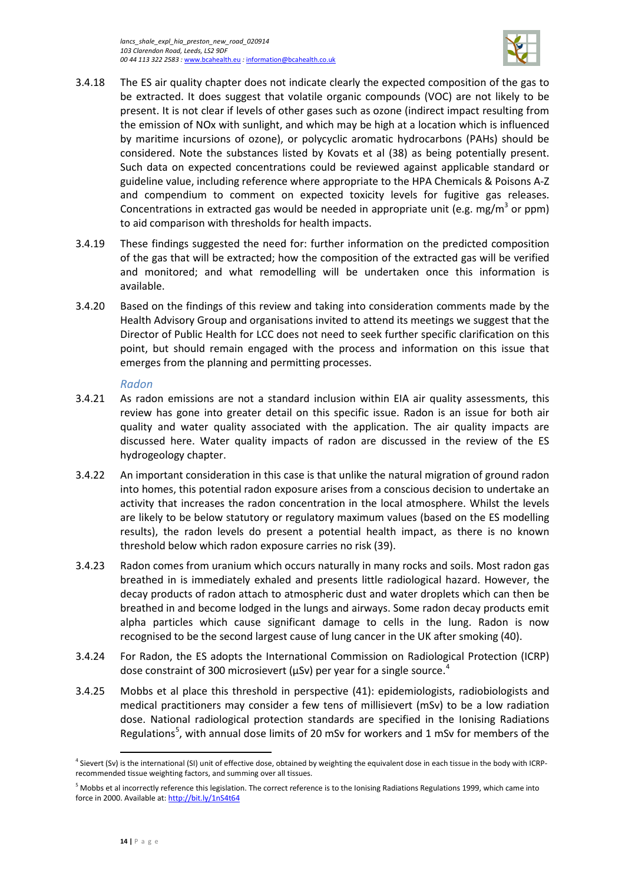

- 3.4.18 The ES air quality chapter does not indicate clearly the expected composition of the gas to be extracted. It does suggest that volatile organic compounds (VOC) are not likely to be present. It is not clear if levels of other gases such as ozone (indirect impact resulting from the emission of NOx with sunlight, and which may be high at a location which is influenced by maritime incursions of ozone), or polycyclic aromatic hydrocarbons (PAHs) should be considered. Note the substances listed by Kovats et al (38) as being potentially present. Such data on expected concentrations could be reviewed against applicable standard or guideline value, including reference where appropriate to the HPA Chemicals & Poisons A-Z and compendium to comment on expected toxicity levels for fugitive gas releases. Concentrations in extracted gas would be needed in appropriate unit (e.g. mg/m<sup>3</sup> or ppm) to aid comparison with thresholds for health impacts.
- 3.4.19 These findings suggested the need for: further information on the predicted composition of the gas that will be extracted; how the composition of the extracted gas will be verified and monitored; and what remodelling will be undertaken once this information is available.
- 3.4.20 Based on the findings of this review and taking into consideration comments made by the Health Advisory Group and organisations invited to attend its meetings we suggest that the Director of Public Health for LCC does not need to seek further specific clarification on this point, but should remain engaged with the process and information on this issue that emerges from the planning and permitting processes.

### *Radon*

- 3.4.21 As radon emissions are not a standard inclusion within EIA air quality assessments, this review has gone into greater detail on this specific issue. Radon is an issue for both air quality and water quality associated with the application. The air quality impacts are discussed here. Water quality impacts of radon are discussed in the review of the ES hydrogeology chapter.
- 3.4.22 An important consideration in this case is that unlike the natural migration of ground radon into homes, this potential radon exposure arises from a conscious decision to undertake an activity that increases the radon concentration in the local atmosphere. Whilst the levels are likely to be below statutory or regulatory maximum values (based on the ES modelling results), the radon levels do present a potential health impact, as there is no known threshold below which radon exposure carries no risk (39).
- 3.4.23 Radon comes from uranium which occurs naturally in many rocks and soils. Most radon gas breathed in is immediately exhaled and presents little radiological hazard. However, the decay products of radon attach to atmospheric dust and water droplets which can then be breathed in and become lodged in the lungs and airways. Some radon decay products emit alpha particles which cause significant damage to cells in the lung. Radon is now recognised to be the second largest cause of lung cancer in the UK after smoking (40).
- 3.4.24 For Radon, the ES adopts the International Commission on Radiological Protection (ICRP) dose constraint of 300 microsievert ( $\mu$ Sv) per year for a single source.<sup>[4](#page-17-0)</sup>
- 3.4.25 Mobbs et al place this threshold in perspective (41): epidemiologists, radiobiologists and medical practitioners may consider a few tens of millisievert (mSv) to be a low radiation dose. National radiological protection standards are specified in the Ionising Radiations Regulations<sup>[5](#page-17-1)</sup>, with annual dose limits of 20 mSv for workers and 1 mSv for members of the

l

<span id="page-17-0"></span><sup>&</sup>lt;sup>4</sup> Sievert (Sv) is the international (SI) unit of effective dose, obtained by weighting the equivalent dose in each tissue in the body with ICRPrecommended tissue weighting factors, and summing over all tissues.

<span id="page-17-1"></span><sup>&</sup>lt;sup>5</sup> Mobbs et al incorrectly reference this legislation. The correct reference is to the Ionising Radiations Regulations 1999, which came into force in 2000. Available at[: http://bit.ly/1nS4t64](http://bit.ly/1nS4t64)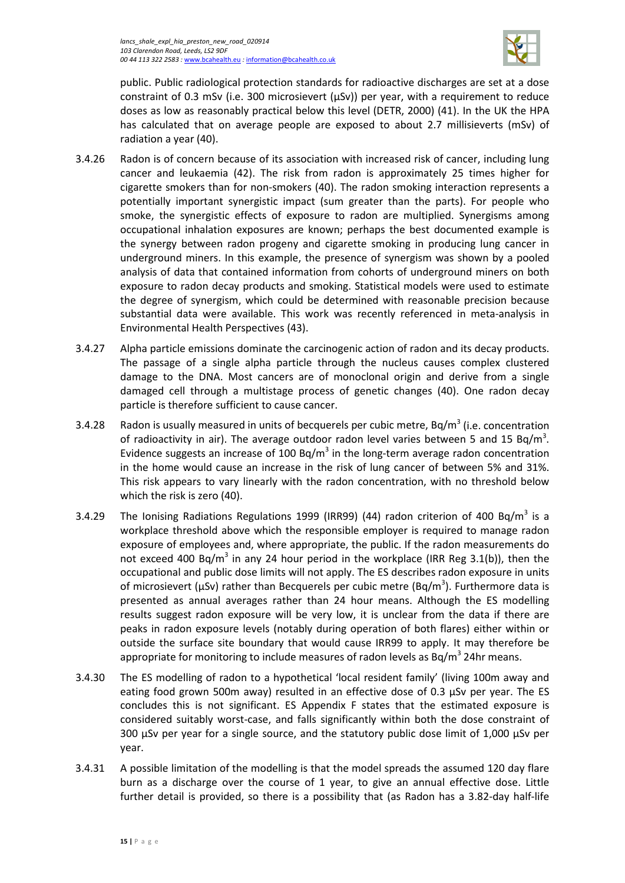

public. Public radiological protection standards for radioactive discharges are set at a dose constraint of 0.3 mSv (i.e. 300 microsievert (μSv)) per year, with a requirement to reduce doses as low as reasonably practical below this level (DETR, 2000) (41). In the UK the HPA has calculated that on average people are exposed to about 2.7 millisieverts (mSv) of radiation a year (40).

- 3.4.26 Radon is of concern because of its association with increased risk of cancer, including lung cancer and leukaemia (42). The risk from radon is approximately 25 times higher for cigarette smokers than for non-smokers (40). The radon smoking interaction represents a potentially important synergistic impact (sum greater than the parts). For people who smoke, the synergistic effects of exposure to radon are multiplied. Synergisms among occupational inhalation exposures are known; perhaps the best documented example is the synergy between radon progeny and cigarette smoking in producing lung cancer in underground miners. In this example, the presence of synergism was shown by a pooled analysis of data that contained information from cohorts of underground miners on both exposure to radon decay products and smoking. Statistical models were used to estimate the degree of synergism, which could be determined with reasonable precision because substantial data were available. This work was recently referenced in meta-analysis in Environmental Health Perspectives (43).
- 3.4.27 Alpha particle emissions dominate the carcinogenic action of radon and its decay products. The passage of a single alpha particle through the nucleus causes complex clustered damage to the DNA. Most cancers are of monoclonal origin and derive from a single damaged cell through a multistage process of genetic changes (40). One radon decay particle is therefore sufficient to cause cancer.
- 3.4.28 Radon is usually measured in units of becquerels per cubic metre,  $Bq/m<sup>3</sup>$  (i.e. concentration of radioactivity in air). The average outdoor radon level varies between 5 and 15 Bq/m<sup>3</sup>. Evidence suggests an increase of 100 Bq/m<sup>3</sup> in the long-term average radon concentration in the home would cause an increase in the risk of lung cancer of between 5% and 31%. This risk appears to vary linearly with the radon concentration, with no threshold below which the risk is zero (40).
- 3.4.29 The Ionising Radiations Regulations 1999 (IRR99) (44) radon criterion of 400 Bq/m<sup>3</sup> is a workplace threshold above which the responsible employer is required to manage radon exposure of employees and, where appropriate, the public. If the radon measurements do not exceed 400 Bg/m<sup>3</sup> in any 24 hour period in the workplace (IRR Reg 3.1(b)), then the occupational and public dose limits will not apply. The ES describes radon exposure in units of microsievert ( $\mu$ Sv) rather than Becquerels per cubic metre (Bq/m<sup>3</sup>). Furthermore data is presented as annual averages rather than 24 hour means. Although the ES modelling results suggest radon exposure will be very low, it is unclear from the data if there are peaks in radon exposure levels (notably during operation of both flares) either within or outside the surface site boundary that would cause IRR99 to apply. It may therefore be appropriate for monitoring to include measures of radon levels as  $Bq/m<sup>3</sup>$  24hr means.
- 3.4.30 The ES modelling of radon to a hypothetical 'local resident family' (living 100m away and eating food grown 500m away) resulted in an effective dose of 0.3  $\mu$ Sv per year. The ES concludes this is not significant. ES Appendix F states that the estimated exposure is considered suitably worst-case, and falls significantly within both the dose constraint of 300 μSv per year for a single source, and the statutory public dose limit of 1,000 μSv per year.
- 3.4.31 A possible limitation of the modelling is that the model spreads the assumed 120 day flare burn as a discharge over the course of 1 year, to give an annual effective dose. Little further detail is provided, so there is a possibility that (as Radon has a 3.82-day half-life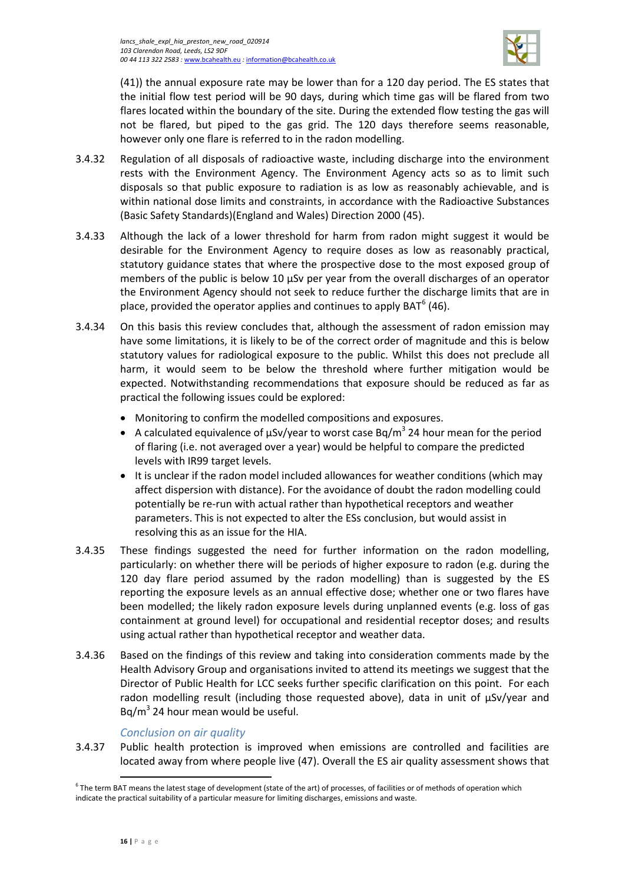

(41)) the annual exposure rate may be lower than for a 120 day period. The ES states that the initial flow test period will be 90 days, during which time gas will be flared from two flares located within the boundary of the site. During the extended flow testing the gas will not be flared, but piped to the gas grid. The 120 days therefore seems reasonable, however only one flare is referred to in the radon modelling.

- 3.4.32 Regulation of all disposals of radioactive waste, including discharge into the environment rests with the Environment Agency. The Environment Agency acts so as to limit such disposals so that public exposure to radiation is as low as reasonably achievable, and is within national dose limits and constraints, in accordance with the Radioactive Substances (Basic Safety Standards)(England and Wales) Direction 2000 (45).
- 3.4.33 Although the lack of a lower threshold for harm from radon might suggest it would be desirable for the Environment Agency to require doses as low as reasonably practical, statutory guidance states that where the prospective dose to the most exposed group of members of the public is below 10 μSv per year from the overall discharges of an operator the Environment Agency should not seek to reduce further the discharge limits that are in place, provided the operator applies and continues to apply  $BAT<sup>6</sup> (46)$  $BAT<sup>6</sup> (46)$  $BAT<sup>6</sup> (46)$ .
- 3.4.34 On this basis this review concludes that, although the assessment of radon emission may have some limitations, it is likely to be of the correct order of magnitude and this is below statutory values for radiological exposure to the public. Whilst this does not preclude all harm, it would seem to be below the threshold where further mitigation would be expected. Notwithstanding recommendations that exposure should be reduced as far as practical the following issues could be explored:
	- Monitoring to confirm the modelled compositions and exposures.
	- A calculated equivalence of uSv/year to worst case Bq/m<sup>3</sup> 24 hour mean for the period of flaring (i.e. not averaged over a year) would be helpful to compare the predicted levels with IR99 target levels.
	- It is unclear if the radon model included allowances for weather conditions (which may affect dispersion with distance). For the avoidance of doubt the radon modelling could potentially be re-run with actual rather than hypothetical receptors and weather parameters. This is not expected to alter the ESs conclusion, but would assist in resolving this as an issue for the HIA.
- 3.4.35 These findings suggested the need for further information on the radon modelling, particularly: on whether there will be periods of higher exposure to radon (e.g. during the 120 day flare period assumed by the radon modelling) than is suggested by the ES reporting the exposure levels as an annual effective dose; whether one or two flares have been modelled; the likely radon exposure levels during unplanned events (e.g. loss of gas containment at ground level) for occupational and residential receptor doses; and results using actual rather than hypothetical receptor and weather data.
- 3.4.36 Based on the findings of this review and taking into consideration comments made by the Health Advisory Group and organisations invited to attend its meetings we suggest that the Director of Public Health for LCC seeks further specific clarification on this point. For each radon modelling result (including those requested above), data in unit of μSv/year and  $Bq/m<sup>3</sup>$  24 hour mean would be useful.

### *Conclusion on air quality*

3.4.37 Public health protection is improved when emissions are controlled and facilities are located away from where people live (47). Overall the ES air quality assessment shows that

 $\overline{\phantom{a}}$ 

<span id="page-19-0"></span> $6$  The term BAT means the latest stage of development (state of the art) of processes, of facilities or of methods of operation which indicate the practical suitability of a particular measure for limiting discharges, emissions and waste.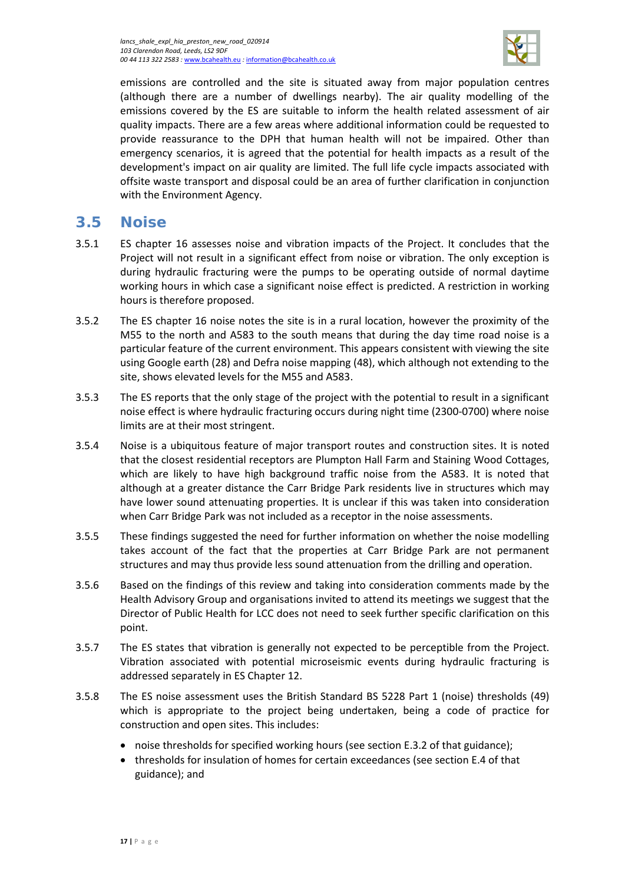

emissions are controlled and the site is situated away from major population centres (although there are a number of dwellings nearby). The air quality modelling of the emissions covered by the ES are suitable to inform the health related assessment of air quality impacts. There are a few areas where additional information could be requested to provide reassurance to the DPH that human health will not be impaired. Other than emergency scenarios, it is agreed that the potential for health impacts as a result of the development's impact on air quality are limited. The full life cycle impacts associated with offsite waste transport and disposal could be an area of further clarification in conjunction with the Environment Agency.

# <span id="page-20-0"></span>**3.5 Noise**

- 3.5.1 ES chapter 16 assesses noise and vibration impacts of the Project. It concludes that the Project will not result in a significant effect from noise or vibration. The only exception is during hydraulic fracturing were the pumps to be operating outside of normal daytime working hours in which case a significant noise effect is predicted. A restriction in working hours is therefore proposed.
- 3.5.2 The ES chapter 16 noise notes the site is in a rural location, however the proximity of the M55 to the north and A583 to the south means that during the day time road noise is a particular feature of the current environment. This appears consistent with viewing the site using Google earth (28) and Defra noise mapping (48), which although not extending to the site, shows elevated levels for the M55 and A583.
- 3.5.3 The ES reports that the only stage of the project with the potential to result in a significant noise effect is where hydraulic fracturing occurs during night time (2300-0700) where noise limits are at their most stringent.
- 3.5.4 Noise is a ubiquitous feature of major transport routes and construction sites. It is noted that the closest residential receptors are Plumpton Hall Farm and Staining Wood Cottages, which are likely to have high background traffic noise from the A583. It is noted that although at a greater distance the Carr Bridge Park residents live in structures which may have lower sound attenuating properties. It is unclear if this was taken into consideration when Carr Bridge Park was not included as a receptor in the noise assessments.
- 3.5.5 These findings suggested the need for further information on whether the noise modelling takes account of the fact that the properties at Carr Bridge Park are not permanent structures and may thus provide less sound attenuation from the drilling and operation.
- 3.5.6 Based on the findings of this review and taking into consideration comments made by the Health Advisory Group and organisations invited to attend its meetings we suggest that the Director of Public Health for LCC does not need to seek further specific clarification on this point.
- 3.5.7 The ES states that vibration is generally not expected to be perceptible from the Project. Vibration associated with potential microseismic events during hydraulic fracturing is addressed separately in ES Chapter 12.
- 3.5.8 The ES noise assessment uses the British Standard BS 5228 Part 1 (noise) thresholds (49) which is appropriate to the project being undertaken, being a code of practice for construction and open sites. This includes:
	- noise thresholds for specified working hours (see section E.3.2 of that guidance);
	- thresholds for insulation of homes for certain exceedances (see section E.4 of that guidance); and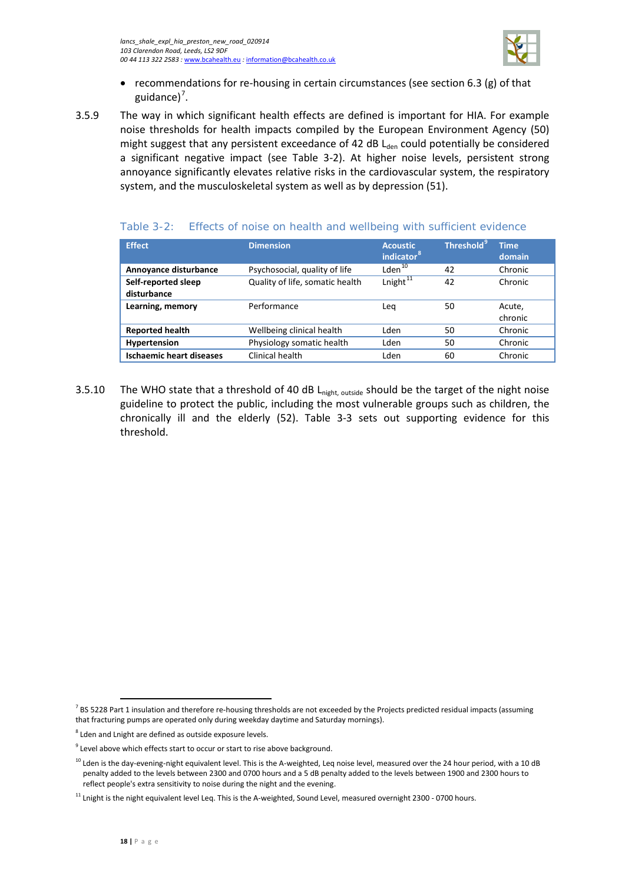

- recommendations for re-housing in certain circumstances (see section 6.3 (g) of that guidance)<sup>[7](#page-21-1)</sup>.
- 3.5.9 The way in which significant health effects are defined is important for HIA. For example noise thresholds for health impacts compiled by the European Environment Agency (50) might suggest that any persistent exceedance of 42 dB  $L_{den}$  could potentially be considered a significant negative impact (see [Table 3-2\)](#page-21-0). At higher noise levels, persistent strong annoyance significantly elevates relative risks in the cardiovascular system, the respiratory system, and the musculoskeletal system as well as by depression (51).

#### <span id="page-21-0"></span>Table 3-2: Effects of noise on health and wellbeing with sufficient evidence

| <b>Effect</b>                      | <b>Dimension</b>                | <b>Acoustic</b><br>indicator <sup>8</sup> | Threshold <sup>9</sup> | <b>Time</b><br>domain |
|------------------------------------|---------------------------------|-------------------------------------------|------------------------|-----------------------|
| Annoyance disturbance              | Psychosocial, quality of life   | Lden <sup>10</sup>                        | 42                     | Chronic               |
| Self-reported sleep<br>disturbance | Quality of life, somatic health | Lnight <sup>11</sup>                      | 42                     | Chronic               |
| Learning, memory                   | Performance                     | Lea                                       | 50                     | Acute,<br>chronic     |
| <b>Reported health</b>             | Wellbeing clinical health       | Lden                                      | 50                     | Chronic               |
| Hypertension                       | Physiology somatic health       | Lden                                      | 50                     | Chronic               |
| <b>Ischaemic heart diseases</b>    | Clinical health                 | Lden                                      | 60                     | Chronic               |

3.5.10 The WHO state that a threshold of 40 dB L<sub>night, outside</sub> should be the target of the night noise guideline to protect the public, including the most vulnerable groups such as children, the chronically ill and the elderly (52). [Table 3-3](#page-22-0) sets out supporting evidence for this threshold.

 $\overline{\phantom{a}}$ 

<span id="page-21-1"></span> $<sup>7</sup>$  BS 5228 Part 1 insulation and therefore re-housing thresholds are not exceeded by the Projects predicted residual impacts (assuming</sup> that fracturing pumps are operated only during weekday daytime and Saturday mornings).

<span id="page-21-2"></span><sup>8</sup> Lden and Lnight are defined as outside exposure levels.

<span id="page-21-3"></span><sup>&</sup>lt;sup>9</sup> Level above which effects start to occur or start to rise above background.

<span id="page-21-4"></span> $10$  Lden is the day-evening-night equivalent level. This is the A-weighted, Leq noise level, measured over the 24 hour period, with a 10 dB penalty added to the levels between 2300 and 0700 hours and a 5 dB penalty added to the levels between 1900 and 2300 hours to reflect people's extra sensitivity to noise during the night and the evening.

<span id="page-21-5"></span> $11$  Lnight is the night equivalent level Leq. This is the A-weighted, Sound Level, measured overnight 2300 - 0700 hours.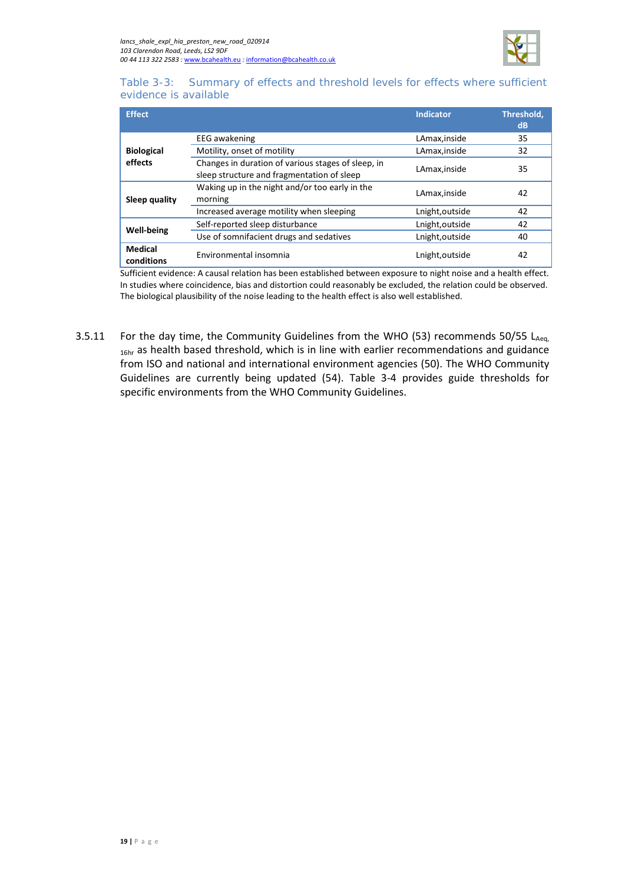

#### <span id="page-22-0"></span>Table 3-3: Summary of effects and threshold levels for effects where sufficient evidence is available

| <b>Effect</b>                |                                                                                                  | <b>Indicator</b> | Threshold.<br>dB |
|------------------------------|--------------------------------------------------------------------------------------------------|------------------|------------------|
|                              | <b>EEG</b> awakening                                                                             | LAmax, inside    | 35               |
| <b>Biological</b>            | Motility, onset of motility                                                                      | LAmax, inside    | 32               |
| effects                      | Changes in duration of various stages of sleep, in<br>sleep structure and fragmentation of sleep | LAmax, inside    | 35               |
| <b>Sleep quality</b>         | Waking up in the night and/or too early in the<br>morning                                        | LAmax, inside    | 42               |
|                              | Increased average motility when sleeping                                                         | Lnight, outside  | 42               |
|                              | Self-reported sleep disturbance                                                                  | Lnight, outside  | 42               |
| <b>Well-being</b>            | Use of somnifacient drugs and sedatives                                                          | Lnight, outside  | 40               |
| <b>Medical</b><br>conditions | Environmental insomnia                                                                           | Lnight, outside  | 42               |
|                              |                                                                                                  |                  |                  |

Sufficient evidence: A causal relation has been established between exposure to night noise and a health effect. In studies where coincidence, bias and distortion could reasonably be excluded, the relation could be observed. The biological plausibility of the noise leading to the health effect is also well established.

3.5.11 For the day time, the Community Guidelines from the WHO (53) recommends 50/55  $L_{Aea}$ <sub>16hr</sub> as health based threshold, which is in line with earlier recommendations and guidance from ISO and national and international environment agencies (50). The WHO Community Guidelines are currently being updated (54). [Table 3-4](#page-23-0) provides guide thresholds for specific environments from the WHO Community Guidelines.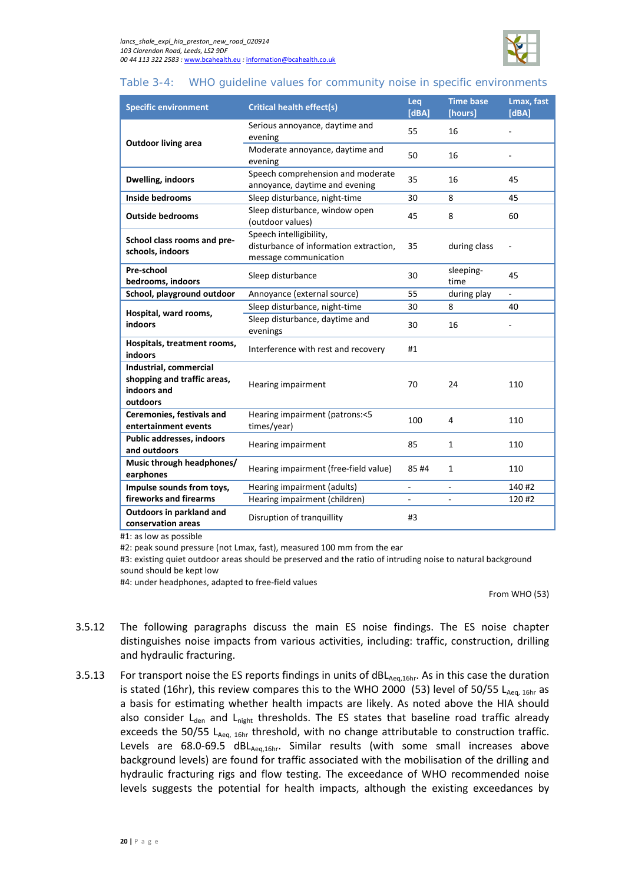

### <span id="page-23-0"></span>Table 3-4: WHO guideline values for community noise in specific environments

| <b>Specific environment</b>                                                      | <b>Critical health effect(s)</b>                                                           | Leq<br>[dBA] | <b>Time base</b><br>[hours] | Lmax, fast<br>[dBA]      |
|----------------------------------------------------------------------------------|--------------------------------------------------------------------------------------------|--------------|-----------------------------|--------------------------|
| <b>Outdoor living area</b>                                                       | Serious annoyance, daytime and<br>evening                                                  | 55           | 16                          |                          |
|                                                                                  | Moderate annoyance, daytime and<br>evening                                                 | 50           | 16                          |                          |
| Dwelling, indoors                                                                | Speech comprehension and moderate<br>annoyance, daytime and evening                        | 35           | 16                          | 45                       |
| <b>Inside bedrooms</b>                                                           | Sleep disturbance, night-time                                                              | 30           | 8                           | 45                       |
| <b>Outside bedrooms</b>                                                          | Sleep disturbance, window open<br>(outdoor values)                                         | 45           | 8                           | 60                       |
| School class rooms and pre-<br>schools, indoors                                  | Speech intelligibility,<br>disturbance of information extraction,<br>message communication | 35           | during class                |                          |
| Pre-school<br>Sleep disturbance<br>bedrooms, indoors                             |                                                                                            | 30           | sleeping-<br>time           | 45                       |
| School, playground outdoor<br>Annoyance (external source)                        |                                                                                            | 55           | during play                 | $\overline{\phantom{a}}$ |
| Hospital, ward rooms,                                                            | Sleep disturbance, night-time                                                              | 30           | 8                           | 40                       |
| <b>indoors</b>                                                                   | Sleep disturbance, daytime and<br>evenings                                                 | 30           | 16                          |                          |
| Hospitals, treatment rooms,<br>Interference with rest and recovery<br>indoors    |                                                                                            | #1           |                             |                          |
| Industrial, commercial<br>shopping and traffic areas,<br>indoors and<br>outdoors | Hearing impairment                                                                         |              | 24                          | 110                      |
| Ceremonies, festivals and<br>entertainment events                                | Hearing impairment (patrons:<5<br>times/year)                                              | 100          | 4                           | 110                      |
| Public addresses, indoors<br>and outdoors                                        | Hearing impairment                                                                         | 85           | 1                           | 110                      |
| Music through headphones/<br>earphones                                           | Hearing impairment (free-field value)                                                      | 85#4         | 1                           | 110                      |
| Impulse sounds from toys,                                                        | Hearing impairment (adults)                                                                | ÷,           | $\overline{\phantom{a}}$    | 140#2                    |
| fireworks and firearms                                                           | Hearing impairment (children)                                                              |              |                             | 120 #2                   |
| Outdoors in parkland and<br>Disruption of tranquillity<br>conservation areas     |                                                                                            | #3           |                             |                          |

 $#1:$  as low as possible

#2: peak sound pressure (not Lmax, fast), measured 100 mm from the ear

#3: existing quiet outdoor areas should be preserved and the ratio of intruding noise to natural background sound should be kept low

#4: under headphones, adapted to free-field values

From WHO (53)

- 3.5.12 The following paragraphs discuss the main ES noise findings. The ES noise chapter distinguishes noise impacts from various activities, including: traffic, construction, drilling and hydraulic fracturing.
- 3.5.13 For transport noise the ES reports findings in units of dBL<sub>Aeq,16hr</sub>. As in this case the duration is stated (16hr), this review compares this to the WHO 2000 (53) level of 50/55 LAeq, 16hr as a basis for estimating whether health impacts are likely. As noted above the HIA should also consider  $L<sub>den</sub>$  and  $L<sub>night</sub>$  thresholds. The ES states that baseline road traffic already exceeds the 50/55  $L_{Aea, 16hr}$  threshold, with no change attributable to construction traffic. Levels are  $68.0$ -69.5 dBL $_{Aea,16hr}$ . Similar results (with some small increases above background levels) are found for traffic associated with the mobilisation of the drilling and hydraulic fracturing rigs and flow testing. The exceedance of WHO recommended noise levels suggests the potential for health impacts, although the existing exceedances by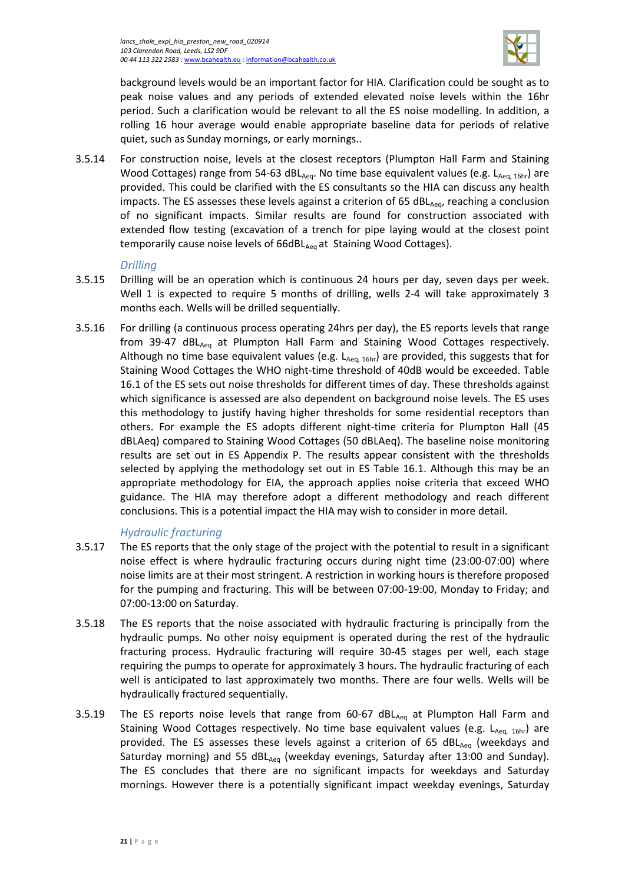

background levels would be an important factor for HIA. Clarification could be sought as to peak noise values and any periods of extended elevated noise levels within the 16hr period. Such a clarification would be relevant to all the ES noise modelling. In addition, a rolling 16 hour average would enable appropriate baseline data for periods of relative quiet, such as Sunday mornings, or early mornings..

3.5.14 For construction noise, levels at the closest receptors (Plumpton Hall Farm and Staining Wood Cottages) range from 54-63 dBL<sub>Aeq</sub>. No time base equivalent values (e.g. L<sub>Aeq. 16hr</sub>) are provided. This could be clarified with the ES consultants so the HIA can discuss any health impacts. The ES assesses these levels against a criterion of 65 dBL $_{Aeq}$ , reaching a conclusion of no significant impacts. Similar results are found for construction associated with extended flow testing (excavation of a trench for pipe laying would at the closest point temporarily cause noise levels of 66dBL<sub>Aeq</sub> at Staining Wood Cottages).

### *Drilling*

- 3.5.15 Drilling will be an operation which is continuous 24 hours per day, seven days per week. Well 1 is expected to require 5 months of drilling, wells 2-4 will take approximately 3 months each. Wells will be drilled sequentially.
- 3.5.16 For drilling (a continuous process operating 24hrs per day), the ES reports levels that range from 39-47 dBL<sub>Aeq</sub> at Plumpton Hall Farm and Staining Wood Cottages respectively. Although no time base equivalent values (e.g.  $L_{Aeq, 16hr}$ ) are provided, this suggests that for Staining Wood Cottages the WHO night-time threshold of 40dB would be exceeded. Table 16.1 of the ES sets out noise thresholds for different times of day. These thresholds against which significance is assessed are also dependent on background noise levels. The ES uses this methodology to justify having higher thresholds for some residential receptors than others. For example the ES adopts different night-time criteria for Plumpton Hall (45 dBLAeq) compared to Staining Wood Cottages (50 dBLAeq). The baseline noise monitoring results are set out in ES Appendix P. The results appear consistent with the thresholds selected by applying the methodology set out in ES Table 16.1. Although this may be an appropriate methodology for EIA, the approach applies noise criteria that exceed WHO guidance. The HIA may therefore adopt a different methodology and reach different conclusions. This is a potential impact the HIA may wish to consider in more detail.

### *Hydraulic fracturing*

- 3.5.17 The ES reports that the only stage of the project with the potential to result in a significant noise effect is where hydraulic fracturing occurs during night time (23:00-07:00) where noise limits are at their most stringent. A restriction in working hours is therefore proposed for the pumping and fracturing. This will be between 07:00-19:00, Monday to Friday; and 07:00-13:00 on Saturday.
- 3.5.18 The ES reports that the noise associated with hydraulic fracturing is principally from the hydraulic pumps. No other noisy equipment is operated during the rest of the hydraulic fracturing process. Hydraulic fracturing will require 30-45 stages per well, each stage requiring the pumps to operate for approximately 3 hours. The hydraulic fracturing of each well is anticipated to last approximately two months. There are four wells. Wells will be hydraulically fractured sequentially.
- 3.5.19 The ES reports noise levels that range from  $60-67$  dBL $_{Aeq}$  at Plumpton Hall Farm and Staining Wood Cottages respectively. No time base equivalent values (e.g.  $L_{Aeq-16hr}$ ) are provided. The ES assesses these levels against a criterion of 65  $dBL<sub>Aea</sub>$  (weekdays and Saturday morning) and 55 dBL $_{Aeq}$  (weekday evenings, Saturday after 13:00 and Sunday). The ES concludes that there are no significant impacts for weekdays and Saturday mornings. However there is a potentially significant impact weekday evenings, Saturday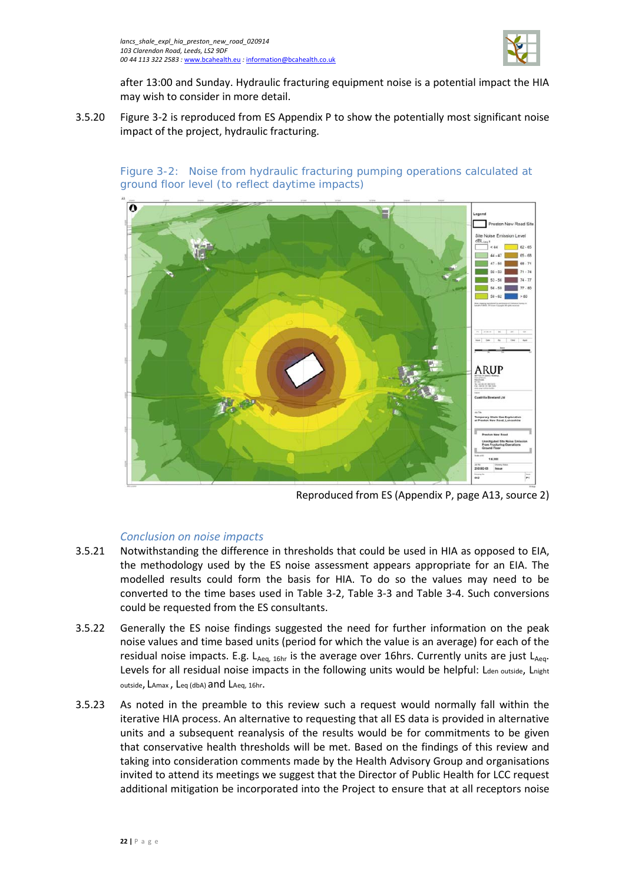

after 13:00 and Sunday. Hydraulic fracturing equipment noise is a potential impact the HIA may wish to consider in more detail.

3.5.20 [Figure 3-2](#page-25-0) is reproduced from ES Appendix P to show the potentially most significant noise impact of the project, hydraulic fracturing.

<span id="page-25-0"></span>Figure 3-2: Noise from hydraulic fracturing pumping operations calculated at ground floor level (to reflect daytime impacts)



Reproduced from ES (Appendix P, page A13, source 2)

### *Conclusion on noise impacts*

- 3.5.21 Notwithstanding the difference in thresholds that could be used in HIA as opposed to EIA, the methodology used by the ES noise assessment appears appropriate for an EIA. The modelled results could form the basis for HIA. To do so the values may need to be converted to the time bases used in [Table 3-2,](#page-21-0) [Table 3-3](#page-22-0) and [Table 3-4.](#page-23-0) Such conversions could be requested from the ES consultants.
- 3.5.22 Generally the ES noise findings suggested the need for further information on the peak noise values and time based units (period for which the value is an average) for each of the residual noise impacts. E.g.  $L_{Aeq, 16hr}$  is the average over 16hrs. Currently units are just  $L_{Aeq}$ . Levels for all residual noise impacts in the following units would be helpful: Lden outside, Lnight outside, LAmax , Leq (dbA) and LAeq, 16hr.
- 3.5.23 As noted in the preamble to this review such a request would normally fall within the iterative HIA process. An alternative to requesting that all ES data is provided in alternative units and a subsequent reanalysis of the results would be for commitments to be given that conservative health thresholds will be met. Based on the findings of this review and taking into consideration comments made by the Health Advisory Group and organisations invited to attend its meetings we suggest that the Director of Public Health for LCC request additional mitigation be incorporated into the Project to ensure that at all receptors noise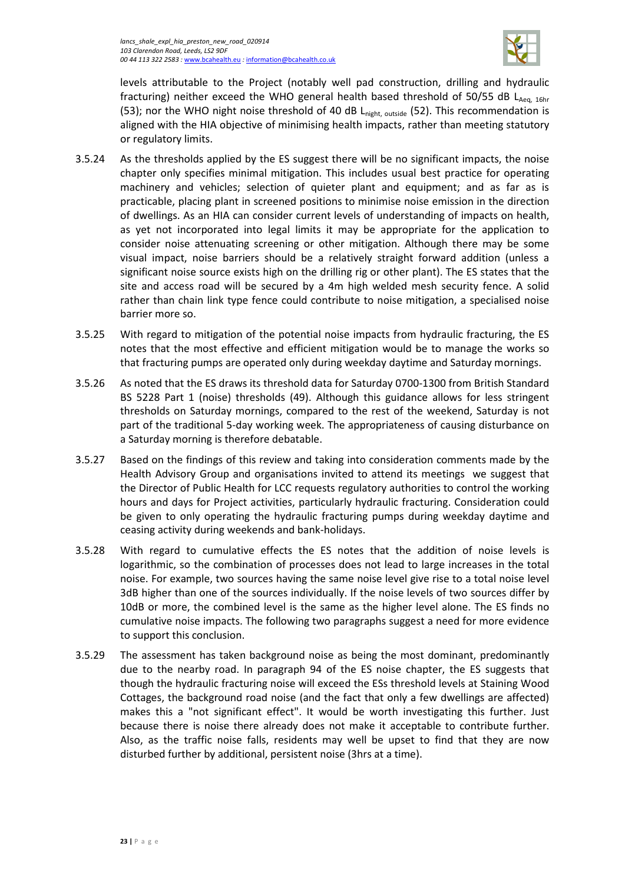

levels attributable to the Project (notably well pad construction, drilling and hydraulic fracturing) neither exceed the WHO general health based threshold of 50/55 dB  $L_{Aea, 16hr}$ (53); nor the WHO night noise threshold of 40 dB  $L_{night, outside}$  (52). This recommendation is aligned with the HIA objective of minimising health impacts, rather than meeting statutory or regulatory limits.

- 3.5.24 As the thresholds applied by the ES suggest there will be no significant impacts, the noise chapter only specifies minimal mitigation. This includes usual best practice for operating machinery and vehicles; selection of quieter plant and equipment; and as far as is practicable, placing plant in screened positions to minimise noise emission in the direction of dwellings. As an HIA can consider current levels of understanding of impacts on health, as yet not incorporated into legal limits it may be appropriate for the application to consider noise attenuating screening or other mitigation. Although there may be some visual impact, noise barriers should be a relatively straight forward addition (unless a significant noise source exists high on the drilling rig or other plant). The ES states that the site and access road will be secured by a 4m high welded mesh security fence. A solid rather than chain link type fence could contribute to noise mitigation, a specialised noise barrier more so.
- 3.5.25 With regard to mitigation of the potential noise impacts from hydraulic fracturing, the ES notes that the most effective and efficient mitigation would be to manage the works so that fracturing pumps are operated only during weekday daytime and Saturday mornings.
- 3.5.26 As noted that the ES draws its threshold data for Saturday 0700-1300 from British Standard BS 5228 Part 1 (noise) thresholds (49). Although this guidance allows for less stringent thresholds on Saturday mornings, compared to the rest of the weekend, Saturday is not part of the traditional 5-day working week. The appropriateness of causing disturbance on a Saturday morning is therefore debatable.
- 3.5.27 Based on the findings of this review and taking into consideration comments made by the Health Advisory Group and organisations invited to attend its meetings we suggest that the Director of Public Health for LCC requests regulatory authorities to control the working hours and days for Project activities, particularly hydraulic fracturing. Consideration could be given to only operating the hydraulic fracturing pumps during weekday daytime and ceasing activity during weekends and bank-holidays.
- 3.5.28 With regard to cumulative effects the ES notes that the addition of noise levels is logarithmic, so the combination of processes does not lead to large increases in the total noise. For example, two sources having the same noise level give rise to a total noise level 3dB higher than one of the sources individually. If the noise levels of two sources differ by 10dB or more, the combined level is the same as the higher level alone. The ES finds no cumulative noise impacts. The following two paragraphs suggest a need for more evidence to support this conclusion.
- 3.5.29 The assessment has taken background noise as being the most dominant, predominantly due to the nearby road. In paragraph 94 of the ES noise chapter, the ES suggests that though the hydraulic fracturing noise will exceed the ESs threshold levels at Staining Wood Cottages, the background road noise (and the fact that only a few dwellings are affected) makes this a "not significant effect". It would be worth investigating this further. Just because there is noise there already does not make it acceptable to contribute further. Also, as the traffic noise falls, residents may well be upset to find that they are now disturbed further by additional, persistent noise (3hrs at a time).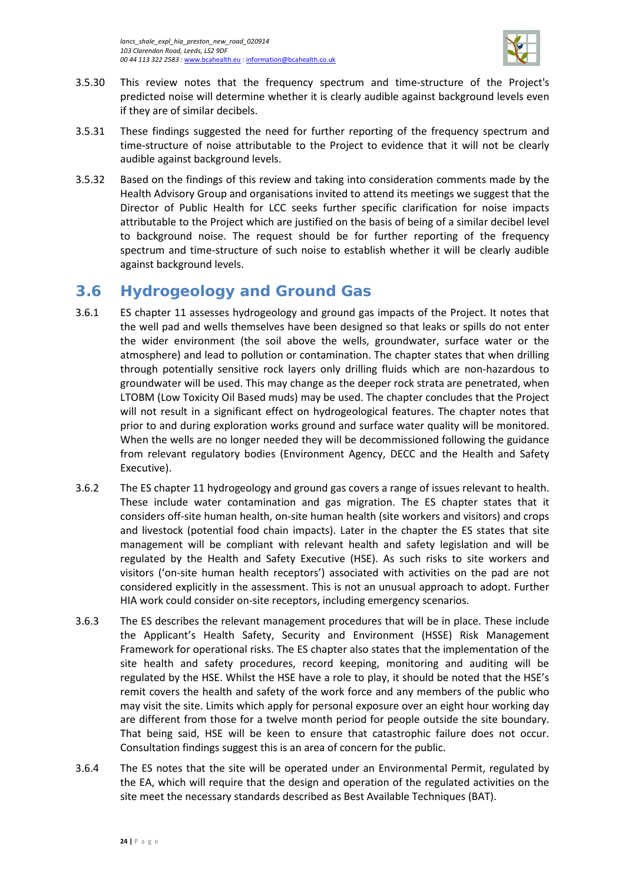

- 3.5.30 This review notes that the frequency spectrum and time-structure of the Project's predicted noise will determine whether it is clearly audible against background levels even if they are of similar decibels.
- 3.5.31 These findings suggested the need for further reporting of the frequency spectrum and time-structure of noise attributable to the Project to evidence that it will not be clearly audible against background levels.
- 3.5.32 Based on the findings of this review and taking into consideration comments made by the Health Advisory Group and organisations invited to attend its meetings we suggest that the Director of Public Health for LCC seeks further specific clarification for noise impacts attributable to the Project which are justified on the basis of being of a similar decibel level to background noise. The request should be for further reporting of the frequency spectrum and time-structure of such noise to establish whether it will be clearly audible against background levels.

# <span id="page-27-0"></span>**3.6 Hydrogeology and Ground Gas**

- 3.6.1 ES chapter 11 assesses hydrogeology and ground gas impacts of the Project. It notes that the well pad and wells themselves have been designed so that leaks or spills do not enter the wider environment (the soil above the wells, groundwater, surface water or the atmosphere) and lead to pollution or contamination. The chapter states that when drilling through potentially sensitive rock layers only drilling fluids which are non-hazardous to groundwater will be used. This may change as the deeper rock strata are penetrated, when LTOBM (Low Toxicity Oil Based muds) may be used. The chapter concludes that the Project will not result in a significant effect on hydrogeological features. The chapter notes that prior to and during exploration works ground and surface water quality will be monitored. When the wells are no longer needed they will be decommissioned following the guidance from relevant regulatory bodies (Environment Agency, DECC and the Health and Safety Executive).
- 3.6.2 The ES chapter 11 hydrogeology and ground gas covers a range of issues relevant to health. These include water contamination and gas migration. The ES chapter states that it considers off-site human health, on-site human health (site workers and visitors) and crops and livestock (potential food chain impacts). Later in the chapter the ES states that site management will be compliant with relevant health and safety legislation and will be regulated by the Health and Safety Executive (HSE). As such risks to site workers and visitors ('on-site human health receptors') associated with activities on the pad are not considered explicitly in the assessment. This is not an unusual approach to adopt. Further HIA work could consider on-site receptors, including emergency scenarios.
- 3.6.3 The ES describes the relevant management procedures that will be in place. These include the Applicant's Health Safety, Security and Environment (HSSE) Risk Management Framework for operational risks. The ES chapter also states that the implementation of the site health and safety procedures, record keeping, monitoring and auditing will be regulated by the HSE. Whilst the HSE have a role to play, it should be noted that the HSE's remit covers the health and safety of the work force and any members of the public who may visit the site. Limits which apply for personal exposure over an eight hour working day are different from those for a twelve month period for people outside the site boundary. That being said, HSE will be keen to ensure that catastrophic failure does not occur. Consultation findings suggest this is an area of concern for the public.
- 3.6.4 The ES notes that the site will be operated under an Environmental Permit, regulated by the EA, which will require that the design and operation of the regulated activities on the site meet the necessary standards described as Best Available Techniques (BAT).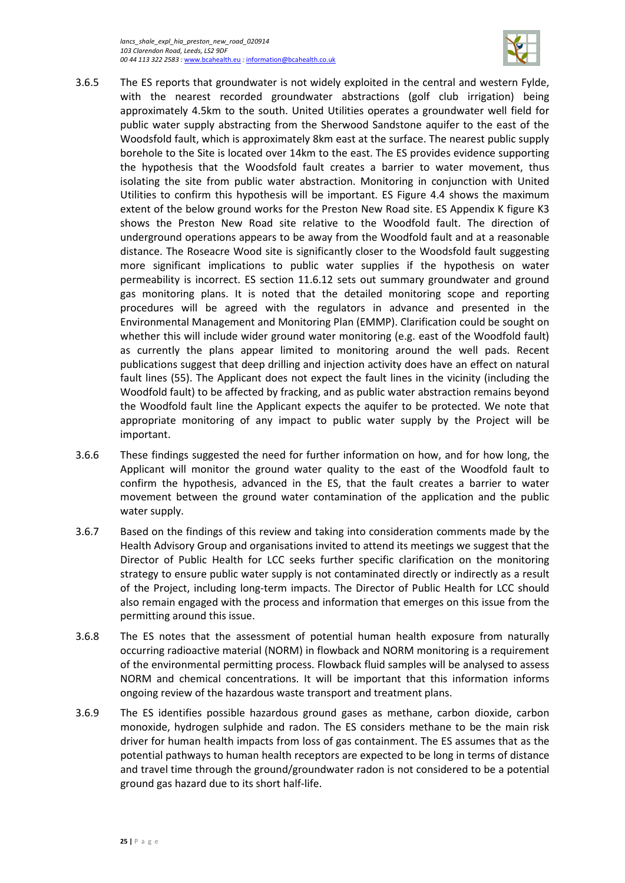*lancs\_shale\_expl\_hia\_preston\_new\_road\_020914 103 Clarendon Road, Leeds, LS2 9DF 00 44 113 322 2583 :* [www.bcahealth.eu](http://www.bcahealth.eu/) *:* [information@bcahealth.co.uk](mailto:information@bcahealth.co.uk)



- 3.6.5 The ES reports that groundwater is not widely exploited in the central and western Fylde, with the nearest recorded groundwater abstractions (golf club irrigation) being approximately 4.5km to the south. United Utilities operates a groundwater well field for public water supply abstracting from the Sherwood Sandstone aquifer to the east of the Woodsfold fault, which is approximately 8km east at the surface. The nearest public supply borehole to the Site is located over 14km to the east. The ES provides evidence supporting the hypothesis that the Woodsfold fault creates a barrier to water movement, thus isolating the site from public water abstraction. Monitoring in conjunction with United Utilities to confirm this hypothesis will be important. ES Figure 4.4 shows the maximum extent of the below ground works for the Preston New Road site. ES Appendix K figure K3 shows the Preston New Road site relative to the Woodfold fault. The direction of underground operations appears to be away from the Woodfold fault and at a reasonable distance. The Roseacre Wood site is significantly closer to the Woodsfold fault suggesting more significant implications to public water supplies if the hypothesis on water permeability is incorrect. ES section 11.6.12 sets out summary groundwater and ground gas monitoring plans. It is noted that the detailed monitoring scope and reporting procedures will be agreed with the regulators in advance and presented in the Environmental Management and Monitoring Plan (EMMP). Clarification could be sought on whether this will include wider ground water monitoring (e.g. east of the Woodfold fault) as currently the plans appear limited to monitoring around the well pads. Recent publications suggest that deep drilling and injection activity does have an effect on natural fault lines (55). The Applicant does not expect the fault lines in the vicinity (including the Woodfold fault) to be affected by fracking, and as public water abstraction remains beyond the Woodfold fault line the Applicant expects the aquifer to be protected. We note that appropriate monitoring of any impact to public water supply by the Project will be important.
- 3.6.6 These findings suggested the need for further information on how, and for how long, the Applicant will monitor the ground water quality to the east of the Woodfold fault to confirm the hypothesis, advanced in the ES, that the fault creates a barrier to water movement between the ground water contamination of the application and the public water supply.
- 3.6.7 Based on the findings of this review and taking into consideration comments made by the Health Advisory Group and organisations invited to attend its meetings we suggest that the Director of Public Health for LCC seeks further specific clarification on the monitoring strategy to ensure public water supply is not contaminated directly or indirectly as a result of the Project, including long-term impacts. The Director of Public Health for LCC should also remain engaged with the process and information that emerges on this issue from the permitting around this issue.
- 3.6.8 The ES notes that the assessment of potential human health exposure from naturally occurring radioactive material (NORM) in flowback and NORM monitoring is a requirement of the environmental permitting process. Flowback fluid samples will be analysed to assess NORM and chemical concentrations. It will be important that this information informs ongoing review of the hazardous waste transport and treatment plans.
- 3.6.9 The ES identifies possible hazardous ground gases as methane, carbon dioxide, carbon monoxide, hydrogen sulphide and radon. The ES considers methane to be the main risk driver for human health impacts from loss of gas containment. The ES assumes that as the potential pathways to human health receptors are expected to be long in terms of distance and travel time through the ground/groundwater radon is not considered to be a potential ground gas hazard due to its short half-life.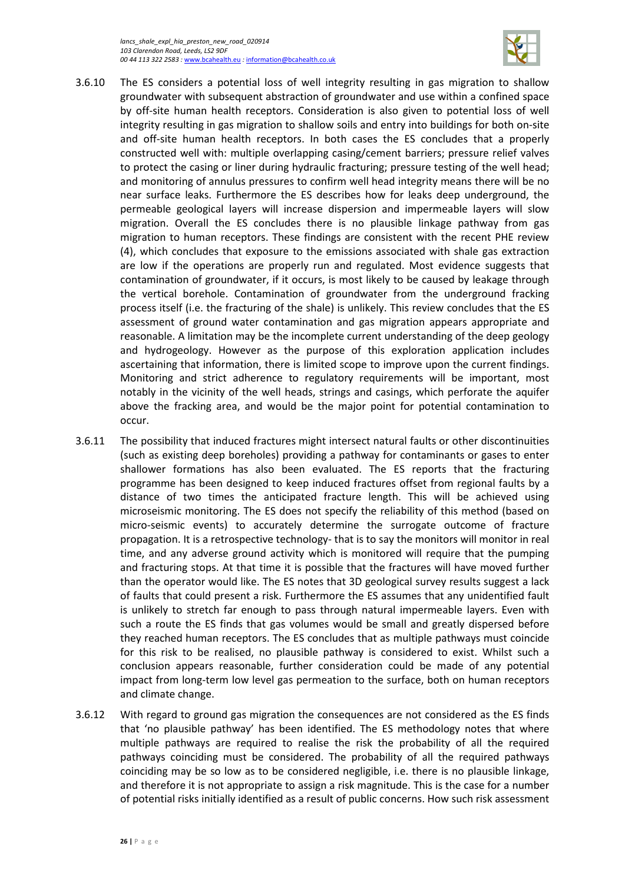

- 3.6.10 The ES considers a potential loss of well integrity resulting in gas migration to shallow groundwater with subsequent abstraction of groundwater and use within a confined space by off-site human health receptors. Consideration is also given to potential loss of well integrity resulting in gas migration to shallow soils and entry into buildings for both on-site and off-site human health receptors. In both cases the ES concludes that a properly constructed well with: multiple overlapping casing/cement barriers; pressure relief valves to protect the casing or liner during hydraulic fracturing; pressure testing of the well head; and monitoring of annulus pressures to confirm well head integrity means there will be no near surface leaks. Furthermore the ES describes how for leaks deep underground, the permeable geological layers will increase dispersion and impermeable layers will slow migration. Overall the ES concludes there is no plausible linkage pathway from gas migration to human receptors. These findings are consistent with the recent PHE review (4), which concludes that exposure to the emissions associated with shale gas extraction are low if the operations are properly run and regulated. Most evidence suggests that contamination of groundwater, if it occurs, is most likely to be caused by leakage through the vertical borehole. Contamination of groundwater from the underground fracking process itself (i.e. the fracturing of the shale) is unlikely. This review concludes that the ES assessment of ground water contamination and gas migration appears appropriate and reasonable. A limitation may be the incomplete current understanding of the deep geology and hydrogeology. However as the purpose of this exploration application includes ascertaining that information, there is limited scope to improve upon the current findings. Monitoring and strict adherence to regulatory requirements will be important, most notably in the vicinity of the well heads, strings and casings, which perforate the aquifer above the fracking area, and would be the major point for potential contamination to occur.
- 3.6.11 The possibility that induced fractures might intersect natural faults or other discontinuities (such as existing deep boreholes) providing a pathway for contaminants or gases to enter shallower formations has also been evaluated. The ES reports that the fracturing programme has been designed to keep induced fractures offset from regional faults by a distance of two times the anticipated fracture length. This will be achieved using microseismic monitoring. The ES does not specify the reliability of this method (based on micro-seismic events) to accurately determine the surrogate outcome of fracture propagation. It is a retrospective technology- that is to say the monitors will monitor in real time, and any adverse ground activity which is monitored will require that the pumping and fracturing stops. At that time it is possible that the fractures will have moved further than the operator would like. The ES notes that 3D geological survey results suggest a lack of faults that could present a risk. Furthermore the ES assumes that any unidentified fault is unlikely to stretch far enough to pass through natural impermeable layers. Even with such a route the ES finds that gas volumes would be small and greatly dispersed before they reached human receptors. The ES concludes that as multiple pathways must coincide for this risk to be realised, no plausible pathway is considered to exist. Whilst such a conclusion appears reasonable, further consideration could be made of any potential impact from long-term low level gas permeation to the surface, both on human receptors and climate change.
- 3.6.12 With regard to ground gas migration the consequences are not considered as the ES finds that 'no plausible pathway' has been identified. The ES methodology notes that where multiple pathways are required to realise the risk the probability of all the required pathways coinciding must be considered. The probability of all the required pathways coinciding may be so low as to be considered negligible, i.e. there is no plausible linkage, and therefore it is not appropriate to assign a risk magnitude. This is the case for a number of potential risks initially identified as a result of public concerns. How such risk assessment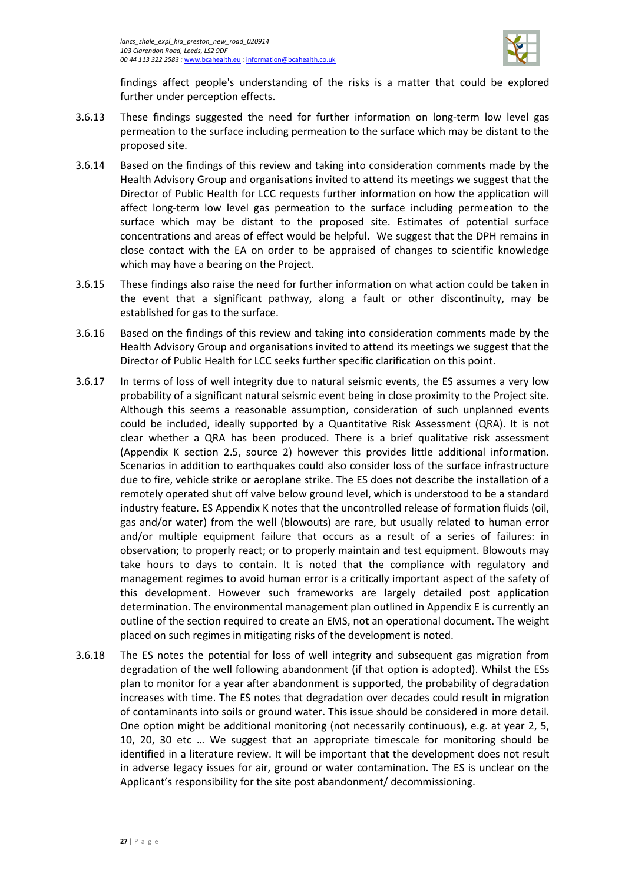

findings affect people's understanding of the risks is a matter that could be explored further under perception effects.

- 3.6.13 These findings suggested the need for further information on long-term low level gas permeation to the surface including permeation to the surface which may be distant to the proposed site.
- 3.6.14 Based on the findings of this review and taking into consideration comments made by the Health Advisory Group and organisations invited to attend its meetings we suggest that the Director of Public Health for LCC requests further information on how the application will affect long-term low level gas permeation to the surface including permeation to the surface which may be distant to the proposed site. Estimates of potential surface concentrations and areas of effect would be helpful. We suggest that the DPH remains in close contact with the EA on order to be appraised of changes to scientific knowledge which may have a bearing on the Project.
- 3.6.15 These findings also raise the need for further information on what action could be taken in the event that a significant pathway, along a fault or other discontinuity, may be established for gas to the surface.
- 3.6.16 Based on the findings of this review and taking into consideration comments made by the Health Advisory Group and organisations invited to attend its meetings we suggest that the Director of Public Health for LCC seeks further specific clarification on this point.
- 3.6.17 In terms of loss of well integrity due to natural seismic events, the ES assumes a very low probability of a significant natural seismic event being in close proximity to the Project site. Although this seems a reasonable assumption, consideration of such unplanned events could be included, ideally supported by a Quantitative Risk Assessment (QRA). It is not clear whether a QRA has been produced. There is a brief qualitative risk assessment (Appendix K section 2.5, source 2) however this provides little additional information. Scenarios in addition to earthquakes could also consider loss of the surface infrastructure due to fire, vehicle strike or aeroplane strike. The ES does not describe the installation of a remotely operated shut off valve below ground level, which is understood to be a standard industry feature. ES Appendix K notes that the uncontrolled release of formation fluids (oil, gas and/or water) from the well (blowouts) are rare, but usually related to human error and/or multiple equipment failure that occurs as a result of a series of failures: in observation; to properly react; or to properly maintain and test equipment. Blowouts may take hours to days to contain. It is noted that the compliance with regulatory and management regimes to avoid human error is a critically important aspect of the safety of this development. However such frameworks are largely detailed post application determination. The environmental management plan outlined in Appendix E is currently an outline of the section required to create an EMS, not an operational document. The weight placed on such regimes in mitigating risks of the development is noted.
- 3.6.18 The ES notes the potential for loss of well integrity and subsequent gas migration from degradation of the well following abandonment (if that option is adopted). Whilst the ESs plan to monitor for a year after abandonment is supported, the probability of degradation increases with time. The ES notes that degradation over decades could result in migration of contaminants into soils or ground water. This issue should be considered in more detail. One option might be additional monitoring (not necessarily continuous), e.g. at year 2, 5, 10, 20, 30 etc … We suggest that an appropriate timescale for monitoring should be identified in a literature review. It will be important that the development does not result in adverse legacy issues for air, ground or water contamination. The ES is unclear on the Applicant's responsibility for the site post abandonment/ decommissioning.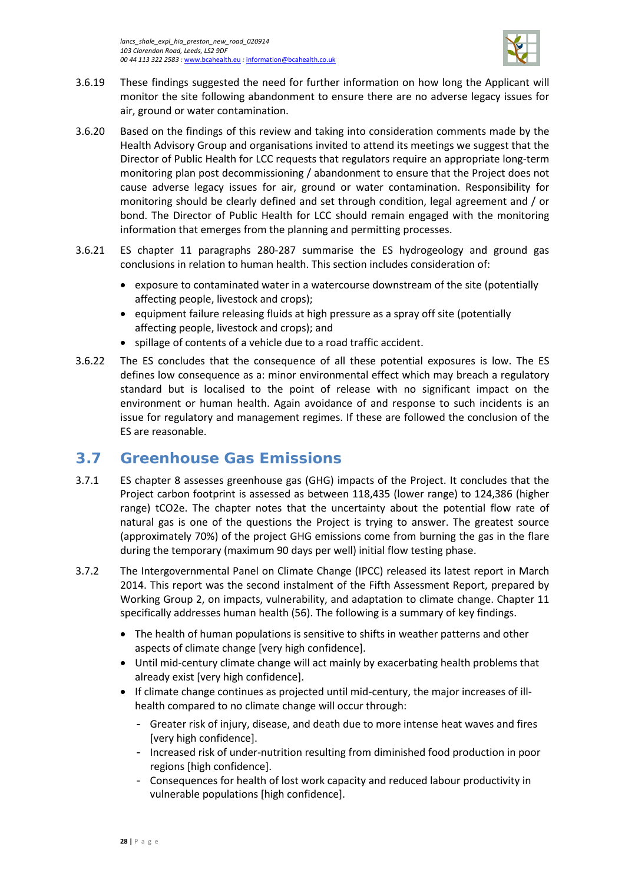

- 3.6.19 These findings suggested the need for further information on how long the Applicant will monitor the site following abandonment to ensure there are no adverse legacy issues for air, ground or water contamination.
- 3.6.20 Based on the findings of this review and taking into consideration comments made by the Health Advisory Group and organisations invited to attend its meetings we suggest that the Director of Public Health for LCC requests that regulators require an appropriate long-term monitoring plan post decommissioning / abandonment to ensure that the Project does not cause adverse legacy issues for air, ground or water contamination. Responsibility for monitoring should be clearly defined and set through condition, legal agreement and / or bond. The Director of Public Health for LCC should remain engaged with the monitoring information that emerges from the planning and permitting processes.
- 3.6.21 ES chapter 11 paragraphs 280-287 summarise the ES hydrogeology and ground gas conclusions in relation to human health. This section includes consideration of:
	- exposure to contaminated water in a watercourse downstream of the site (potentially affecting people, livestock and crops);
	- equipment failure releasing fluids at high pressure as a spray off site (potentially affecting people, livestock and crops); and
	- spillage of contents of a vehicle due to a road traffic accident.
- 3.6.22 The ES concludes that the consequence of all these potential exposures is low. The ES defines low consequence as a: minor environmental effect which may breach a regulatory standard but is localised to the point of release with no significant impact on the environment or human health. Again avoidance of and response to such incidents is an issue for regulatory and management regimes. If these are followed the conclusion of the ES are reasonable.

# <span id="page-31-0"></span>**3.7 Greenhouse Gas Emissions**

- 3.7.1 ES chapter 8 assesses greenhouse gas (GHG) impacts of the Project. It concludes that the Project carbon footprint is assessed as between 118,435 (lower range) to 124,386 (higher range) tCO2e. The chapter notes that the uncertainty about the potential flow rate of natural gas is one of the questions the Project is trying to answer. The greatest source (approximately 70%) of the project GHG emissions come from burning the gas in the flare during the temporary (maximum 90 days per well) initial flow testing phase.
- 3.7.2 The Intergovernmental Panel on Climate Change (IPCC) released its latest report in March 2014. This report was the second instalment of the Fifth Assessment Report, prepared by Working Group 2, on impacts, vulnerability, and adaptation to climate change. Chapter 11 specifically addresses human health (56). The following is a summary of key findings.
	- The health of human populations is sensitive to shifts in weather patterns and other aspects of climate change [very high confidence].
	- Until mid-century climate change will act mainly by exacerbating health problems that already exist [very high confidence].
	- If climate change continues as projected until mid-century, the major increases of illhealth compared to no climate change will occur through:
		- Greater risk of injury, disease, and death due to more intense heat waves and fires [very high confidence].
		- Increased risk of under-nutrition resulting from diminished food production in poor regions [high confidence].
		- Consequences for health of lost work capacity and reduced labour productivity in vulnerable populations [high confidence].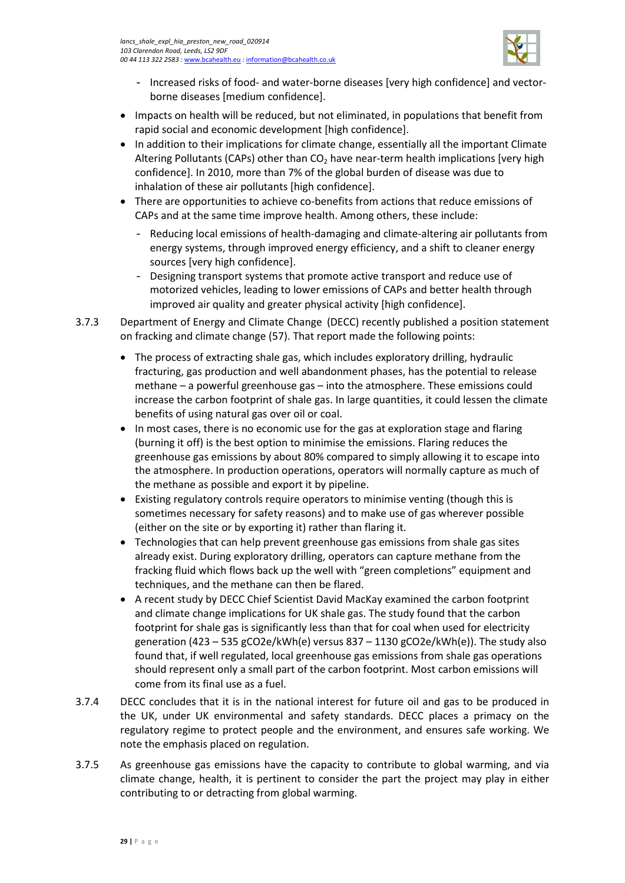

- Increased risks of food- and water-borne diseases [very high confidence] and vectorborne diseases [medium confidence].
- Impacts on health will be reduced, but not eliminated, in populations that benefit from rapid social and economic development [high confidence].
- In addition to their implications for climate change, essentially all the important Climate Altering Pollutants (CAPs) other than  $CO<sub>2</sub>$  have near-term health implications [very high confidence]. In 2010, more than 7% of the global burden of disease was due to inhalation of these air pollutants [high confidence].
- There are opportunities to achieve co-benefits from actions that reduce emissions of CAPs and at the same time improve health. Among others, these include:
	- Reducing local emissions of health-damaging and climate-altering air pollutants from energy systems, through improved energy efficiency, and a shift to cleaner energy sources [very high confidence].
	- Designing transport systems that promote active transport and reduce use of motorized vehicles, leading to lower emissions of CAPs and better health through improved air quality and greater physical activity [high confidence].
- 3.7.3 Department of Energy and Climate Change (DECC) recently published a position statement on fracking and climate change (57). That report made the following points:
	- The process of extracting shale gas, which includes exploratory drilling, hydraulic fracturing, gas production and well abandonment phases, has the potential to release methane – a powerful greenhouse gas – into the atmosphere. These emissions could increase the carbon footprint of shale gas. In large quantities, it could lessen the climate benefits of using natural gas over oil or coal.
	- In most cases, there is no economic use for the gas at exploration stage and flaring (burning it off) is the best option to minimise the emissions. Flaring reduces the greenhouse gas emissions by about 80% compared to simply allowing it to escape into the atmosphere. In production operations, operators will normally capture as much of the methane as possible and export it by pipeline.
	- Existing regulatory controls require operators to minimise venting (though this is sometimes necessary for safety reasons) and to make use of gas wherever possible (either on the site or by exporting it) rather than flaring it.
	- Technologies that can help prevent greenhouse gas emissions from shale gas sites already exist. During exploratory drilling, operators can capture methane from the fracking fluid which flows back up the well with "green completions" equipment and techniques, and the methane can then be flared.
	- A recent study by DECC Chief Scientist David MacKay examined the carbon footprint and climate change implications for UK shale gas. The study found that the carbon footprint for shale gas is significantly less than that for coal when used for electricity generation (423 – 535 gCO2e/kWh(e) versus 837 – 1130 gCO2e/kWh(e)). The study also found that, if well regulated, local greenhouse gas emissions from shale gas operations should represent only a small part of the carbon footprint. Most carbon emissions will come from its final use as a fuel.
- 3.7.4 DECC concludes that it is in the national interest for future oil and gas to be produced in the UK, under UK environmental and safety standards. DECC places a primacy on the regulatory regime to protect people and the environment, and ensures safe working. We note the emphasis placed on regulation.
- 3.7.5 As greenhouse gas emissions have the capacity to contribute to global warming, and via climate change, health, it is pertinent to consider the part the project may play in either contributing to or detracting from global warming.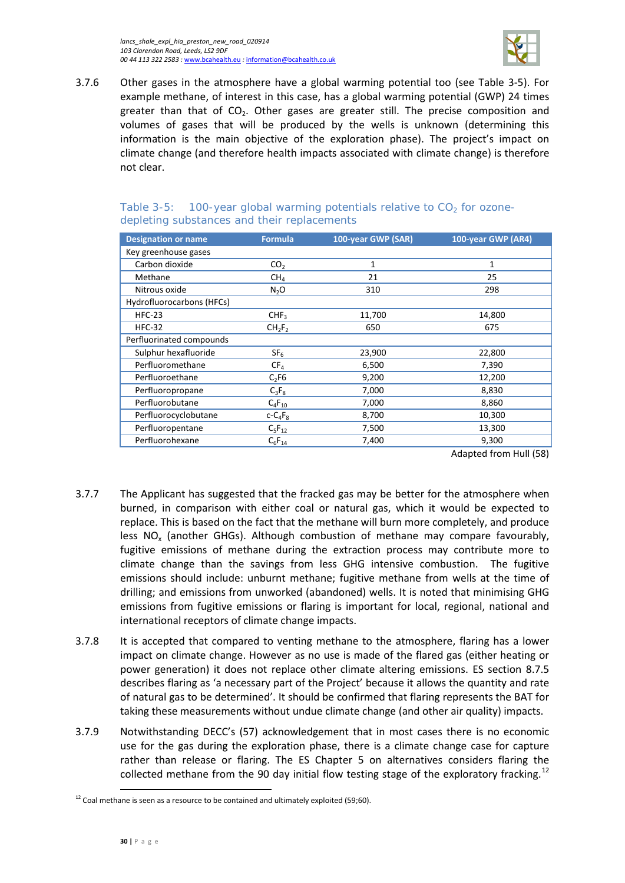*lancs\_shale\_expl\_hia\_preston\_new\_road\_020914 103 Clarendon Road, Leeds, LS2 9DF 00 44 113 322 2583 :* [www.bcahealth.eu](http://www.bcahealth.eu/) *:* [information@bcahealth.co.uk](mailto:information@bcahealth.co.uk)



3.7.6 Other gases in the atmosphere have a global warming potential too (see [Table 3-5\)](#page-33-0). For example methane, of interest in this case, has a global warming potential (GWP) 24 times greater than that of  $CO<sub>2</sub>$ . Other gases are greater still. The precise composition and volumes of gases that will be produced by the wells is unknown (determining this information is the main objective of the exploration phase). The project's impact on climate change (and therefore health impacts associated with climate change) is therefore not clear.

| <b>Designation or name</b> | <b>Formula</b>                 | 100-year GWP (SAR) | 100-year GWP (AR4) |
|----------------------------|--------------------------------|--------------------|--------------------|
| Key greenhouse gases       |                                |                    |                    |
| Carbon dioxide             | CO <sub>2</sub>                | 1                  | 1                  |
| Methane                    | CH <sub>4</sub>                | 21                 | 25                 |
| Nitrous oxide              | N <sub>2</sub> O               | 310                | 298                |
| Hydrofluorocarbons (HFCs)  |                                |                    |                    |
| $HFC-23$                   | CHF <sub>3</sub>               | 11,700             | 14,800             |
| $HFC-32$                   | CH <sub>2</sub> F <sub>2</sub> | 650                | 675                |
| Perfluorinated compounds   |                                |                    |                    |
| Sulphur hexafluoride       | SF <sub>6</sub>                | 23,900             | 22,800             |
| Perfluoromethane           | CF <sub>4</sub>                | 6,500              | 7,390              |
| Perfluoroethane            | $C_2F6$                        | 9,200              | 12,200             |
| Perfluoropropane           | $C_3F_8$                       | 7,000              | 8,830              |
| Perfluorobutane            | $C_4F_{10}$                    | 7,000              | 8,860              |
| Perfluorocyclobutane       | $c - C_4F_8$                   | 8,700              | 10,300             |
| Perfluoropentane           | $C_5F_{12}$                    | 7,500              | 13,300             |
| Perfluorohexane            | $C_6F_{14}$                    | 7,400              | 9,300              |

### <span id="page-33-0"></span>Table 3-5: 100-year global warming potentials relative to  $CO<sub>2</sub>$  for ozonedepleting substances and their replacements

Adapted from Hull (58)

- 3.7.7 The Applicant has suggested that the fracked gas may be better for the atmosphere when burned, in comparison with either coal or natural gas, which it would be expected to replace. This is based on the fact that the methane will burn more completely, and produce less  $NO<sub>x</sub>$  (another GHGs). Although combustion of methane may compare favourably, fugitive emissions of methane during the extraction process may contribute more to climate change than the savings from less GHG intensive combustion. The fugitive emissions should include: unburnt methane; fugitive methane from wells at the time of drilling; and emissions from unworked (abandoned) wells. It is noted that minimising GHG emissions from fugitive emissions or flaring is important for local, regional, national and international receptors of climate change impacts.
- 3.7.8 It is accepted that compared to venting methane to the atmosphere, flaring has a lower impact on climate change. However as no use is made of the flared gas (either heating or power generation) it does not replace other climate altering emissions. ES section 8.7.5 describes flaring as 'a necessary part of the Project' because it allows the quantity and rate of natural gas to be determined'. It should be confirmed that flaring represents the BAT for taking these measurements without undue climate change (and other air quality) impacts.
- 3.7.9 Notwithstanding DECC's (57) acknowledgement that in most cases there is no economic use for the gas during the exploration phase, there is a climate change case for capture rather than release or flaring. The ES Chapter 5 on alternatives considers flaring the collected methane from the 90 day initial flow testing stage of the exploratory fracking.<sup>[12](#page-33-1)</sup>

l

<span id="page-33-1"></span> $12$  Coal methane is seen as a resource to be contained and ultimately exploited (59;60).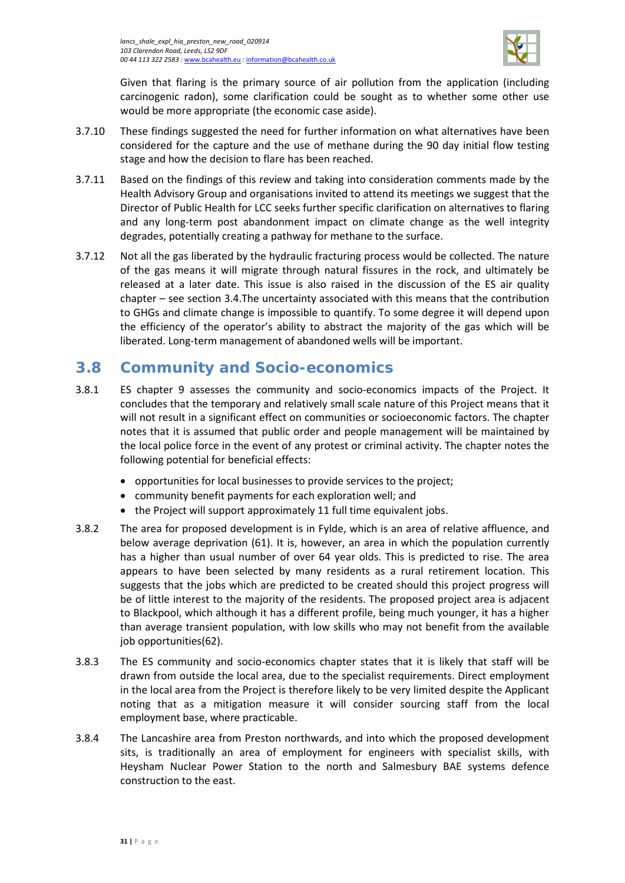

Given that flaring is the primary source of air pollution from the application (including carcinogenic radon), some clarification could be sought as to whether some other use would be more appropriate (the economic case aside).

- 3.7.10 These findings suggested the need for further information on what alternatives have been considered for the capture and the use of methane during the 90 day initial flow testing stage and how the decision to flare has been reached.
- 3.7.11 Based on the findings of this review and taking into consideration comments made by the Health Advisory Group and organisations invited to attend its meetings we suggest that the Director of Public Health for LCC seeks further specific clarification on alternatives to flaring and any long-term post abandonment impact on climate change as the well integrity degrades, potentially creating a pathway for methane to the surface.
- 3.7.12 Not all the gas liberated by the hydraulic fracturing process would be collected. The nature of the gas means it will migrate through natural fissures in the rock, and ultimately be released at a later date. This issue is also raised in the discussion of the ES air quality chapter – see section [3.4.](#page-14-0)The uncertainty associated with this means that the contribution to GHGs and climate change is impossible to quantify. To some degree it will depend upon the efficiency of the operator's ability to abstract the majority of the gas which will be liberated. Long-term management of abandoned wells will be important.

## <span id="page-34-0"></span>**3.8 Community and Socio-economics**

- 3.8.1 ES chapter 9 assesses the community and socio-economics impacts of the Project. It concludes that the temporary and relatively small scale nature of this Project means that it will not result in a significant effect on communities or socioeconomic factors. The chapter notes that it is assumed that public order and people management will be maintained by the local police force in the event of any protest or criminal activity. The chapter notes the following potential for beneficial effects:
	- opportunities for local businesses to provide services to the project;
	- community benefit payments for each exploration well; and
	- the Project will support approximately 11 full time equivalent jobs.
- 3.8.2 The area for proposed development is in Fylde, which is an area of relative affluence, and below average deprivation (61). It is, however, an area in which the population currently has a higher than usual number of over 64 year olds. This is predicted to rise. The area appears to have been selected by many residents as a rural retirement location. This suggests that the jobs which are predicted to be created should this project progress will be of little interest to the majority of the residents. The proposed project area is adjacent to Blackpool, which although it has a different profile, being much younger, it has a higher than average transient population, with low skills who may not benefit from the available job opportunities(62).
- 3.8.3 The ES community and socio-economics chapter states that it is likely that staff will be drawn from outside the local area, due to the specialist requirements. Direct employment in the local area from the Project is therefore likely to be very limited despite the Applicant noting that as a mitigation measure it will consider sourcing staff from the local employment base, where practicable.
- 3.8.4 The Lancashire area from Preston northwards, and into which the proposed development sits, is traditionally an area of employment for engineers with specialist skills, with Heysham Nuclear Power Station to the north and Salmesbury BAE systems defence construction to the east.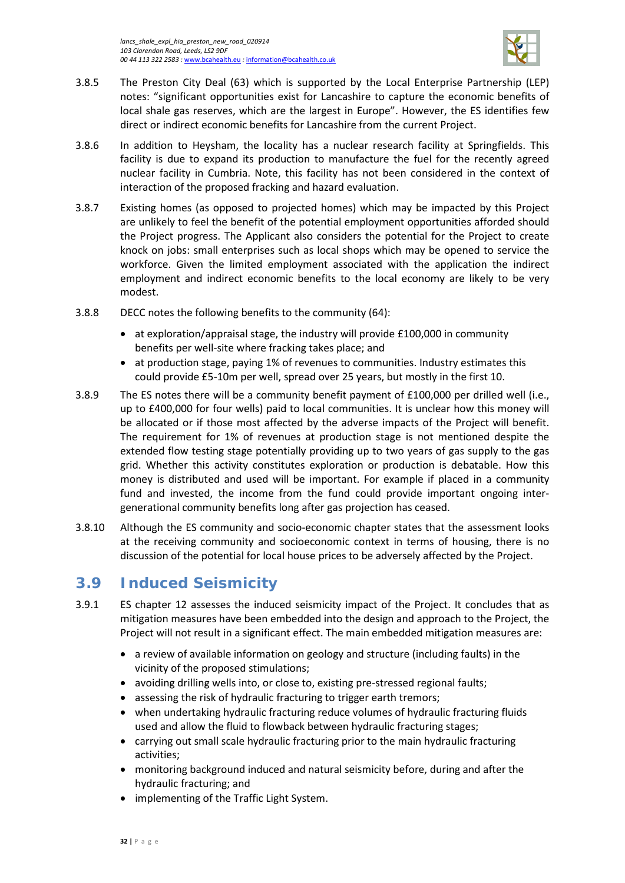

- 3.8.5 The Preston City Deal (63) which is supported by the Local Enterprise Partnership (LEP) notes: "significant opportunities exist for Lancashire to capture the economic benefits of local shale gas reserves, which are the largest in Europe". However, the ES identifies few direct or indirect economic benefits for Lancashire from the current Project.
- 3.8.6 In addition to Heysham, the locality has a nuclear research facility at Springfields. This facility is due to expand its production to manufacture the fuel for the recently agreed nuclear facility in Cumbria. Note, this facility has not been considered in the context of interaction of the proposed fracking and hazard evaluation.
- 3.8.7 Existing homes (as opposed to projected homes) which may be impacted by this Project are unlikely to feel the benefit of the potential employment opportunities afforded should the Project progress. The Applicant also considers the potential for the Project to create knock on jobs: small enterprises such as local shops which may be opened to service the workforce. Given the limited employment associated with the application the indirect employment and indirect economic benefits to the local economy are likely to be very modest.
- 3.8.8 DECC notes the following benefits to the community (64):
	- at exploration/appraisal stage, the industry will provide £100,000 in community benefits per well-site where fracking takes place; and
	- at production stage, paying 1% of revenues to communities. Industry estimates this could provide £5-10m per well, spread over 25 years, but mostly in the first 10.
- 3.8.9 The ES notes there will be a community benefit payment of £100,000 per drilled well (i.e., up to £400,000 for four wells) paid to local communities. It is unclear how this money will be allocated or if those most affected by the adverse impacts of the Project will benefit. The requirement for 1% of revenues at production stage is not mentioned despite the extended flow testing stage potentially providing up to two years of gas supply to the gas grid. Whether this activity constitutes exploration or production is debatable. How this money is distributed and used will be important. For example if placed in a community fund and invested, the income from the fund could provide important ongoing intergenerational community benefits long after gas projection has ceased.
- 3.8.10 Although the ES community and socio-economic chapter states that the assessment looks at the receiving community and socioeconomic context in terms of housing, there is no discussion of the potential for local house prices to be adversely affected by the Project.

# <span id="page-35-0"></span>**3.9 Induced Seismicity**

- 3.9.1 ES chapter 12 assesses the induced seismicity impact of the Project. It concludes that as mitigation measures have been embedded into the design and approach to the Project, the Project will not result in a significant effect. The main embedded mitigation measures are:
	- a review of available information on geology and structure (including faults) in the vicinity of the proposed stimulations;
	- avoiding drilling wells into, or close to, existing pre-stressed regional faults;
	- assessing the risk of hydraulic fracturing to trigger earth tremors;
	- when undertaking hydraulic fracturing reduce volumes of hydraulic fracturing fluids used and allow the fluid to flowback between hydraulic fracturing stages;
	- carrying out small scale hydraulic fracturing prior to the main hydraulic fracturing activities;
	- monitoring background induced and natural seismicity before, during and after the hydraulic fracturing; and
	- implementing of the Traffic Light System.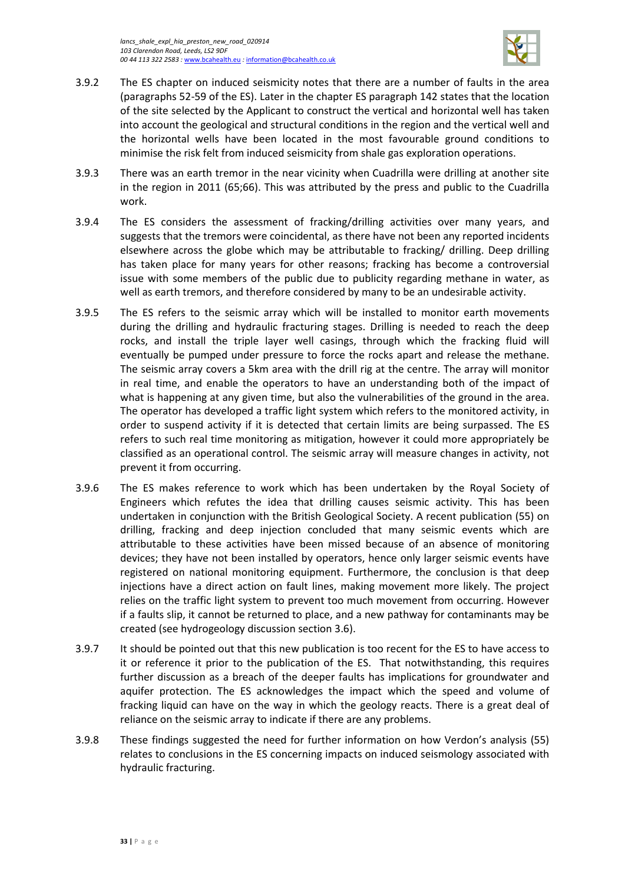

- 3.9.2 The ES chapter on induced seismicity notes that there are a number of faults in the area (paragraphs 52-59 of the ES). Later in the chapter ES paragraph 142 states that the location of the site selected by the Applicant to construct the vertical and horizontal well has taken into account the geological and structural conditions in the region and the vertical well and the horizontal wells have been located in the most favourable ground conditions to minimise the risk felt from induced seismicity from shale gas exploration operations.
- 3.9.3 There was an earth tremor in the near vicinity when Cuadrilla were drilling at another site in the region in 2011 (65;66). This was attributed by the press and public to the Cuadrilla work.
- 3.9.4 The ES considers the assessment of fracking/drilling activities over many years, and suggests that the tremors were coincidental, as there have not been any reported incidents elsewhere across the globe which may be attributable to fracking/ drilling. Deep drilling has taken place for many years for other reasons; fracking has become a controversial issue with some members of the public due to publicity regarding methane in water, as well as earth tremors, and therefore considered by many to be an undesirable activity.
- 3.9.5 The ES refers to the seismic array which will be installed to monitor earth movements during the drilling and hydraulic fracturing stages. Drilling is needed to reach the deep rocks, and install the triple layer well casings, through which the fracking fluid will eventually be pumped under pressure to force the rocks apart and release the methane. The seismic array covers a 5km area with the drill rig at the centre. The array will monitor in real time, and enable the operators to have an understanding both of the impact of what is happening at any given time, but also the vulnerabilities of the ground in the area. The operator has developed a traffic light system which refers to the monitored activity, in order to suspend activity if it is detected that certain limits are being surpassed. The ES refers to such real time monitoring as mitigation, however it could more appropriately be classified as an operational control. The seismic array will measure changes in activity, not prevent it from occurring.
- 3.9.6 The ES makes reference to work which has been undertaken by the Royal Society of Engineers which refutes the idea that drilling causes seismic activity. This has been undertaken in conjunction with the British Geological Society. A recent publication (55) on drilling, fracking and deep injection concluded that many seismic events which are attributable to these activities have been missed because of an absence of monitoring devices; they have not been installed by operators, hence only larger seismic events have registered on national monitoring equipment. Furthermore, the conclusion is that deep injections have a direct action on fault lines, making movement more likely. The project relies on the traffic light system to prevent too much movement from occurring. However if a faults slip, it cannot be returned to place, and a new pathway for contaminants may be created (see hydrogeology discussion section [3.6\)](#page-27-0).
- 3.9.7 It should be pointed out that this new publication is too recent for the ES to have access to it or reference it prior to the publication of the ES. That notwithstanding, this requires further discussion as a breach of the deeper faults has implications for groundwater and aquifer protection. The ES acknowledges the impact which the speed and volume of fracking liquid can have on the way in which the geology reacts. There is a great deal of reliance on the seismic array to indicate if there are any problems.
- 3.9.8 These findings suggested the need for further information on how Verdon's analysis (55) relates to conclusions in the ES concerning impacts on induced seismology associated with hydraulic fracturing.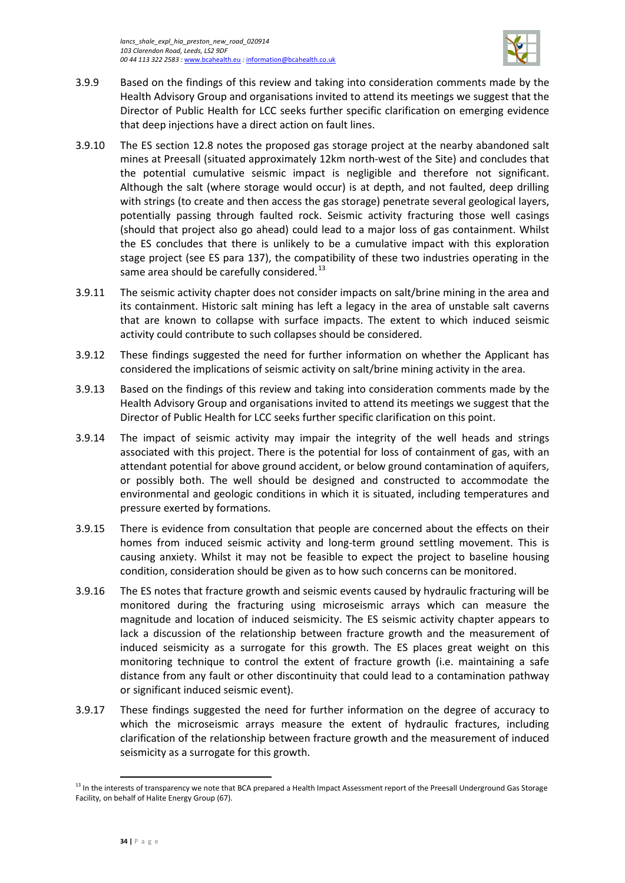

- 3.9.9 Based on the findings of this review and taking into consideration comments made by the Health Advisory Group and organisations invited to attend its meetings we suggest that the Director of Public Health for LCC seeks further specific clarification on emerging evidence that deep injections have a direct action on fault lines.
- 3.9.10 The ES section 12.8 notes the proposed gas storage project at the nearby abandoned salt mines at Preesall (situated approximately 12km north-west of the Site) and concludes that the potential cumulative seismic impact is negligible and therefore not significant. Although the salt (where storage would occur) is at depth, and not faulted, deep drilling with strings (to create and then access the gas storage) penetrate several geological layers, potentially passing through faulted rock. Seismic activity fracturing those well casings (should that project also go ahead) could lead to a major loss of gas containment. Whilst the ES concludes that there is unlikely to be a cumulative impact with this exploration stage project (see ES para 137), the compatibility of these two industries operating in the same area should be carefully considered. $^{13}$  $^{13}$  $^{13}$
- 3.9.11 The seismic activity chapter does not consider impacts on salt/brine mining in the area and its containment. Historic salt mining has left a legacy in the area of unstable salt caverns that are known to collapse with surface impacts. The extent to which induced seismic activity could contribute to such collapses should be considered.
- 3.9.12 These findings suggested the need for further information on whether the Applicant has considered the implications of seismic activity on salt/brine mining activity in the area.
- 3.9.13 Based on the findings of this review and taking into consideration comments made by the Health Advisory Group and organisations invited to attend its meetings we suggest that the Director of Public Health for LCC seeks further specific clarification on this point.
- 3.9.14 The impact of seismic activity may impair the integrity of the well heads and strings associated with this project. There is the potential for loss of containment of gas, with an attendant potential for above ground accident, or below ground contamination of aquifers, or possibly both. The well should be designed and constructed to accommodate the environmental and geologic conditions in which it is situated, including temperatures and pressure exerted by formations.
- 3.9.15 There is evidence from consultation that people are concerned about the effects on their homes from induced seismic activity and long-term ground settling movement. This is causing anxiety. Whilst it may not be feasible to expect the project to baseline housing condition, consideration should be given as to how such concerns can be monitored.
- 3.9.16 The ES notes that fracture growth and seismic events caused by hydraulic fracturing will be monitored during the fracturing using microseismic arrays which can measure the magnitude and location of induced seismicity. The ES seismic activity chapter appears to lack a discussion of the relationship between fracture growth and the measurement of induced seismicity as a surrogate for this growth. The ES places great weight on this monitoring technique to control the extent of fracture growth (i.e. maintaining a safe distance from any fault or other discontinuity that could lead to a contamination pathway or significant induced seismic event).
- 3.9.17 These findings suggested the need for further information on the degree of accuracy to which the microseismic arrays measure the extent of hydraulic fractures, including clarification of the relationship between fracture growth and the measurement of induced seismicity as a surrogate for this growth.

 $\overline{\phantom{a}}$ 

<span id="page-37-0"></span><sup>&</sup>lt;sup>13</sup> In the interests of transparency we note that BCA prepared a Health Impact Assessment report of the Preesall Underground Gas Storage Facility, on behalf of Halite Energy Group (67).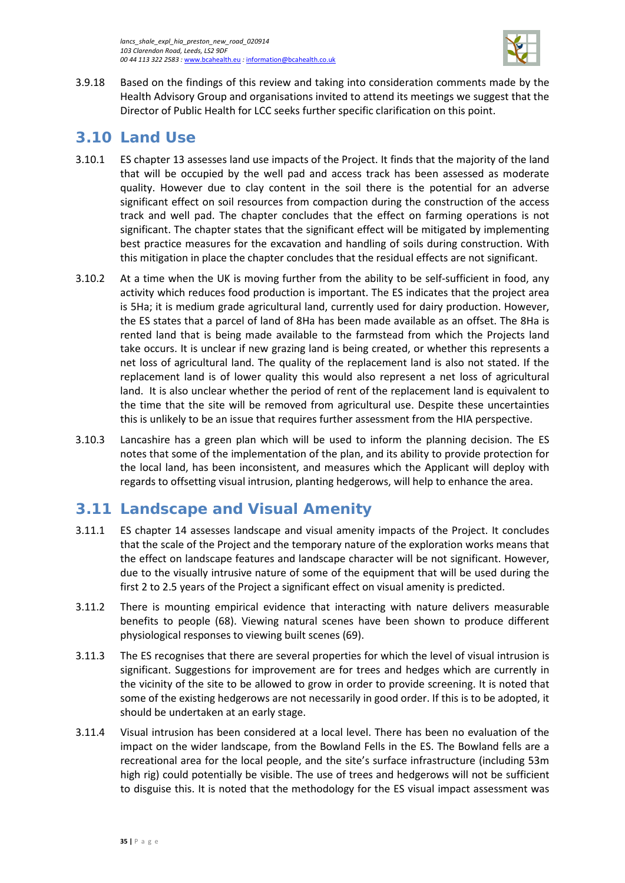

3.9.18 Based on the findings of this review and taking into consideration comments made by the Health Advisory Group and organisations invited to attend its meetings we suggest that the Director of Public Health for LCC seeks further specific clarification on this point.

# <span id="page-38-0"></span>**3.10 Land Use**

- 3.10.1 ES chapter 13 assesses land use impacts of the Project. It finds that the majority of the land that will be occupied by the well pad and access track has been assessed as moderate quality. However due to clay content in the soil there is the potential for an adverse significant effect on soil resources from compaction during the construction of the access track and well pad. The chapter concludes that the effect on farming operations is not significant. The chapter states that the significant effect will be mitigated by implementing best practice measures for the excavation and handling of soils during construction. With this mitigation in place the chapter concludes that the residual effects are not significant.
- 3.10.2 At a time when the UK is moving further from the ability to be self-sufficient in food, any activity which reduces food production is important. The ES indicates that the project area is 5Ha; it is medium grade agricultural land, currently used for dairy production. However, the ES states that a parcel of land of 8Ha has been made available as an offset. The 8Ha is rented land that is being made available to the farmstead from which the Projects land take occurs. It is unclear if new grazing land is being created, or whether this represents a net loss of agricultural land. The quality of the replacement land is also not stated. If the replacement land is of lower quality this would also represent a net loss of agricultural land. It is also unclear whether the period of rent of the replacement land is equivalent to the time that the site will be removed from agricultural use. Despite these uncertainties this is unlikely to be an issue that requires further assessment from the HIA perspective.
- 3.10.3 Lancashire has a green plan which will be used to inform the planning decision. The ES notes that some of the implementation of the plan, and its ability to provide protection for the local land, has been inconsistent, and measures which the Applicant will deploy with regards to offsetting visual intrusion, planting hedgerows, will help to enhance the area.

# <span id="page-38-1"></span>**3.11 Landscape and Visual Amenity**

- 3.11.1 ES chapter 14 assesses landscape and visual amenity impacts of the Project. It concludes that the scale of the Project and the temporary nature of the exploration works means that the effect on landscape features and landscape character will be not significant. However, due to the visually intrusive nature of some of the equipment that will be used during the first 2 to 2.5 years of the Project a significant effect on visual amenity is predicted.
- 3.11.2 There is mounting empirical evidence that interacting with nature delivers measurable benefits to people (68). Viewing natural scenes have been shown to produce different physiological responses to viewing built scenes (69).
- 3.11.3 The ES recognises that there are several properties for which the level of visual intrusion is significant. Suggestions for improvement are for trees and hedges which are currently in the vicinity of the site to be allowed to grow in order to provide screening. It is noted that some of the existing hedgerows are not necessarily in good order. If this is to be adopted, it should be undertaken at an early stage.
- 3.11.4 Visual intrusion has been considered at a local level. There has been no evaluation of the impact on the wider landscape, from the Bowland Fells in the ES. The Bowland fells are a recreational area for the local people, and the site's surface infrastructure (including 53m high rig) could potentially be visible. The use of trees and hedgerows will not be sufficient to disguise this. It is noted that the methodology for the ES visual impact assessment was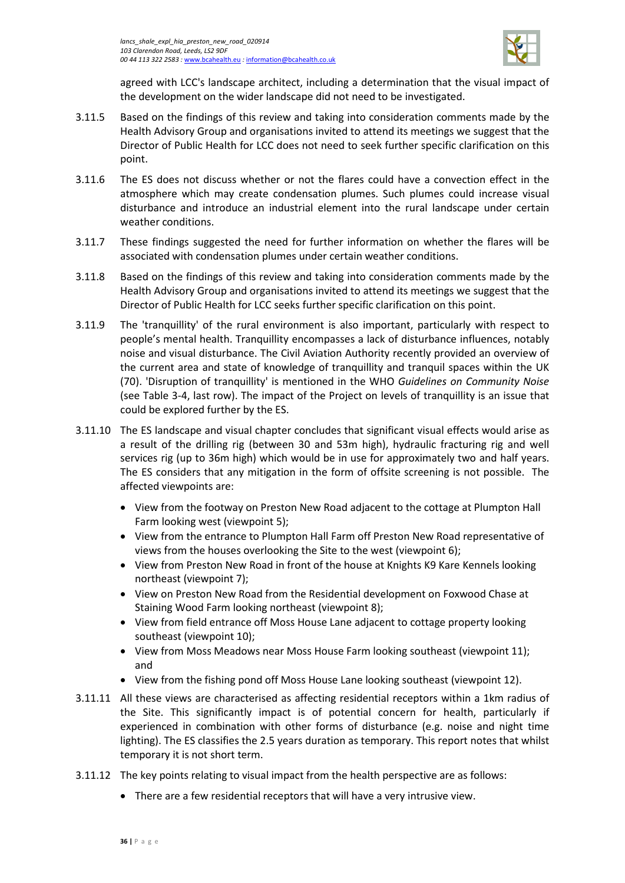

agreed with LCC's landscape architect, including a determination that the visual impact of the development on the wider landscape did not need to be investigated.

- 3.11.5 Based on the findings of this review and taking into consideration comments made by the Health Advisory Group and organisations invited to attend its meetings we suggest that the Director of Public Health for LCC does not need to seek further specific clarification on this point.
- 3.11.6 The ES does not discuss whether or not the flares could have a convection effect in the atmosphere which may create condensation plumes. Such plumes could increase visual disturbance and introduce an industrial element into the rural landscape under certain weather conditions.
- 3.11.7 These findings suggested the need for further information on whether the flares will be associated with condensation plumes under certain weather conditions.
- 3.11.8 Based on the findings of this review and taking into consideration comments made by the Health Advisory Group and organisations invited to attend its meetings we suggest that the Director of Public Health for LCC seeks further specific clarification on this point.
- 3.11.9 The 'tranquillity' of the rural environment is also important, particularly with respect to people's mental health. Tranquillity encompasses a lack of disturbance influences, notably noise and visual disturbance. The Civil Aviation Authority recently provided an overview of the current area and state of knowledge of tranquillity and tranquil spaces within the UK (70). 'Disruption of tranquillity' is mentioned in the WHO *Guidelines on Community Noise* (see [Table 3-4,](#page-23-0) last row). The impact of the Project on levels of tranquillity is an issue that could be explored further by the ES.
- 3.11.10 The ES landscape and visual chapter concludes that significant visual effects would arise as a result of the drilling rig (between 30 and 53m high), hydraulic fracturing rig and well services rig (up to 36m high) which would be in use for approximately two and half years. The ES considers that any mitigation in the form of offsite screening is not possible. The affected viewpoints are:
	- View from the footway on Preston New Road adjacent to the cottage at Plumpton Hall Farm looking west (viewpoint 5);
	- View from the entrance to Plumpton Hall Farm off Preston New Road representative of views from the houses overlooking the Site to the west (viewpoint 6);
	- View from Preston New Road in front of the house at Knights K9 Kare Kennels looking northeast (viewpoint 7);
	- View on Preston New Road from the Residential development on Foxwood Chase at Staining Wood Farm looking northeast (viewpoint 8);
	- View from field entrance off Moss House Lane adjacent to cottage property looking southeast (viewpoint 10);
	- View from Moss Meadows near Moss House Farm looking southeast (viewpoint 11); and
	- View from the fishing pond off Moss House Lane looking southeast (viewpoint 12).
- 3.11.11 All these views are characterised as affecting residential receptors within a 1km radius of the Site. This significantly impact is of potential concern for health, particularly if experienced in combination with other forms of disturbance (e.g. noise and night time lighting). The ES classifies the 2.5 years duration as temporary. This report notes that whilst temporary it is not short term.
- 3.11.12 The key points relating to visual impact from the health perspective are as follows:
	- There are a few residential receptors that will have a very intrusive view.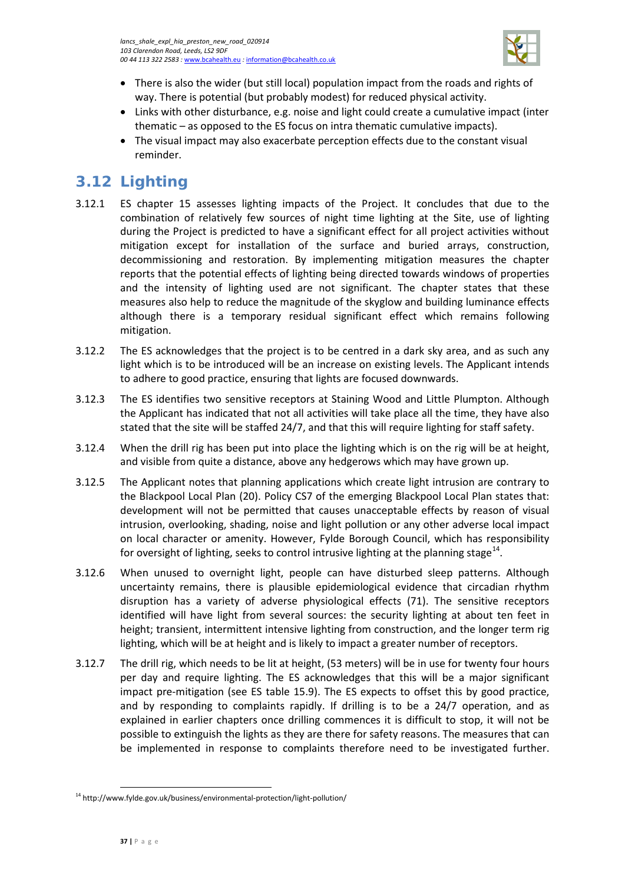

- There is also the wider (but still local) population impact from the roads and rights of way. There is potential (but probably modest) for reduced physical activity.
- Links with other disturbance, e.g. noise and light could create a cumulative impact (inter thematic – as opposed to the ES focus on intra thematic cumulative impacts).
- The visual impact may also exacerbate perception effects due to the constant visual reminder.

# <span id="page-40-0"></span>**3.12 Lighting**

- 3.12.1 ES chapter 15 assesses lighting impacts of the Project. It concludes that due to the combination of relatively few sources of night time lighting at the Site, use of lighting during the Project is predicted to have a significant effect for all project activities without mitigation except for installation of the surface and buried arrays, construction, decommissioning and restoration. By implementing mitigation measures the chapter reports that the potential effects of lighting being directed towards windows of properties and the intensity of lighting used are not significant. The chapter states that these measures also help to reduce the magnitude of the skyglow and building luminance effects although there is a temporary residual significant effect which remains following mitigation.
- 3.12.2 The ES acknowledges that the project is to be centred in a dark sky area, and as such any light which is to be introduced will be an increase on existing levels. The Applicant intends to adhere to good practice, ensuring that lights are focused downwards.
- 3.12.3 The ES identifies two sensitive receptors at Staining Wood and Little Plumpton. Although the Applicant has indicated that not all activities will take place all the time, they have also stated that the site will be staffed 24/7, and that this will require lighting for staff safety.
- 3.12.4 When the drill rig has been put into place the lighting which is on the rig will be at height, and visible from quite a distance, above any hedgerows which may have grown up.
- 3.12.5 The Applicant notes that planning applications which create light intrusion are contrary to the Blackpool Local Plan (20). Policy CS7 of the emerging Blackpool Local Plan states that: development will not be permitted that causes unacceptable effects by reason of visual intrusion, overlooking, shading, noise and light pollution or any other adverse local impact on local character or amenity. However, Fylde Borough Council, which has responsibility for oversight of lighting, seeks to control intrusive lighting at the planning stage $^{14}$  $^{14}$  $^{14}$ .
- 3.12.6 When unused to overnight light, people can have disturbed sleep patterns. Although uncertainty remains, there is plausible epidemiological evidence that circadian rhythm disruption has a variety of adverse physiological effects (71). The sensitive receptors identified will have light from several sources: the security lighting at about ten feet in height; transient, intermittent intensive lighting from construction, and the longer term rig lighting, which will be at height and is likely to impact a greater number of receptors.
- 3.12.7 The drill rig, which needs to be lit at height, (53 meters) will be in use for twenty four hours per day and require lighting. The ES acknowledges that this will be a major significant impact pre-mitigation (see ES table 15.9). The ES expects to offset this by good practice, and by responding to complaints rapidly. If drilling is to be a 24/7 operation, and as explained in earlier chapters once drilling commences it is difficult to stop, it will not be possible to extinguish the lights as they are there for safety reasons. The measures that can be implemented in response to complaints therefore need to be investigated further.

 $\overline{\phantom{a}}$ 

<span id="page-40-1"></span><sup>14</sup> http://www.fylde.gov.uk/business/environmental-protection/light-pollution/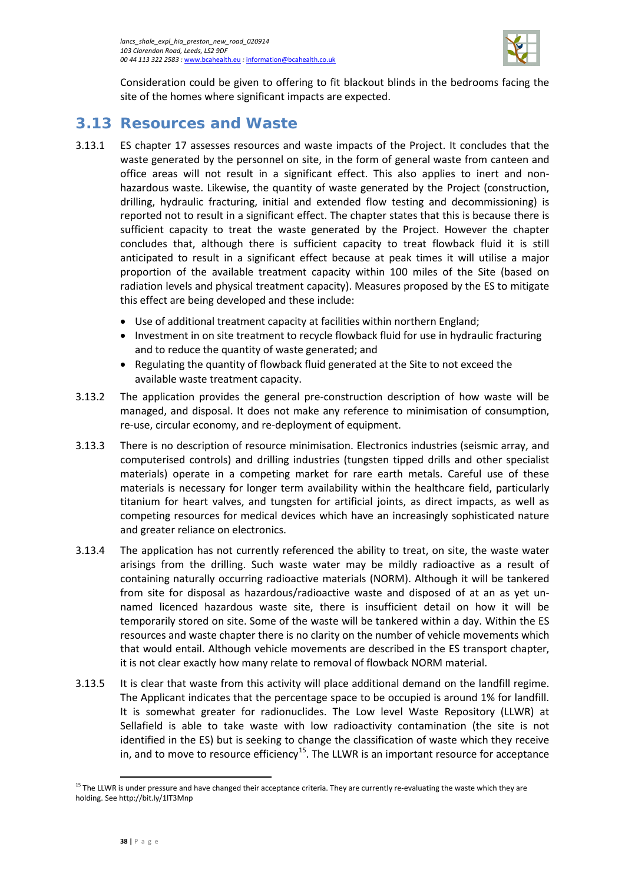

Consideration could be given to offering to fit blackout blinds in the bedrooms facing the site of the homes where significant impacts are expected.

# <span id="page-41-0"></span>**3.13 Resources and Waste**

- 3.13.1 ES chapter 17 assesses resources and waste impacts of the Project. It concludes that the waste generated by the personnel on site, in the form of general waste from canteen and office areas will not result in a significant effect. This also applies to inert and nonhazardous waste. Likewise, the quantity of waste generated by the Project (construction, drilling, hydraulic fracturing, initial and extended flow testing and decommissioning) is reported not to result in a significant effect. The chapter states that this is because there is sufficient capacity to treat the waste generated by the Project. However the chapter concludes that, although there is sufficient capacity to treat flowback fluid it is still anticipated to result in a significant effect because at peak times it will utilise a major proportion of the available treatment capacity within 100 miles of the Site (based on radiation levels and physical treatment capacity). Measures proposed by the ES to mitigate this effect are being developed and these include:
	- Use of additional treatment capacity at facilities within northern England;
	- Investment in on site treatment to recycle flowback fluid for use in hydraulic fracturing and to reduce the quantity of waste generated; and
	- Regulating the quantity of flowback fluid generated at the Site to not exceed the available waste treatment capacity.
- 3.13.2 The application provides the general pre-construction description of how waste will be managed, and disposal. It does not make any reference to minimisation of consumption, re-use, circular economy, and re-deployment of equipment.
- 3.13.3 There is no description of resource minimisation. Electronics industries (seismic array, and computerised controls) and drilling industries (tungsten tipped drills and other specialist materials) operate in a competing market for rare earth metals. Careful use of these materials is necessary for longer term availability within the healthcare field, particularly titanium for heart valves, and tungsten for artificial joints, as direct impacts, as well as competing resources for medical devices which have an increasingly sophisticated nature and greater reliance on electronics.
- 3.13.4 The application has not currently referenced the ability to treat, on site, the waste water arisings from the drilling. Such waste water may be mildly radioactive as a result of containing naturally occurring radioactive materials (NORM). Although it will be tankered from site for disposal as hazardous/radioactive waste and disposed of at an as yet unnamed licenced hazardous waste site, there is insufficient detail on how it will be temporarily stored on site. Some of the waste will be tankered within a day. Within the ES resources and waste chapter there is no clarity on the number of vehicle movements which that would entail. Although vehicle movements are described in the ES transport chapter, it is not clear exactly how many relate to removal of flowback NORM material.
- 3.13.5 It is clear that waste from this activity will place additional demand on the landfill regime. The Applicant indicates that the percentage space to be occupied is around 1% for landfill. It is somewhat greater for radionuclides. The Low level Waste Repository (LLWR) at Sellafield is able to take waste with low radioactivity contamination (the site is not identified in the ES) but is seeking to change the classification of waste which they receive in, and to move to resource efficiency<sup>15</sup>. The LLWR is an important resource for acceptance

 $\overline{\phantom{a}}$ 

<span id="page-41-1"></span><sup>&</sup>lt;sup>15</sup> The LLWR is under pressure and have changed their acceptance criteria. They are currently re-evaluating the waste which they are holding. See http://bit.ly/1lT3Mnp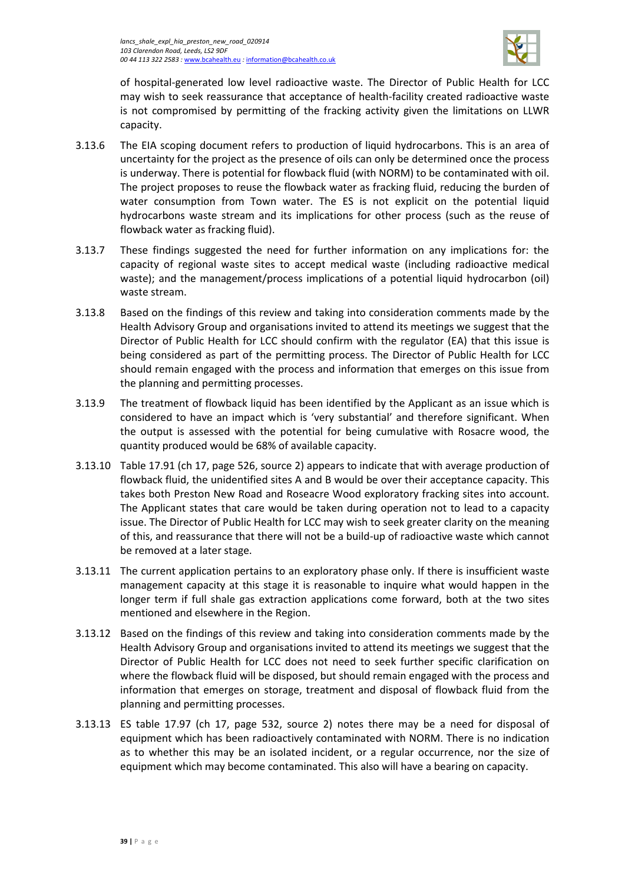

of hospital-generated low level radioactive waste. The Director of Public Health for LCC may wish to seek reassurance that acceptance of health-facility created radioactive waste is not compromised by permitting of the fracking activity given the limitations on LLWR capacity.

- 3.13.6 The EIA scoping document refers to production of liquid hydrocarbons. This is an area of uncertainty for the project as the presence of oils can only be determined once the process is underway. There is potential for flowback fluid (with NORM) to be contaminated with oil. The project proposes to reuse the flowback water as fracking fluid, reducing the burden of water consumption from Town water. The ES is not explicit on the potential liquid hydrocarbons waste stream and its implications for other process (such as the reuse of flowback water as fracking fluid).
- 3.13.7 These findings suggested the need for further information on any implications for: the capacity of regional waste sites to accept medical waste (including radioactive medical waste); and the management/process implications of a potential liquid hydrocarbon (oil) waste stream.
- 3.13.8 Based on the findings of this review and taking into consideration comments made by the Health Advisory Group and organisations invited to attend its meetings we suggest that the Director of Public Health for LCC should confirm with the regulator (EA) that this issue is being considered as part of the permitting process. The Director of Public Health for LCC should remain engaged with the process and information that emerges on this issue from the planning and permitting processes.
- 3.13.9 The treatment of flowback liquid has been identified by the Applicant as an issue which is considered to have an impact which is 'very substantial' and therefore significant. When the output is assessed with the potential for being cumulative with Rosacre wood, the quantity produced would be 68% of available capacity.
- 3.13.10 Table 17.91 (ch 17, page 526, source 2) appears to indicate that with average production of flowback fluid, the unidentified sites A and B would be over their acceptance capacity. This takes both Preston New Road and Roseacre Wood exploratory fracking sites into account. The Applicant states that care would be taken during operation not to lead to a capacity issue. The Director of Public Health for LCC may wish to seek greater clarity on the meaning of this, and reassurance that there will not be a build-up of radioactive waste which cannot be removed at a later stage.
- 3.13.11 The current application pertains to an exploratory phase only. If there is insufficient waste management capacity at this stage it is reasonable to inquire what would happen in the longer term if full shale gas extraction applications come forward, both at the two sites mentioned and elsewhere in the Region.
- 3.13.12 Based on the findings of this review and taking into consideration comments made by the Health Advisory Group and organisations invited to attend its meetings we suggest that the Director of Public Health for LCC does not need to seek further specific clarification on where the flowback fluid will be disposed, but should remain engaged with the process and information that emerges on storage, treatment and disposal of flowback fluid from the planning and permitting processes.
- 3.13.13 ES table 17.97 (ch 17, page 532, source 2) notes there may be a need for disposal of equipment which has been radioactively contaminated with NORM. There is no indication as to whether this may be an isolated incident, or a regular occurrence, nor the size of equipment which may become contaminated. This also will have a bearing on capacity.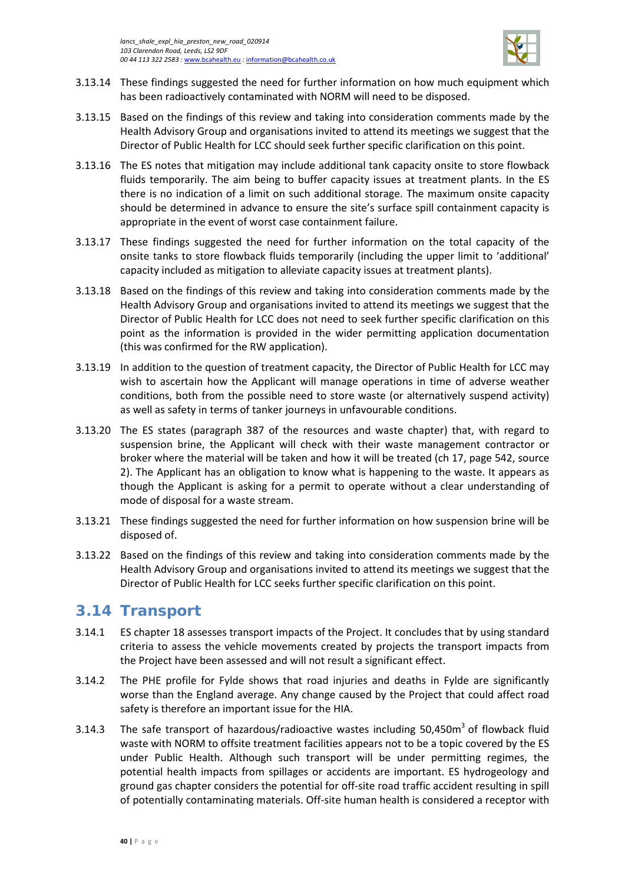

- 3.13.14 These findings suggested the need for further information on how much equipment which has been radioactively contaminated with NORM will need to be disposed.
- 3.13.15 Based on the findings of this review and taking into consideration comments made by the Health Advisory Group and organisations invited to attend its meetings we suggest that the Director of Public Health for LCC should seek further specific clarification on this point.
- 3.13.16 The ES notes that mitigation may include additional tank capacity onsite to store flowback fluids temporarily. The aim being to buffer capacity issues at treatment plants. In the ES there is no indication of a limit on such additional storage. The maximum onsite capacity should be determined in advance to ensure the site's surface spill containment capacity is appropriate in the event of worst case containment failure.
- 3.13.17 These findings suggested the need for further information on the total capacity of the onsite tanks to store flowback fluids temporarily (including the upper limit to 'additional' capacity included as mitigation to alleviate capacity issues at treatment plants).
- 3.13.18 Based on the findings of this review and taking into consideration comments made by the Health Advisory Group and organisations invited to attend its meetings we suggest that the Director of Public Health for LCC does not need to seek further specific clarification on this point as the information is provided in the wider permitting application documentation (this was confirmed for the RW application).
- 3.13.19 In addition to the question of treatment capacity, the Director of Public Health for LCC may wish to ascertain how the Applicant will manage operations in time of adverse weather conditions, both from the possible need to store waste (or alternatively suspend activity) as well as safety in terms of tanker journeys in unfavourable conditions.
- 3.13.20 The ES states (paragraph 387 of the resources and waste chapter) that, with regard to suspension brine, the Applicant will check with their waste management contractor or broker where the material will be taken and how it will be treated (ch 17, page 542, source 2). The Applicant has an obligation to know what is happening to the waste. It appears as though the Applicant is asking for a permit to operate without a clear understanding of mode of disposal for a waste stream.
- 3.13.21 These findings suggested the need for further information on how suspension brine will be disposed of.
- 3.13.22 Based on the findings of this review and taking into consideration comments made by the Health Advisory Group and organisations invited to attend its meetings we suggest that the Director of Public Health for LCC seeks further specific clarification on this point.

# <span id="page-43-0"></span>**3.14 Transport**

- 3.14.1 ES chapter 18 assesses transport impacts of the Project. It concludes that by using standard criteria to assess the vehicle movements created by projects the transport impacts from the Project have been assessed and will not result a significant effect.
- 3.14.2 The PHE profile for Fylde shows that road injuries and deaths in Fylde are significantly worse than the England average. Any change caused by the Project that could affect road safety is therefore an important issue for the HIA.
- 3.14.3 The safe transport of hazardous/radioactive wastes including 50.450m<sup>3</sup> of flowback fluid waste with NORM to offsite treatment facilities appears not to be a topic covered by the ES under Public Health. Although such transport will be under permitting regimes, the potential health impacts from spillages or accidents are important. ES hydrogeology and ground gas chapter considers the potential for off-site road traffic accident resulting in spill of potentially contaminating materials. Off-site human health is considered a receptor with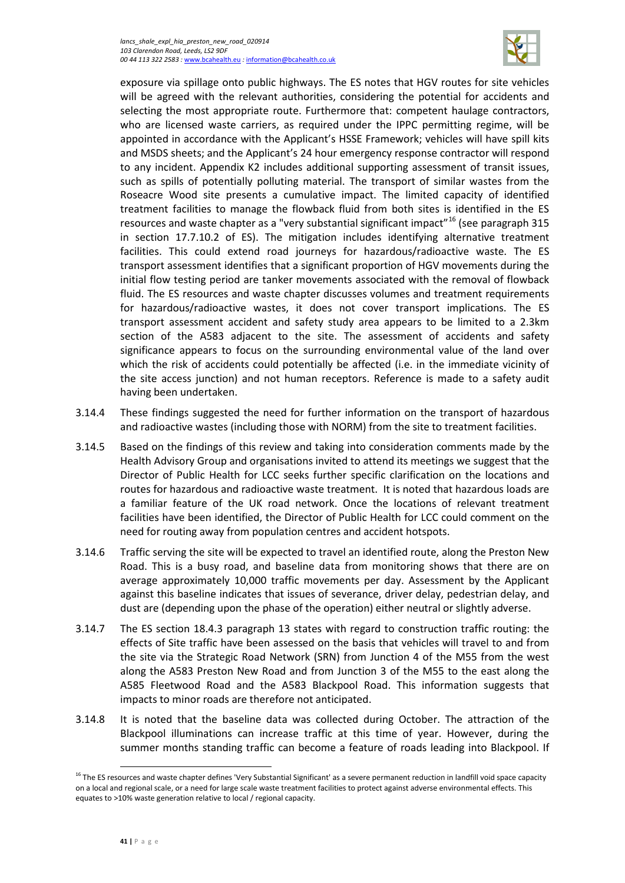#### *lancs\_shale\_expl\_hia\_preston\_new\_road\_020914 103 Clarendon Road, Leeds, LS2 9DF 00 44 113 322 2583 :* [www.bcahealth.eu](http://www.bcahealth.eu/) *:* [information@bcahealth.co.uk](mailto:information@bcahealth.co.uk)



exposure via spillage onto public highways. The ES notes that HGV routes for site vehicles will be agreed with the relevant authorities, considering the potential for accidents and selecting the most appropriate route. Furthermore that: competent haulage contractors, who are licensed waste carriers, as required under the IPPC permitting regime, will be appointed in accordance with the Applicant's HSSE Framework; vehicles will have spill kits and MSDS sheets; and the Applicant's 24 hour emergency response contractor will respond to any incident. Appendix K2 includes additional supporting assessment of transit issues, such as spills of potentially polluting material. The transport of similar wastes from the Roseacre Wood site presents a cumulative impact. The limited capacity of identified treatment facilities to manage the flowback fluid from both sites is identified in the ES resources and waste chapter as a "very substantial significant impact"<sup>[16](#page-44-0)</sup> (see paragraph 315 in section 17.7.10.2 of ES). The mitigation includes identifying alternative treatment facilities. This could extend road journeys for hazardous/radioactive waste. The ES transport assessment identifies that a significant proportion of HGV movements during the initial flow testing period are tanker movements associated with the removal of flowback fluid. The ES resources and waste chapter discusses volumes and treatment requirements for hazardous/radioactive wastes, it does not cover transport implications. The ES transport assessment accident and safety study area appears to be limited to a 2.3km section of the A583 adjacent to the site. The assessment of accidents and safety significance appears to focus on the surrounding environmental value of the land over which the risk of accidents could potentially be affected (i.e. in the immediate vicinity of the site access junction) and not human receptors. Reference is made to a safety audit having been undertaken.

- 3.14.4 These findings suggested the need for further information on the transport of hazardous and radioactive wastes (including those with NORM) from the site to treatment facilities.
- 3.14.5 Based on the findings of this review and taking into consideration comments made by the Health Advisory Group and organisations invited to attend its meetings we suggest that the Director of Public Health for LCC seeks further specific clarification on the locations and routes for hazardous and radioactive waste treatment. It is noted that hazardous loads are a familiar feature of the UK road network. Once the locations of relevant treatment facilities have been identified, the Director of Public Health for LCC could comment on the need for routing away from population centres and accident hotspots.
- 3.14.6 Traffic serving the site will be expected to travel an identified route, along the Preston New Road. This is a busy road, and baseline data from monitoring shows that there are on average approximately 10,000 traffic movements per day. Assessment by the Applicant against this baseline indicates that issues of severance, driver delay, pedestrian delay, and dust are (depending upon the phase of the operation) either neutral or slightly adverse.
- 3.14.7 The ES section 18.4.3 paragraph 13 states with regard to construction traffic routing: the effects of Site traffic have been assessed on the basis that vehicles will travel to and from the site via the Strategic Road Network (SRN) from Junction 4 of the M55 from the west along the A583 Preston New Road and from Junction 3 of the M55 to the east along the A585 Fleetwood Road and the A583 Blackpool Road. This information suggests that impacts to minor roads are therefore not anticipated.
- 3.14.8 It is noted that the baseline data was collected during October. The attraction of the Blackpool illuminations can increase traffic at this time of year. However, during the summer months standing traffic can become a feature of roads leading into Blackpool. If

 $\overline{\phantom{a}}$ 

<span id="page-44-0"></span><sup>&</sup>lt;sup>16</sup> The ES resources and waste chapter defines 'Very Substantial Significant' as a severe permanent reduction in landfill void space capacity on a local and regional scale, or a need for large scale waste treatment facilities to protect against adverse environmental effects. This equates to >10% waste generation relative to local / regional capacity.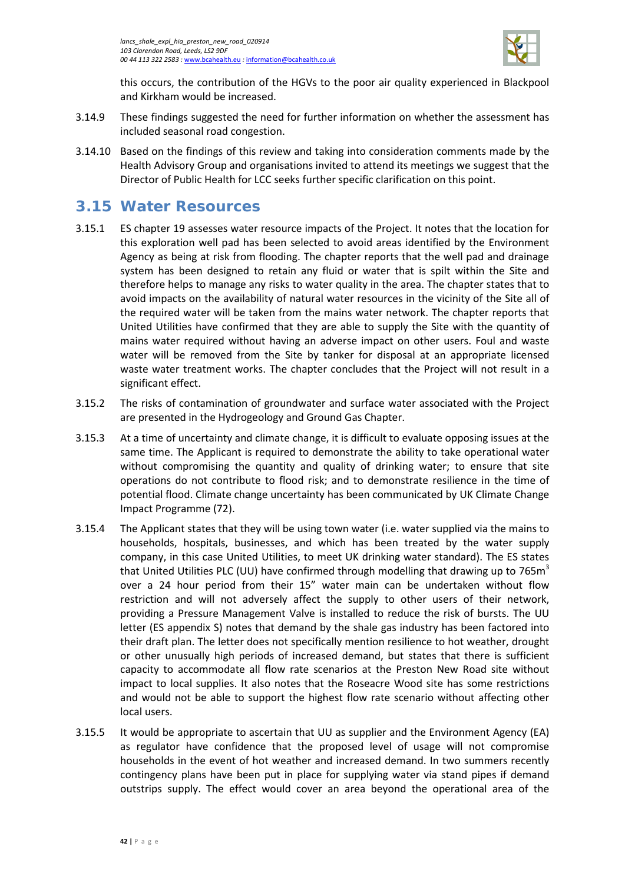

this occurs, the contribution of the HGVs to the poor air quality experienced in Blackpool and Kirkham would be increased.

- 3.14.9 These findings suggested the need for further information on whether the assessment has included seasonal road congestion.
- 3.14.10 Based on the findings of this review and taking into consideration comments made by the Health Advisory Group and organisations invited to attend its meetings we suggest that the Director of Public Health for LCC seeks further specific clarification on this point.

# <span id="page-45-0"></span>**3.15 Water Resources**

- 3.15.1 ES chapter 19 assesses water resource impacts of the Project. It notes that the location for this exploration well pad has been selected to avoid areas identified by the Environment Agency as being at risk from flooding. The chapter reports that the well pad and drainage system has been designed to retain any fluid or water that is spilt within the Site and therefore helps to manage any risks to water quality in the area. The chapter states that to avoid impacts on the availability of natural water resources in the vicinity of the Site all of the required water will be taken from the mains water network. The chapter reports that United Utilities have confirmed that they are able to supply the Site with the quantity of mains water required without having an adverse impact on other users. Foul and waste water will be removed from the Site by tanker for disposal at an appropriate licensed waste water treatment works. The chapter concludes that the Project will not result in a significant effect.
- 3.15.2 The risks of contamination of groundwater and surface water associated with the Project are presented in the Hydrogeology and Ground Gas Chapter.
- 3.15.3 At a time of uncertainty and climate change, it is difficult to evaluate opposing issues at the same time. The Applicant is required to demonstrate the ability to take operational water without compromising the quantity and quality of drinking water; to ensure that site operations do not contribute to flood risk; and to demonstrate resilience in the time of potential flood. Climate change uncertainty has been communicated by UK Climate Change Impact Programme (72).
- 3.15.4 The Applicant states that they will be using town water (i.e. water supplied via the mains to households, hospitals, businesses, and which has been treated by the water supply company, in this case United Utilities, to meet UK drinking water standard). The ES states that United Utilities PLC (UU) have confirmed through modelling that drawing up to 765 $m<sup>3</sup>$ over a 24 hour period from their 15" water main can be undertaken without flow restriction and will not adversely affect the supply to other users of their network, providing a Pressure Management Valve is installed to reduce the risk of bursts. The UU letter (ES appendix S) notes that demand by the shale gas industry has been factored into their draft plan. The letter does not specifically mention resilience to hot weather, drought or other unusually high periods of increased demand, but states that there is sufficient capacity to accommodate all flow rate scenarios at the Preston New Road site without impact to local supplies. It also notes that the Roseacre Wood site has some restrictions and would not be able to support the highest flow rate scenario without affecting other local users.
- 3.15.5 It would be appropriate to ascertain that UU as supplier and the Environment Agency (EA) as regulator have confidence that the proposed level of usage will not compromise households in the event of hot weather and increased demand. In two summers recently contingency plans have been put in place for supplying water via stand pipes if demand outstrips supply. The effect would cover an area beyond the operational area of the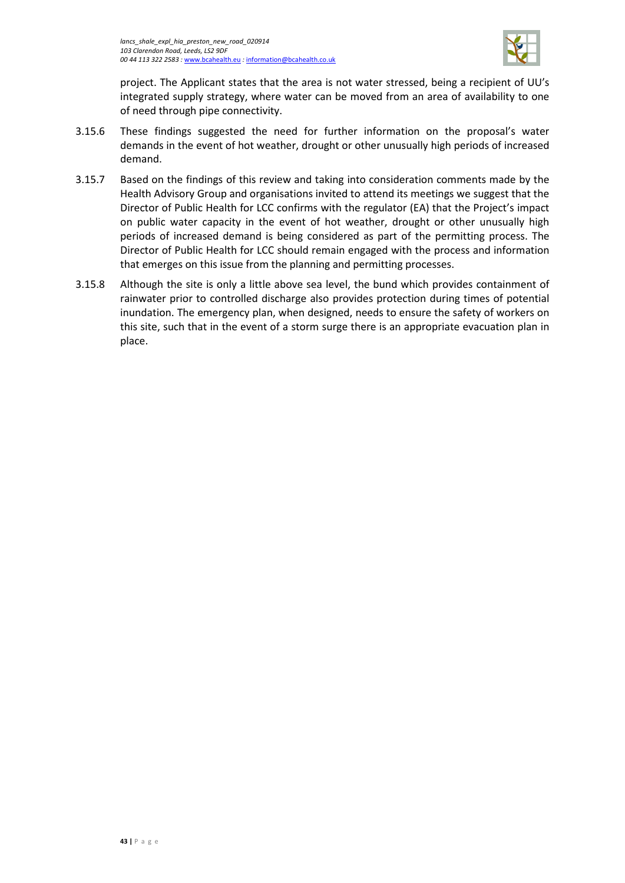

project. The Applicant states that the area is not water stressed, being a recipient of UU's integrated supply strategy, where water can be moved from an area of availability to one of need through pipe connectivity.

- 3.15.6 These findings suggested the need for further information on the proposal's water demands in the event of hot weather, drought or other unusually high periods of increased demand.
- 3.15.7 Based on the findings of this review and taking into consideration comments made by the Health Advisory Group and organisations invited to attend its meetings we suggest that the Director of Public Health for LCC confirms with the regulator (EA) that the Project's impact on public water capacity in the event of hot weather, drought or other unusually high periods of increased demand is being considered as part of the permitting process. The Director of Public Health for LCC should remain engaged with the process and information that emerges on this issue from the planning and permitting processes.
- 3.15.8 Although the site is only a little above sea level, the bund which provides containment of rainwater prior to controlled discharge also provides protection during times of potential inundation. The emergency plan, when designed, needs to ensure the safety of workers on this site, such that in the event of a storm surge there is an appropriate evacuation plan in place.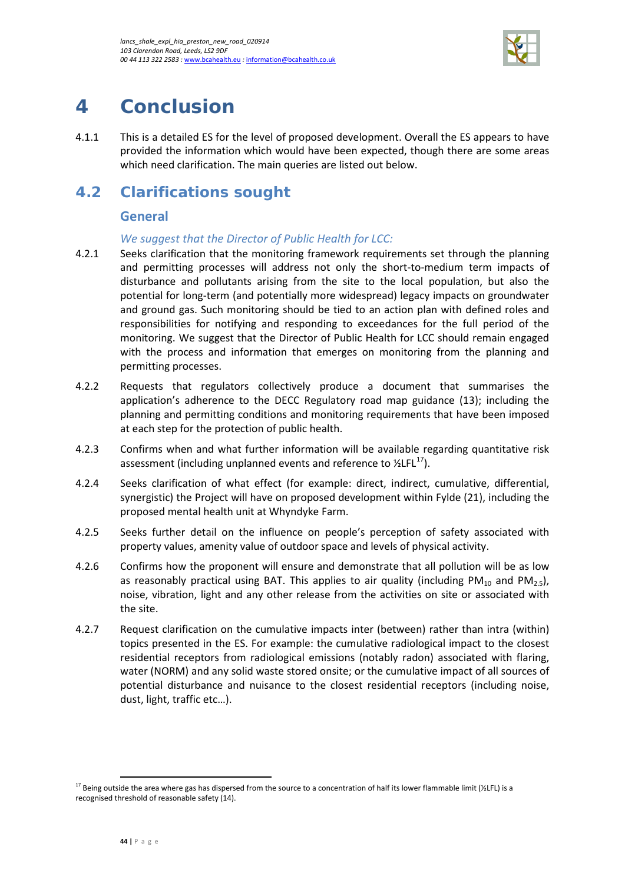

# <span id="page-47-0"></span>**4 Conclusion**

4.1.1 This is a detailed ES for the level of proposed development. Overall the ES appears to have provided the information which would have been expected, though there are some areas which need clarification. The main queries are listed out below.

# <span id="page-47-1"></span>**4.2 Clarifications sought**

### **General**

### *We suggest that the Director of Public Health for LCC:*

- 4.2.1 Seeks clarification that the monitoring framework requirements set through the planning and permitting processes will address not only the short-to-medium term impacts of disturbance and pollutants arising from the site to the local population, but also the potential for long-term (and potentially more widespread) legacy impacts on groundwater and ground gas. Such monitoring should be tied to an action plan with defined roles and responsibilities for notifying and responding to exceedances for the full period of the monitoring. We suggest that the Director of Public Health for LCC should remain engaged with the process and information that emerges on monitoring from the planning and permitting processes.
- 4.2.2 Requests that regulators collectively produce a document that summarises the application's adherence to the DECC Regulatory road map guidance (13); including the planning and permitting conditions and monitoring requirements that have been imposed at each step for the protection of public health.
- 4.2.3 Confirms when and what further information will be available regarding quantitative risk assessment (including unplanned events and reference to  $\frac{\text{VLEL}^{17}}{10}$ ).
- 4.2.4 Seeks clarification of what effect (for example: direct, indirect, cumulative, differential, synergistic) the Project will have on proposed development within Fylde (21), including the proposed mental health unit at Whyndyke Farm.
- 4.2.5 Seeks further detail on the influence on people's perception of safety associated with property values, amenity value of outdoor space and levels of physical activity.
- 4.2.6 Confirms how the proponent will ensure and demonstrate that all pollution will be as low as reasonably practical using BAT. This applies to air quality (including  $PM_{10}$  and  $PM_{25}$ ), noise, vibration, light and any other release from the activities on site or associated with the site.
- 4.2.7 Request clarification on the cumulative impacts inter (between) rather than intra (within) topics presented in the ES. For example: the cumulative radiological impact to the closest residential receptors from radiological emissions (notably radon) associated with flaring, water (NORM) and any solid waste stored onsite; or the cumulative impact of all sources of potential disturbance and nuisance to the closest residential receptors (including noise, dust, light, traffic etc…).

 $\overline{\phantom{a}}$ 

<span id="page-47-2"></span><sup>&</sup>lt;sup>17</sup> Being outside the area where gas has dispersed from the source to a concentration of half its lower flammable limit (½LFL) is a recognised threshold of reasonable safety (14).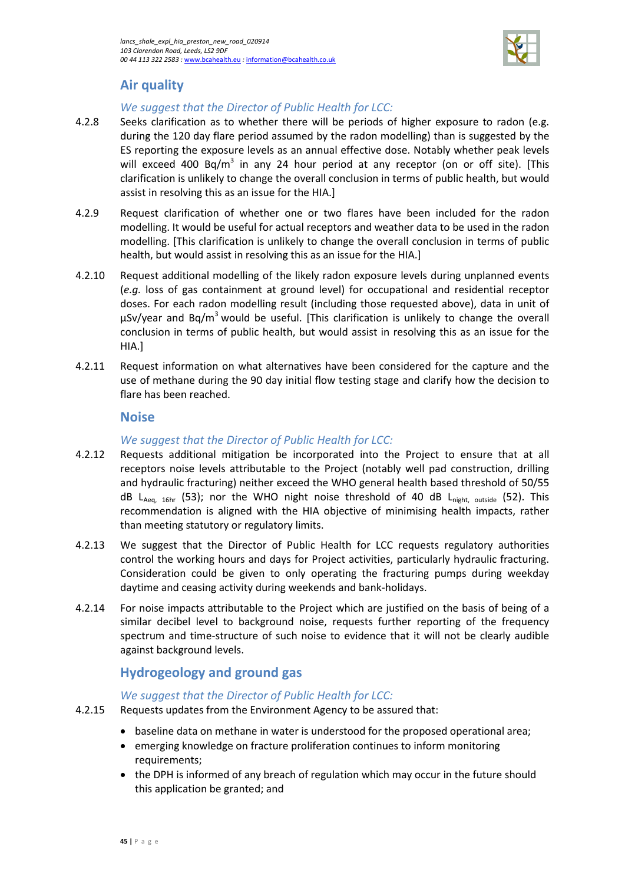

## **Air quality**

### *We suggest that the Director of Public Health for LCC:*

- 4.2.8 Seeks clarification as to whether there will be periods of higher exposure to radon (e.g. during the 120 day flare period assumed by the radon modelling) than is suggested by the ES reporting the exposure levels as an annual effective dose. Notably whether peak levels will exceed 400 Bq/m<sup>3</sup> in any 24 hour period at any receptor (on or off site). [This clarification is unlikely to change the overall conclusion in terms of public health, but would assist in resolving this as an issue for the HIA.]
- 4.2.9 Request clarification of whether one or two flares have been included for the radon modelling. It would be useful for actual receptors and weather data to be used in the radon modelling. [This clarification is unlikely to change the overall conclusion in terms of public health, but would assist in resolving this as an issue for the HIA.]
- 4.2.10 Request additional modelling of the likely radon exposure levels during unplanned events (*e.g.* loss of gas containment at ground level) for occupational and residential receptor doses. For each radon modelling result (including those requested above), data in unit of  $\mu$ Sv/year and Bq/m<sup>3</sup> would be useful. [This clarification is unlikely to change the overall conclusion in terms of public health, but would assist in resolving this as an issue for the HIA.]
- 4.2.11 Request information on what alternatives have been considered for the capture and the use of methane during the 90 day initial flow testing stage and clarify how the decision to flare has been reached.

### **Noise**

### *We suggest that the Director of Public Health for LCC:*

- 4.2.12 Requests additional mitigation be incorporated into the Project to ensure that at all receptors noise levels attributable to the Project (notably well pad construction, drilling and hydraulic fracturing) neither exceed the WHO general health based threshold of 50/55 dB L<sub>Aeq, 16hr</sub> (53); nor the WHO night noise threshold of 40 dB L<sub>night, outside</sub> (52). This recommendation is aligned with the HIA objective of minimising health impacts, rather than meeting statutory or regulatory limits.
- 4.2.13 We suggest that the Director of Public Health for LCC requests regulatory authorities control the working hours and days for Project activities, particularly hydraulic fracturing. Consideration could be given to only operating the fracturing pumps during weekday daytime and ceasing activity during weekends and bank-holidays.
- 4.2.14 For noise impacts attributable to the Project which are justified on the basis of being of a similar decibel level to background noise, requests further reporting of the frequency spectrum and time-structure of such noise to evidence that it will not be clearly audible against background levels.

### **Hydrogeology and ground gas**

### *We suggest that the Director of Public Health for LCC:*

- 4.2.15 Requests updates from the Environment Agency to be assured that:
	- baseline data on methane in water is understood for the proposed operational area;
		- emerging knowledge on fracture proliferation continues to inform monitoring requirements;
		- the DPH is informed of any breach of regulation which may occur in the future should this application be granted; and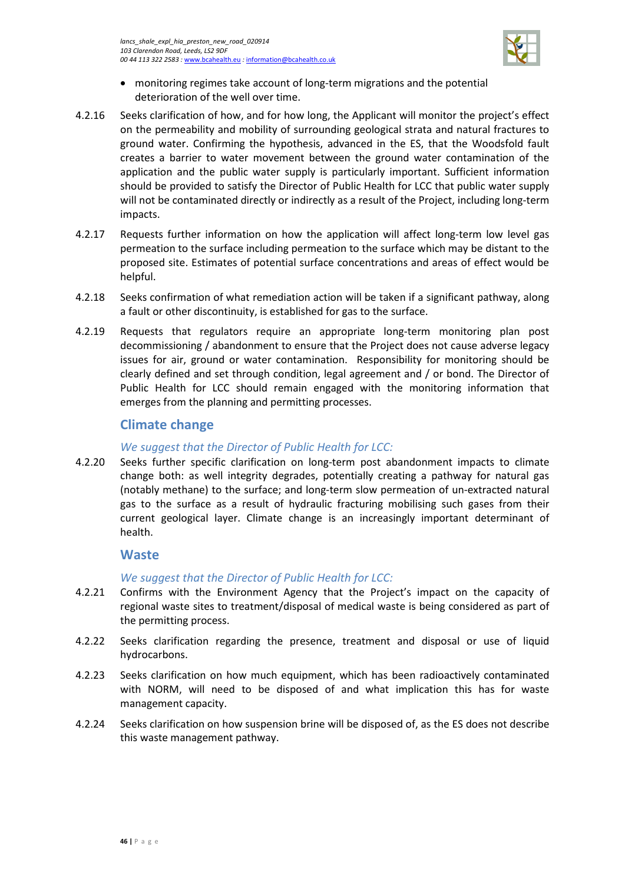

- monitoring regimes take account of long-term migrations and the potential deterioration of the well over time.
- 4.2.16 Seeks clarification of how, and for how long, the Applicant will monitor the project's effect on the permeability and mobility of surrounding geological strata and natural fractures to ground water. Confirming the hypothesis, advanced in the ES, that the Woodsfold fault creates a barrier to water movement between the ground water contamination of the application and the public water supply is particularly important. Sufficient information should be provided to satisfy the Director of Public Health for LCC that public water supply will not be contaminated directly or indirectly as a result of the Project, including long-term impacts.
- 4.2.17 Requests further information on how the application will affect long-term low level gas permeation to the surface including permeation to the surface which may be distant to the proposed site. Estimates of potential surface concentrations and areas of effect would be helpful.
- 4.2.18 Seeks confirmation of what remediation action will be taken if a significant pathway, along a fault or other discontinuity, is established for gas to the surface.
- 4.2.19 Requests that regulators require an appropriate long-term monitoring plan post decommissioning / abandonment to ensure that the Project does not cause adverse legacy issues for air, ground or water contamination. Responsibility for monitoring should be clearly defined and set through condition, legal agreement and / or bond. The Director of Public Health for LCC should remain engaged with the monitoring information that emerges from the planning and permitting processes.

### **Climate change**

### *We suggest that the Director of Public Health for LCC:*

4.2.20 Seeks further specific clarification on long-term post abandonment impacts to climate change both: as well integrity degrades, potentially creating a pathway for natural gas (notably methane) to the surface; and long-term slow permeation of un-extracted natural gas to the surface as a result of hydraulic fracturing mobilising such gases from their current geological layer. Climate change is an increasingly important determinant of health.

### **Waste**

### *We suggest that the Director of Public Health for LCC:*

- 4.2.21 Confirms with the Environment Agency that the Project's impact on the capacity of regional waste sites to treatment/disposal of medical waste is being considered as part of the permitting process.
- 4.2.22 Seeks clarification regarding the presence, treatment and disposal or use of liquid hydrocarbons.
- 4.2.23 Seeks clarification on how much equipment, which has been radioactively contaminated with NORM, will need to be disposed of and what implication this has for waste management capacity.
- 4.2.24 Seeks clarification on how suspension brine will be disposed of, as the ES does not describe this waste management pathway.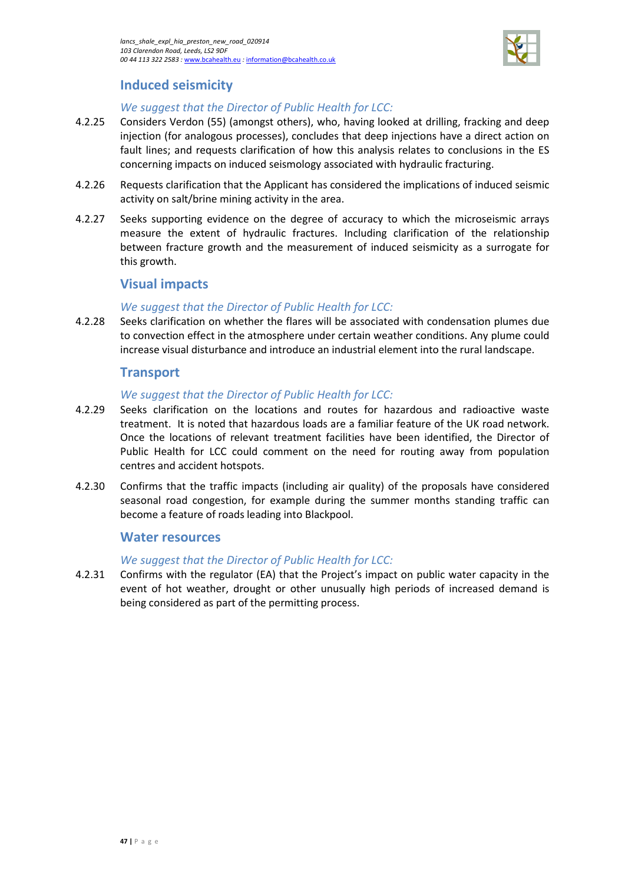

### **Induced seismicity**

### *We suggest that the Director of Public Health for LCC:*

- 4.2.25 Considers Verdon (55) (amongst others), who, having looked at drilling, fracking and deep injection (for analogous processes), concludes that deep injections have a direct action on fault lines; and requests clarification of how this analysis relates to conclusions in the ES concerning impacts on induced seismology associated with hydraulic fracturing.
- 4.2.26 Requests clarification that the Applicant has considered the implications of induced seismic activity on salt/brine mining activity in the area.
- 4.2.27 Seeks supporting evidence on the degree of accuracy to which the microseismic arrays measure the extent of hydraulic fractures. Including clarification of the relationship between fracture growth and the measurement of induced seismicity as a surrogate for this growth.

### **Visual impacts**

### *We suggest that the Director of Public Health for LCC:*

4.2.28 Seeks clarification on whether the flares will be associated with condensation plumes due to convection effect in the atmosphere under certain weather conditions. Any plume could increase visual disturbance and introduce an industrial element into the rural landscape.

### **Transport**

### *We suggest that the Director of Public Health for LCC:*

- 4.2.29 Seeks clarification on the locations and routes for hazardous and radioactive waste treatment. It is noted that hazardous loads are a familiar feature of the UK road network. Once the locations of relevant treatment facilities have been identified, the Director of Public Health for LCC could comment on the need for routing away from population centres and accident hotspots.
- 4.2.30 Confirms that the traffic impacts (including air quality) of the proposals have considered seasonal road congestion, for example during the summer months standing traffic can become a feature of roads leading into Blackpool.

### **Water resources**

### *We suggest that the Director of Public Health for LCC:*

4.2.31 Confirms with the regulator (EA) that the Project's impact on public water capacity in the event of hot weather, drought or other unusually high periods of increased demand is being considered as part of the permitting process.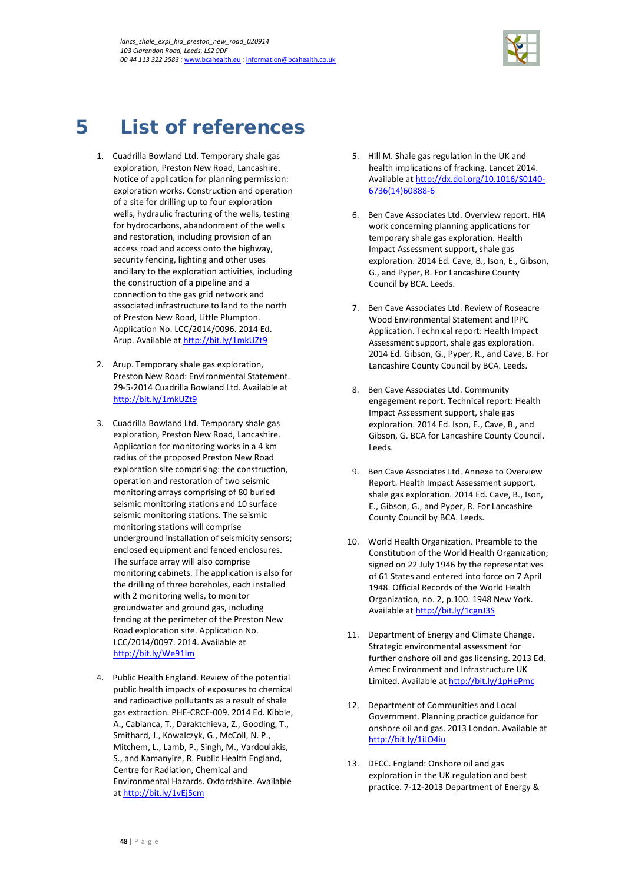

# <span id="page-51-0"></span>**5 List of references**

- 1. Cuadrilla Bowland Ltd. Temporary shale gas exploration, Preston New Road, Lancashire. Notice of application for planning permission: exploration works. Construction and operation of a site for drilling up to four exploration wells, hydraulic fracturing of the wells, testing for hydrocarbons, abandonment of the wells and restoration, including provision of an access road and access onto the highway, security fencing, lighting and other uses ancillary to the exploration activities, including the construction of a pipeline and a connection to the gas grid network and associated infrastructure to land to the north of Preston New Road, Little Plumpton. Application No. LCC/2014/0096. 2014 Ed. Arup. Available at<http://bit.ly/1mkUZt9>
- 2. Arup. Temporary shale gas exploration, Preston New Road: Environmental Statement. 29-5-2014 Cuadrilla Bowland Ltd. Available at <http://bit.ly/1mkUZt9>
- 3. Cuadrilla Bowland Ltd. Temporary shale gas exploration, Preston New Road, Lancashire. Application for monitoring works in a 4 km radius of the proposed Preston New Road exploration site comprising: the construction, operation and restoration of two seismic monitoring arrays comprising of 80 buried seismic monitoring stations and 10 surface seismic monitoring stations. The seismic monitoring stations will comprise underground installation of seismicity sensors; enclosed equipment and fenced enclosures. The surface array will also comprise monitoring cabinets. The application is also for the drilling of three boreholes, each installed with 2 monitoring wells, to monitor groundwater and ground gas, including fencing at the perimeter of the Preston New Road exploration site. Application No. LCC/2014/0097. 2014. Available at <http://bit.ly/We91Im>
- 4. Public Health England. Review of the potential public health impacts of exposures to chemical and radioactive pollutants as a result of shale gas extraction. PHE-CRCE-009. 2014 Ed. Kibble, A., Cabianca, T., Daraktchieva, Z., Gooding, T., Smithard, J., Kowalczyk, G., McColl, N. P., Mitchem, L., Lamb, P., Singh, M., Vardoulakis, S., and Kamanyire, R. Public Health England, Centre for Radiation, Chemical and Environmental Hazards. Oxfordshire. Available a[t http://bit.ly/1vEj5cm](http://bit.ly/1vEj5cm)
- 5. Hill M. Shale gas regulation in the UK and health implications of fracking. Lancet 2014. Available at [http://dx.doi.org/10.1016/S0140-](http://dx.doi.org/10.1016/S0140-6736(14)60888-6) [6736\(14\)60888-6](http://dx.doi.org/10.1016/S0140-6736(14)60888-6)
- 6. Ben Cave Associates Ltd. Overview report. HIA work concerning planning applications for temporary shale gas exploration. Health Impact Assessment support, shale gas exploration. 2014 Ed. Cave, B., Ison, E., Gibson, G., and Pyper, R. For Lancashire County Council by BCA. Leeds.
- 7. Ben Cave Associates Ltd. Review of Roseacre Wood Environmental Statement and IPPC Application. Technical report: Health Impact Assessment support, shale gas exploration. 2014 Ed. Gibson, G., Pyper, R., and Cave, B. For Lancashire County Council by BCA. Leeds.
- 8. Ben Cave Associates Ltd. Community engagement report. Technical report: Health Impact Assessment support, shale gas exploration. 2014 Ed. Ison, E., Cave, B., and Gibson, G. BCA for Lancashire County Council. Leeds.
- 9. Ben Cave Associates Ltd. Annexe to Overview Report. Health Impact Assessment support, shale gas exploration. 2014 Ed. Cave, B., Ison, E., Gibson, G., and Pyper, R. For Lancashire County Council by BCA. Leeds.
- 10. World Health Organization. Preamble to the Constitution of the World Health Organization; signed on 22 July 1946 by the representatives of 61 States and entered into force on 7 April 1948. Official Records of the World Health Organization, no. 2, p.100. 1948 New York. Available a[t http://bit.ly/1cgnJ3S](http://bit.ly/1cgnJ3S)
- 11. Department of Energy and Climate Change. Strategic environmental assessment for further onshore oil and gas licensing. 2013 Ed. Amec Environment and Infrastructure UK Limited. Available a[t http://bit.ly/1pHePmc](http://bit.ly/1pHePmc)
- 12. Department of Communities and Local Government. Planning practice guidance for onshore oil and gas. 2013 London. Available at <http://bit.ly/1iJO4iu>
- 13. DECC. England: Onshore oil and gas exploration in the UK regulation and best practice. 7-12-2013 Department of Energy &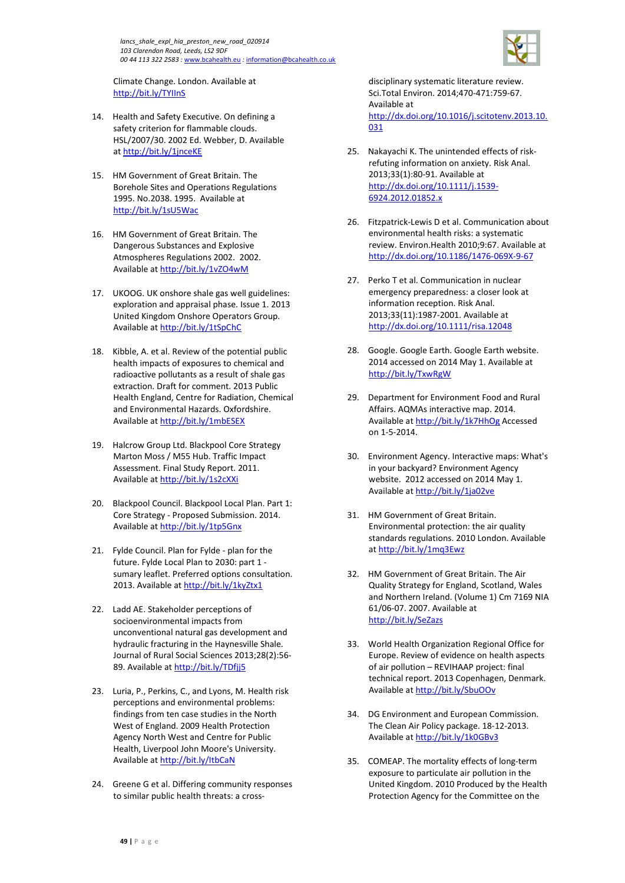

Climate Change. London. Available at <http://bit.ly/TYIInS>

- 14. Health and Safety Executive. On defining a safety criterion for flammable clouds. HSL/2007/30. 2002 Ed. Webber, D. Available a[t http://bit.ly/1jnceKE](http://bit.ly/1jnceKE)
- 15. HM Government of Great Britain. The Borehole Sites and Operations Regulations 1995. No.2038. 1995. Available at <http://bit.ly/1sU5Wac>
- 16. HM Government of Great Britain. The Dangerous Substances and Explosive Atmospheres Regulations 2002. 2002. Available a[t http://bit.ly/1vZO4wM](http://bit.ly/1vZO4wM)
- 17. UKOOG. UK onshore shale gas well guidelines: exploration and appraisal phase. Issue 1. 2013 United Kingdom Onshore Operators Group. Available a[t http://bit.ly/1tSpChC](http://bit.ly/1tSpChC)
- 18. Kibble, A. et al. Review of the potential public health impacts of exposures to chemical and radioactive pollutants as a result of shale gas extraction. Draft for comment. 2013 Public Health England, Centre for Radiation, Chemical and Environmental Hazards. Oxfordshire. Available a[t http://bit.ly/1mbESEX](http://bit.ly/1mbESEX)
- 19. Halcrow Group Ltd. Blackpool Core Strategy Marton Moss / M55 Hub. Traffic Impact Assessment. Final Study Report. 2011. Available a[t http://bit.ly/1s2cXXi](http://bit.ly/1s2cXXi)
- 20. Blackpool Council. Blackpool Local Plan. Part 1: Core Strategy - Proposed Submission. 2014. Available a[t http://bit.ly/1tp5Gnx](http://bit.ly/1tp5Gnx)
- 21. Fylde Council. Plan for Fylde plan for the future. Fylde Local Plan to 2030: part 1 sumary leaflet. Preferred options consultation. 2013. Available a[t http://bit.ly/1kyZtx1](http://bit.ly/1kyZtx1)
- 22. Ladd AE. Stakeholder perceptions of socioenvironmental impacts from unconventional natural gas development and hydraulic fracturing in the Haynesville Shale. Journal of Rural Social Sciences 2013;28(2):56 89. Available at<http://bit.ly/TDfjj5>
- 23. Luria, P., Perkins, C., and Lyons, M. Health risk perceptions and environmental problems: findings from ten case studies in the North West of England. 2009 Health Protection Agency North West and Centre for Public Health, Liverpool John Moore's University. Available a[t http://bit.ly/ItbCaN](http://bit.ly/ItbCaN)
- 24. Greene G et al. Differing community responses to similar public health threats: a cross-

disciplinary systematic literature review. Sci.Total Environ. 2014;470-471:759-67. Available at [http://dx.doi.org/10.1016/j.scitotenv.2013.10.](http://dx.doi.org/10.1016/j.scitotenv.2013.10.031) [031](http://dx.doi.org/10.1016/j.scitotenv.2013.10.031)

- 25. Nakayachi K. The unintended effects of riskrefuting information on anxiety. Risk Anal. 2013;33(1):80-91. Available at [http://dx.doi.org/10.1111/j.1539-](http://dx.doi.org/10.1111/j.1539-6924.2012.01852.x) [6924.2012.01852.x](http://dx.doi.org/10.1111/j.1539-6924.2012.01852.x)
- 26. Fitzpatrick-Lewis D et al. Communication about environmental health risks: a systematic review. Environ.Health 2010;9:67. Available at <http://dx.doi.org/10.1186/1476-069X-9-67>
- 27. Perko T et al. Communication in nuclear emergency preparedness: a closer look at information reception. Risk Anal. 2013;33(11):1987-2001. Available at <http://dx.doi.org/10.1111/risa.12048>
- 28. Google. Google Earth. Google Earth website. 2014 accessed on 2014 May 1. Available at <http://bit.ly/TxwRgW>
- 29. Department for Environment Food and Rural Affairs. AQMAs interactive map. 2014. Available at<http://bit.ly/1k7HhOg> Accessed on 1-5-2014.
- 30. Environment Agency. Interactive maps: What's in your backyard? Environment Agency website. 2012 accessed on 2014 May 1. Available at<http://bit.ly/1ja02ve>
- 31. HM Government of Great Britain. Environmental protection: the air quality standards regulations. 2010 London. Available a[t http://bit.ly/1mq3Ewz](http://bit.ly/1mq3Ewz)
- 32. HM Government of Great Britain. The Air Quality Strategy for England, Scotland, Wales and Northern Ireland. (Volume 1) Cm 7169 NIA 61/06-07. 2007. Available at <http://bit.ly/SeZazs>
- 33. World Health Organization Regional Office for Europe. Review of evidence on health aspects of air pollution – REVIHAAP project: final technical report. 2013 Copenhagen, Denmark. Available at<http://bit.ly/SbuOOv>
- 34. DG Environment and European Commission. The Clean Air Policy package. 18-12-2013. Available at<http://bit.ly/1k0GBv3>
- 35. COMEAP. The mortality effects of long-term exposure to particulate air pollution in the United Kingdom. 2010 Produced by the Health Protection Agency for the Committee on the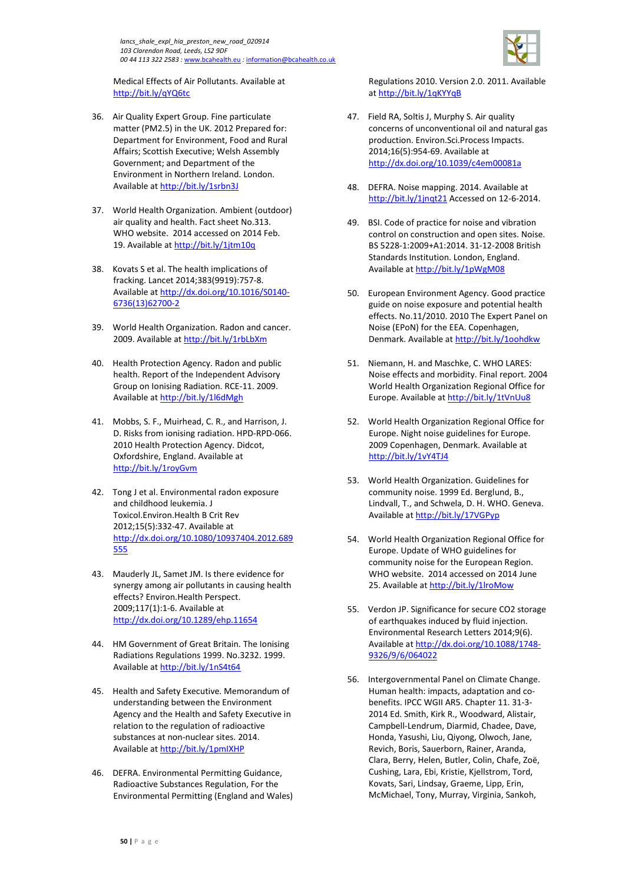

Medical Effects of Air Pollutants. Available at <http://bit.ly/qYQ6tc>

- 36. Air Quality Expert Group. Fine particulate matter (PM2.5) in the UK. 2012 Prepared for: Department for Environment, Food and Rural Affairs; Scottish Executive; Welsh Assembly Government; and Department of the Environment in Northern Ireland. London. Available a[t http://bit.ly/1srbn3J](http://bit.ly/1srbn3J)
- 37. World Health Organization. Ambient (outdoor) air quality and health. Fact sheet No.313. WHO website. 2014 accessed on 2014 Feb. 19. Available at<http://bit.ly/1jtm10q>
- 38. Kovats S et al. The health implications of fracking. Lancet 2014;383(9919):757-8. Available a[t http://dx.doi.org/10.1016/S0140-](http://dx.doi.org/10.1016/S0140-6736(13)62700-2) [6736\(13\)62700-2](http://dx.doi.org/10.1016/S0140-6736(13)62700-2)
- 39. World Health Organization. Radon and cancer. 2009. Available a[t http://bit.ly/1rbLbXm](http://bit.ly/1rbLbXm)
- 40. Health Protection Agency. Radon and public health. Report of the Independent Advisory Group on Ionising Radiation. RCE-11. 2009. Available a[t http://bit.ly/1l6dMgh](http://bit.ly/1l6dMgh)
- 41. Mobbs, S. F., Muirhead, C. R., and Harrison, J. D. Risks from ionising radiation. HPD-RPD-066. 2010 Health Protection Agency. Didcot, Oxfordshire, England. Available at <http://bit.ly/1royGvm>
- 42. Tong J et al. Environmental radon exposure and childhood leukemia. J Toxicol.Environ.Health B Crit Rev 2012;15(5):332-47. Available at [http://dx.doi.org/10.1080/10937404.2012.689](http://dx.doi.org/10.1080/10937404.2012.689555) [555](http://dx.doi.org/10.1080/10937404.2012.689555)
- 43. Mauderly JL, Samet JM. Is there evidence for synergy among air pollutants in causing health effects? Environ.Health Perspect. 2009;117(1):1-6. Available at <http://dx.doi.org/10.1289/ehp.11654>
- 44. HM Government of Great Britain. The Ionising Radiations Regulations 1999. No.3232. 1999. Available a[t http://bit.ly/1nS4t64](http://bit.ly/1nS4t64)
- 45. Health and Safety Executive. Memorandum of understanding between the Environment Agency and the Health and Safety Executive in relation to the regulation of radioactive substances at non-nuclear sites. 2014. Available a[t http://bit.ly/1pmIXHP](http://bit.ly/1pmIXHP)
- 46. DEFRA. Environmental Permitting Guidance, Radioactive Substances Regulation, For the Environmental Permitting (England and Wales)

Regulations 2010. Version 2.0. 2011. Available a[t http://bit.ly/1qKYYqB](http://bit.ly/1qKYYqB)

- 47. Field RA, Soltis J, Murphy S. Air quality concerns of unconventional oil and natural gas production. Environ.Sci.Process Impacts. 2014;16(5):954-69. Available at <http://dx.doi.org/10.1039/c4em00081a>
- 48. DEFRA. Noise mapping. 2014. Available at <http://bit.ly/1jnqt21> Accessed on 12-6-2014.
- 49. BSI. Code of practice for noise and vibration control on construction and open sites. Noise. BS 5228-1:2009+A1:2014. 31-12-2008 British Standards Institution. London, England. Available at<http://bit.ly/1pWgM08>
- 50. European Environment Agency. Good practice guide on noise exposure and potential health effects. No.11/2010. 2010 The Expert Panel on Noise (EPoN) for the EEA. Copenhagen, Denmark. Available at<http://bit.ly/1oohdkw>
- 51. Niemann, H. and Maschke, C. WHO LARES: Noise effects and morbidity. Final report. 2004 World Health Organization Regional Office for Europe. Available a[t http://bit.ly/1tVnUu8](http://bit.ly/1tVnUu8)
- 52. World Health Organization Regional Office for Europe. Night noise guidelines for Europe. 2009 Copenhagen, Denmark. Available at <http://bit.ly/1vY4TJ4>
- 53. World Health Organization. Guidelines for community noise. 1999 Ed. Berglund, B., Lindvall, T., and Schwela, D. H. WHO. Geneva. Available at<http://bit.ly/17VGPyp>
- 54. World Health Organization Regional Office for Europe. Update of WHO guidelines for community noise for the European Region. WHO website. 2014 accessed on 2014 June 25. Available a[t http://bit.ly/1lroMow](http://bit.ly/1lroMow)
- 55. Verdon JP. Significance for secure CO2 storage of earthquakes induced by fluid injection. Environmental Research Letters 2014;9(6). Available at [http://dx.doi.org/10.1088/1748-](http://dx.doi.org/10.1088/1748-9326/9/6/064022) [9326/9/6/064022](http://dx.doi.org/10.1088/1748-9326/9/6/064022)
- 56. Intergovernmental Panel on Climate Change. Human health: impacts, adaptation and cobenefits. IPCC WGII AR5. Chapter 11. 31-3- 2014 Ed. Smith, Kirk R., Woodward, Alistair, Campbell-Lendrum, Diarmid, Chadee, Dave, Honda, Yasushi, Liu, Qiyong, Olwoch, Jane, Revich, Boris, Sauerborn, Rainer, Aranda, Clara, Berry, Helen, Butler, Colin, Chafe, Zoë, Cushing, Lara, Ebi, Kristie, Kjellstrom, Tord, Kovats, Sari, Lindsay, Graeme, Lipp, Erin, McMichael, Tony, Murray, Virginia, Sankoh,